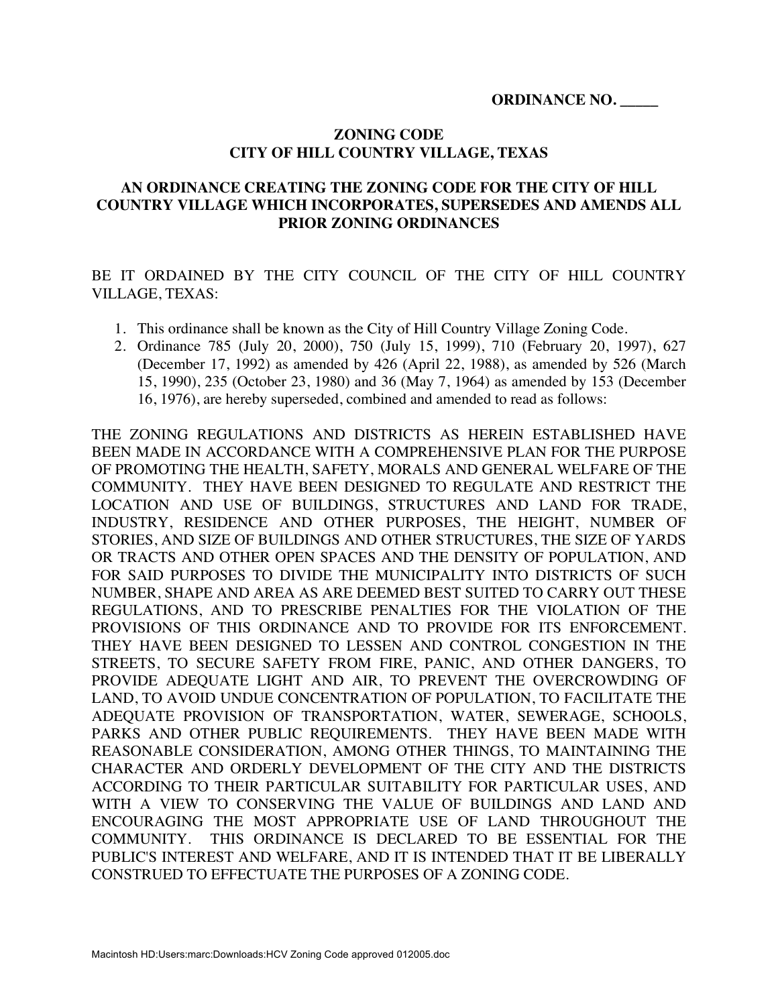### **ZONING CODE CITY OF HILL COUNTRY VILLAGE, TEXAS**

### **AN ORDINANCE CREATING THE ZONING CODE FOR THE CITY OF HILL COUNTRY VILLAGE WHICH INCORPORATES, SUPERSEDES AND AMENDS ALL PRIOR ZONING ORDINANCES**

BE IT ORDAINED BY THE CITY COUNCIL OF THE CITY OF HILL COUNTRY VILLAGE, TEXAS:

- 1. This ordinance shall be known as the City of Hill Country Village Zoning Code.
- 2. Ordinance 785 (July 20, 2000), 750 (July 15, 1999), 710 (February 20, 1997), 627 (December 17, 1992) as amended by 426 (April 22, 1988), as amended by 526 (March 15, 1990), 235 (October 23, 1980) and 36 (May 7, 1964) as amended by 153 (December 16, 1976), are hereby superseded, combined and amended to read as follows:

THE ZONING REGULATIONS AND DISTRICTS AS HEREIN ESTABLISHED HAVE BEEN MADE IN ACCORDANCE WITH A COMPREHENSIVE PLAN FOR THE PURPOSE OF PROMOTING THE HEALTH, SAFETY, MORALS AND GENERAL WELFARE OF THE COMMUNITY. THEY HAVE BEEN DESIGNED TO REGULATE AND RESTRICT THE LOCATION AND USE OF BUILDINGS, STRUCTURES AND LAND FOR TRADE, INDUSTRY, RESIDENCE AND OTHER PURPOSES, THE HEIGHT, NUMBER OF STORIES, AND SIZE OF BUILDINGS AND OTHER STRUCTURES, THE SIZE OF YARDS OR TRACTS AND OTHER OPEN SPACES AND THE DENSITY OF POPULATION, AND FOR SAID PURPOSES TO DIVIDE THE MUNICIPALITY INTO DISTRICTS OF SUCH NUMBER, SHAPE AND AREA AS ARE DEEMED BEST SUITED TO CARRY OUT THESE REGULATIONS, AND TO PRESCRIBE PENALTIES FOR THE VIOLATION OF THE PROVISIONS OF THIS ORDINANCE AND TO PROVIDE FOR ITS ENFORCEMENT. THEY HAVE BEEN DESIGNED TO LESSEN AND CONTROL CONGESTION IN THE STREETS, TO SECURE SAFETY FROM FIRE, PANIC, AND OTHER DANGERS, TO PROVIDE ADEQUATE LIGHT AND AIR, TO PREVENT THE OVERCROWDING OF LAND, TO AVOID UNDUE CONCENTRATION OF POPULATION, TO FACILITATE THE ADEQUATE PROVISION OF TRANSPORTATION, WATER, SEWERAGE, SCHOOLS, PARKS AND OTHER PUBLIC REQUIREMENTS. THEY HAVE BEEN MADE WITH REASONABLE CONSIDERATION, AMONG OTHER THINGS, TO MAINTAINING THE CHARACTER AND ORDERLY DEVELOPMENT OF THE CITY AND THE DISTRICTS ACCORDING TO THEIR PARTICULAR SUITABILITY FOR PARTICULAR USES, AND WITH A VIEW TO CONSERVING THE VALUE OF BUILDINGS AND LAND AND ENCOURAGING THE MOST APPROPRIATE USE OF LAND THROUGHOUT THE COMMUNITY. THIS ORDINANCE IS DECLARED TO BE ESSENTIAL FOR THE PUBLIC'S INTEREST AND WELFARE, AND IT IS INTENDED THAT IT BE LIBERALLY CONSTRUED TO EFFECTUATE THE PURPOSES OF A ZONING CODE.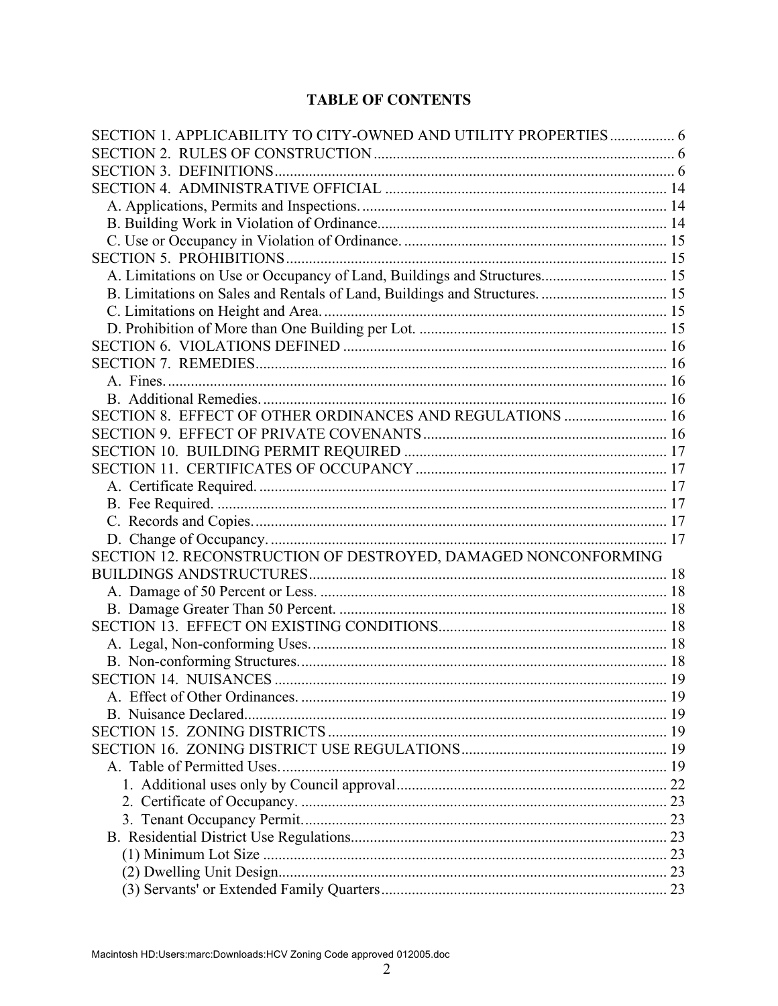# **TABLE OF CONTENTS**

| SECTION 1. APPLICABILITY TO CITY-OWNED AND UTILITY PROPERTIES  6        |    |
|-------------------------------------------------------------------------|----|
|                                                                         |    |
|                                                                         |    |
|                                                                         |    |
|                                                                         |    |
|                                                                         |    |
|                                                                         |    |
|                                                                         |    |
| A. Limitations on Use or Occupancy of Land, Buildings and Structures 15 |    |
|                                                                         |    |
|                                                                         |    |
|                                                                         |    |
|                                                                         |    |
|                                                                         |    |
|                                                                         |    |
|                                                                         |    |
| SECTION 8. EFFECT OF OTHER ORDINANCES AND REGULATIONS  16               |    |
|                                                                         |    |
|                                                                         |    |
|                                                                         |    |
|                                                                         |    |
|                                                                         |    |
|                                                                         |    |
|                                                                         |    |
| SECTION 12. RECONSTRUCTION OF DESTROYED, DAMAGED NONCONFORMING          |    |
|                                                                         |    |
|                                                                         |    |
|                                                                         |    |
|                                                                         |    |
|                                                                         |    |
|                                                                         |    |
|                                                                         |    |
|                                                                         |    |
| B. Nuisance Declared                                                    |    |
|                                                                         |    |
|                                                                         |    |
|                                                                         |    |
|                                                                         |    |
|                                                                         |    |
|                                                                         |    |
|                                                                         |    |
|                                                                         |    |
|                                                                         |    |
|                                                                         | 23 |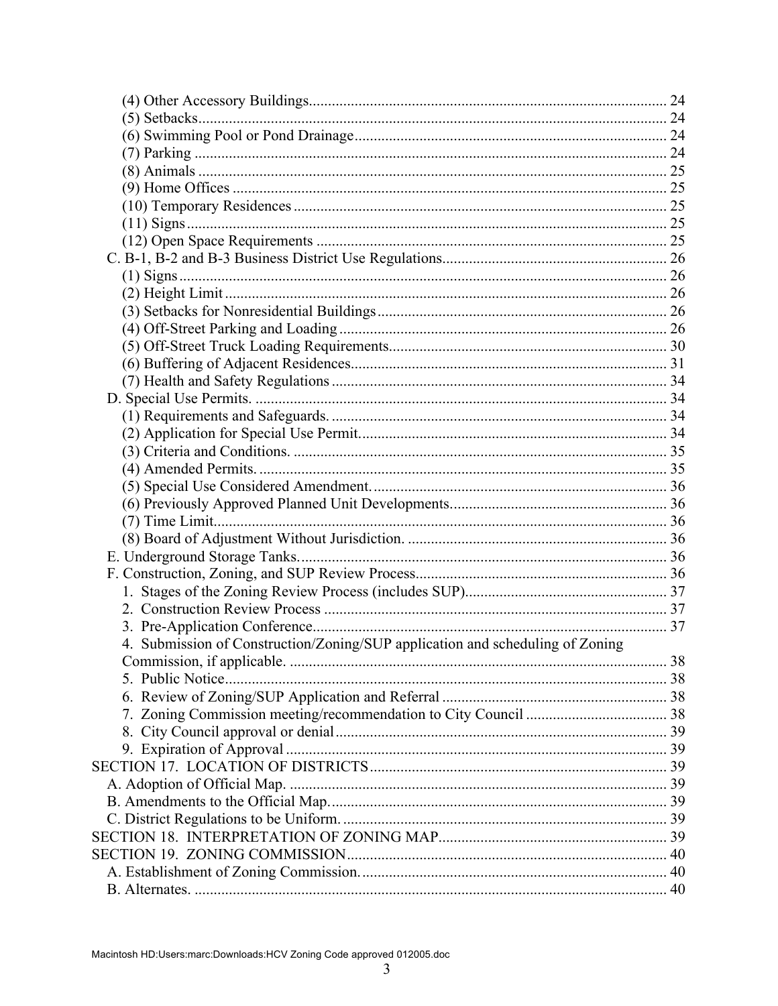| 4. Submission of Construction/Zoning/SUP application and scheduling of Zoning |  |
|-------------------------------------------------------------------------------|--|
|                                                                               |  |
|                                                                               |  |
|                                                                               |  |
|                                                                               |  |
|                                                                               |  |
|                                                                               |  |
|                                                                               |  |
|                                                                               |  |
|                                                                               |  |
|                                                                               |  |
|                                                                               |  |
|                                                                               |  |
|                                                                               |  |
|                                                                               |  |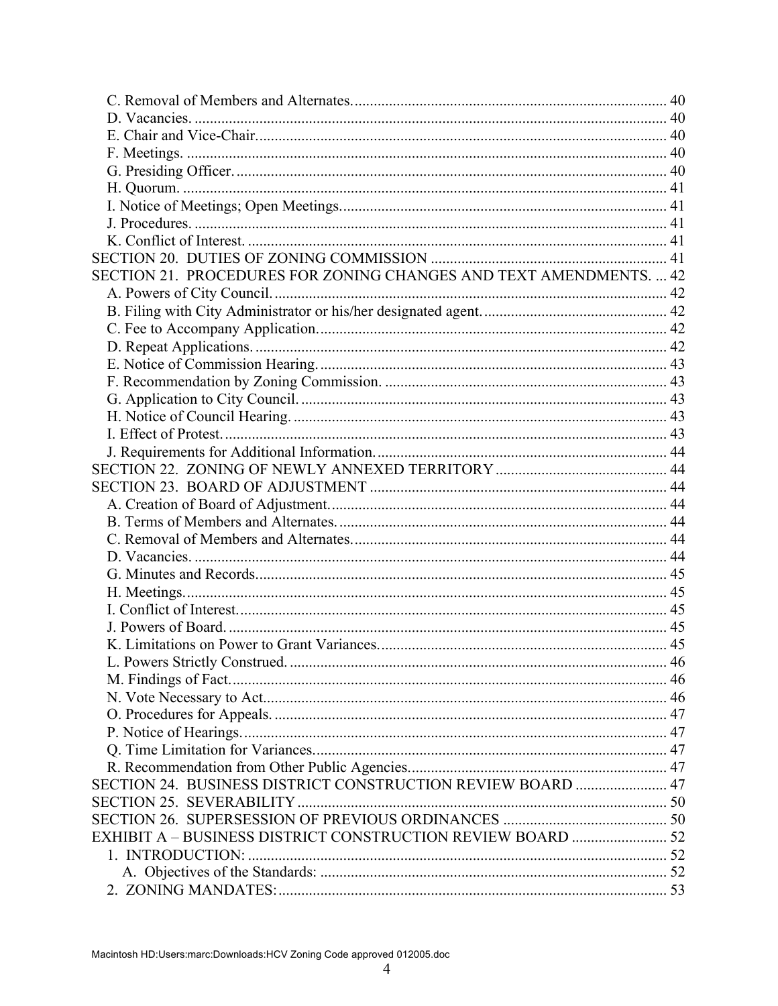| SECTION 21. PROCEDURES FOR ZONING CHANGES AND TEXT AMENDMENTS.  42 |  |
|--------------------------------------------------------------------|--|
|                                                                    |  |
|                                                                    |  |
|                                                                    |  |
|                                                                    |  |
|                                                                    |  |
|                                                                    |  |
|                                                                    |  |
|                                                                    |  |
|                                                                    |  |
|                                                                    |  |
|                                                                    |  |
|                                                                    |  |
|                                                                    |  |
|                                                                    |  |
|                                                                    |  |
|                                                                    |  |
|                                                                    |  |
|                                                                    |  |
|                                                                    |  |
|                                                                    |  |
|                                                                    |  |
|                                                                    |  |
|                                                                    |  |
|                                                                    |  |
|                                                                    |  |
|                                                                    |  |
|                                                                    |  |
|                                                                    |  |
| SECTION 24. BUSINESS DISTRICT CONSTRUCTION REVIEW BOARD  47        |  |
|                                                                    |  |
|                                                                    |  |
|                                                                    |  |
|                                                                    |  |
|                                                                    |  |
|                                                                    |  |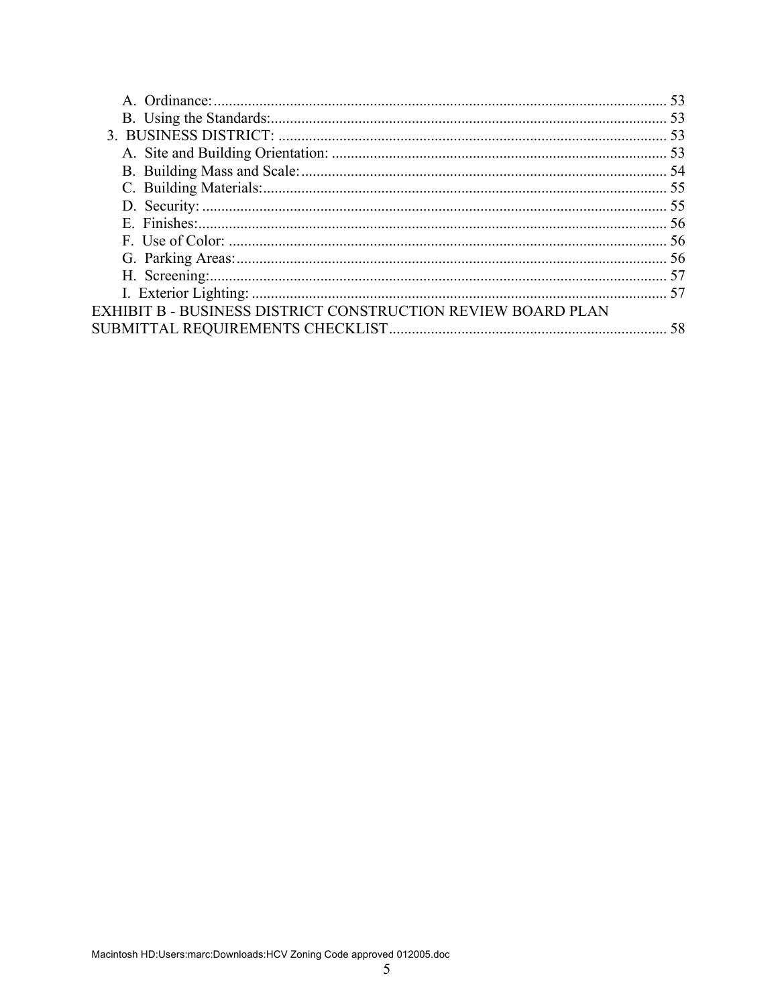| <b>EXHIBIT B - BUSINESS DISTRICT CONSTRUCTION REVIEW BOARD PLAN</b> |  |
|---------------------------------------------------------------------|--|
|                                                                     |  |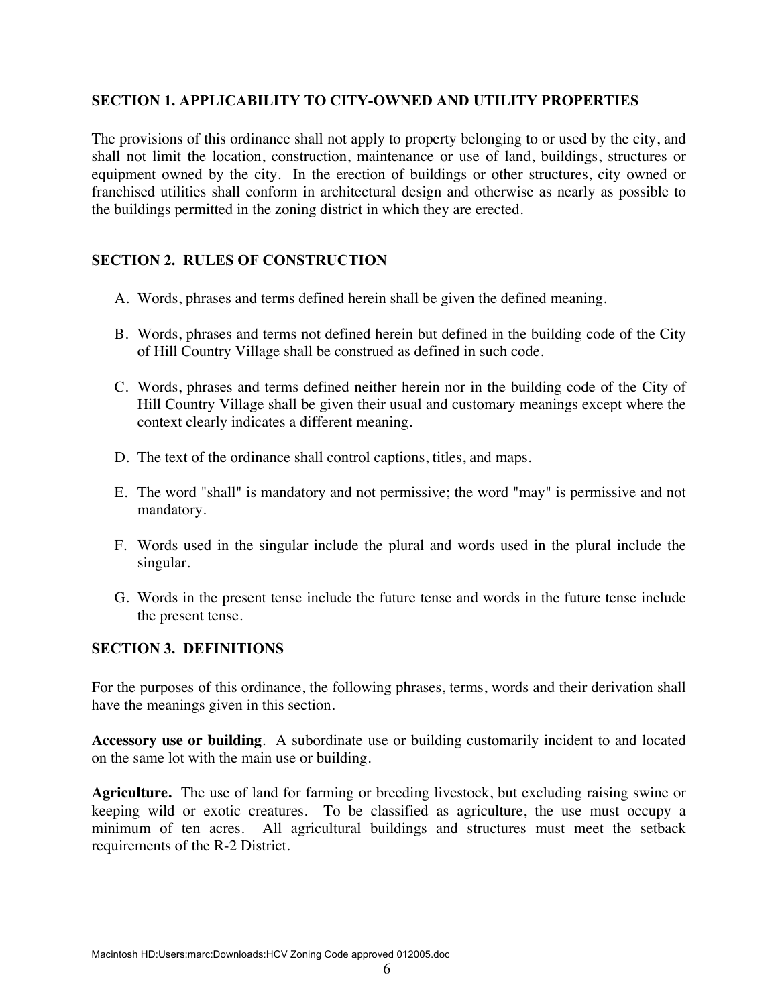### **SECTION 1. APPLICABILITY TO CITY-OWNED AND UTILITY PROPERTIES**

The provisions of this ordinance shall not apply to property belonging to or used by the city, and shall not limit the location, construction, maintenance or use of land, buildings, structures or equipment owned by the city. In the erection of buildings or other structures, city owned or franchised utilities shall conform in architectural design and otherwise as nearly as possible to the buildings permitted in the zoning district in which they are erected.

### **SECTION 2. RULES OF CONSTRUCTION**

- A. Words, phrases and terms defined herein shall be given the defined meaning.
- B. Words, phrases and terms not defined herein but defined in the building code of the City of Hill Country Village shall be construed as defined in such code.
- C. Words, phrases and terms defined neither herein nor in the building code of the City of Hill Country Village shall be given their usual and customary meanings except where the context clearly indicates a different meaning.
- D. The text of the ordinance shall control captions, titles, and maps.
- E. The word "shall" is mandatory and not permissive; the word "may" is permissive and not mandatory.
- F. Words used in the singular include the plural and words used in the plural include the singular.
- G. Words in the present tense include the future tense and words in the future tense include the present tense.

#### **SECTION 3. DEFINITIONS**

For the purposes of this ordinance, the following phrases, terms, words and their derivation shall have the meanings given in this section.

**Accessory use or building**. A subordinate use or building customarily incident to and located on the same lot with the main use or building.

**Agriculture.** The use of land for farming or breeding livestock, but excluding raising swine or keeping wild or exotic creatures. To be classified as agriculture, the use must occupy a minimum of ten acres. All agricultural buildings and structures must meet the setback requirements of the R-2 District.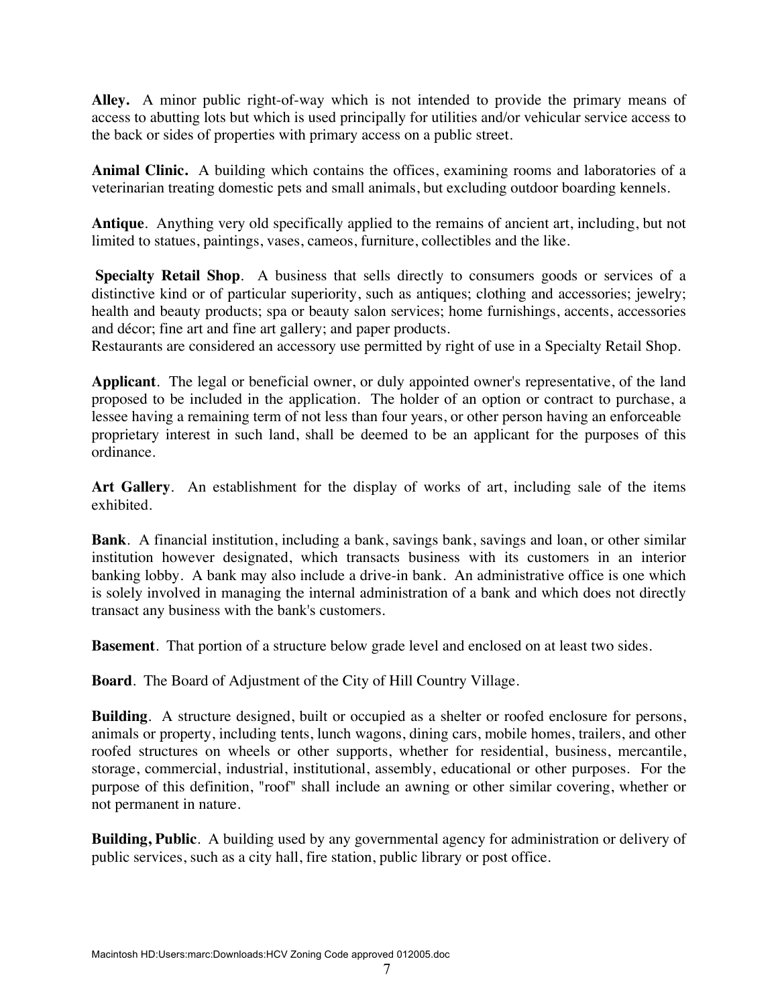**Alley.** A minor public right-of-way which is not intended to provide the primary means of access to abutting lots but which is used principally for utilities and/or vehicular service access to the back or sides of properties with primary access on a public street.

**Animal Clinic.** A building which contains the offices, examining rooms and laboratories of a veterinarian treating domestic pets and small animals, but excluding outdoor boarding kennels.

**Antique**. Anything very old specifically applied to the remains of ancient art, including, but not limited to statues, paintings, vases, cameos, furniture, collectibles and the like.

 **Specialty Retail Shop**. A business that sells directly to consumers goods or services of a distinctive kind or of particular superiority, such as antiques; clothing and accessories; jewelry; health and beauty products; spa or beauty salon services; home furnishings, accents, accessories and décor; fine art and fine art gallery; and paper products.

Restaurants are considered an accessory use permitted by right of use in a Specialty Retail Shop.

**Applicant**. The legal or beneficial owner, or duly appointed owner's representative, of the land proposed to be included in the application. The holder of an option or contract to purchase, a lessee having a remaining term of not less than four years, or other person having an enforceable proprietary interest in such land, shall be deemed to be an applicant for the purposes of this ordinance.

**Art Gallery**. An establishment for the display of works of art, including sale of the items exhibited.

**Bank**. A financial institution, including a bank, savings bank, savings and loan, or other similar institution however designated, which transacts business with its customers in an interior banking lobby. A bank may also include a drive-in bank. An administrative office is one which is solely involved in managing the internal administration of a bank and which does not directly transact any business with the bank's customers.

**Basement**. That portion of a structure below grade level and enclosed on at least two sides.

**Board**. The Board of Adjustment of the City of Hill Country Village.

**Building**. A structure designed, built or occupied as a shelter or roofed enclosure for persons, animals or property, including tents, lunch wagons, dining cars, mobile homes, trailers, and other roofed structures on wheels or other supports, whether for residential, business, mercantile, storage, commercial, industrial, institutional, assembly, educational or other purposes. For the purpose of this definition, "roof" shall include an awning or other similar covering, whether or not permanent in nature.

**Building, Public**. A building used by any governmental agency for administration or delivery of public services, such as a city hall, fire station, public library or post office.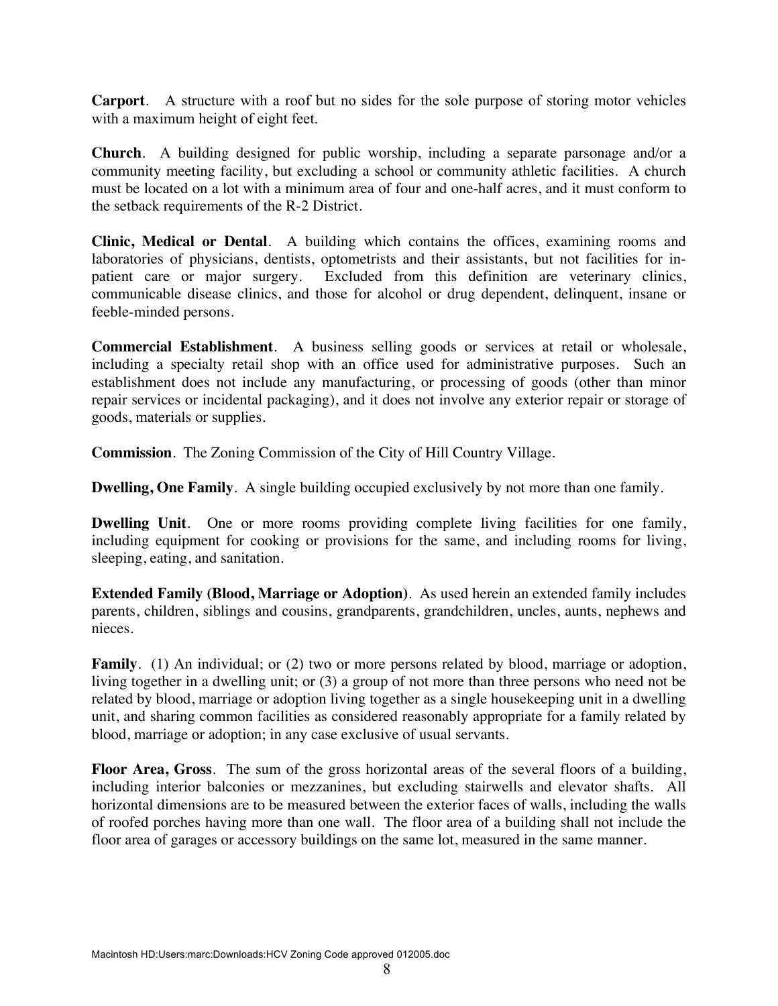**Carport**. A structure with a roof but no sides for the sole purpose of storing motor vehicles with a maximum height of eight feet.

**Church**. A building designed for public worship, including a separate parsonage and/or a community meeting facility, but excluding a school or community athletic facilities. A church must be located on a lot with a minimum area of four and one-half acres, and it must conform to the setback requirements of the R-2 District.

**Clinic, Medical or Dental**. A building which contains the offices, examining rooms and laboratories of physicians, dentists, optometrists and their assistants, but not facilities for inpatient care or major surgery. Excluded from this definition are veterinary clinics, communicable disease clinics, and those for alcohol or drug dependent, delinquent, insane or feeble-minded persons.

**Commercial Establishment**. A business selling goods or services at retail or wholesale, including a specialty retail shop with an office used for administrative purposes. Such an establishment does not include any manufacturing, or processing of goods (other than minor repair services or incidental packaging), and it does not involve any exterior repair or storage of goods, materials or supplies.

**Commission**. The Zoning Commission of the City of Hill Country Village.

**Dwelling, One Family.** A single building occupied exclusively by not more than one family.

**Dwelling Unit**. One or more rooms providing complete living facilities for one family, including equipment for cooking or provisions for the same, and including rooms for living, sleeping, eating, and sanitation.

**Extended Family (Blood, Marriage or Adoption)**. As used herein an extended family includes parents, children, siblings and cousins, grandparents, grandchildren, uncles, aunts, nephews and nieces.

**Family.** (1) An individual; or (2) two or more persons related by blood, marriage or adoption, living together in a dwelling unit; or (3) a group of not more than three persons who need not be related by blood, marriage or adoption living together as a single housekeeping unit in a dwelling unit, and sharing common facilities as considered reasonably appropriate for a family related by blood, marriage or adoption; in any case exclusive of usual servants.

**Floor Area, Gross**. The sum of the gross horizontal areas of the several floors of a building, including interior balconies or mezzanines, but excluding stairwells and elevator shafts. All horizontal dimensions are to be measured between the exterior faces of walls, including the walls of roofed porches having more than one wall. The floor area of a building shall not include the floor area of garages or accessory buildings on the same lot, measured in the same manner.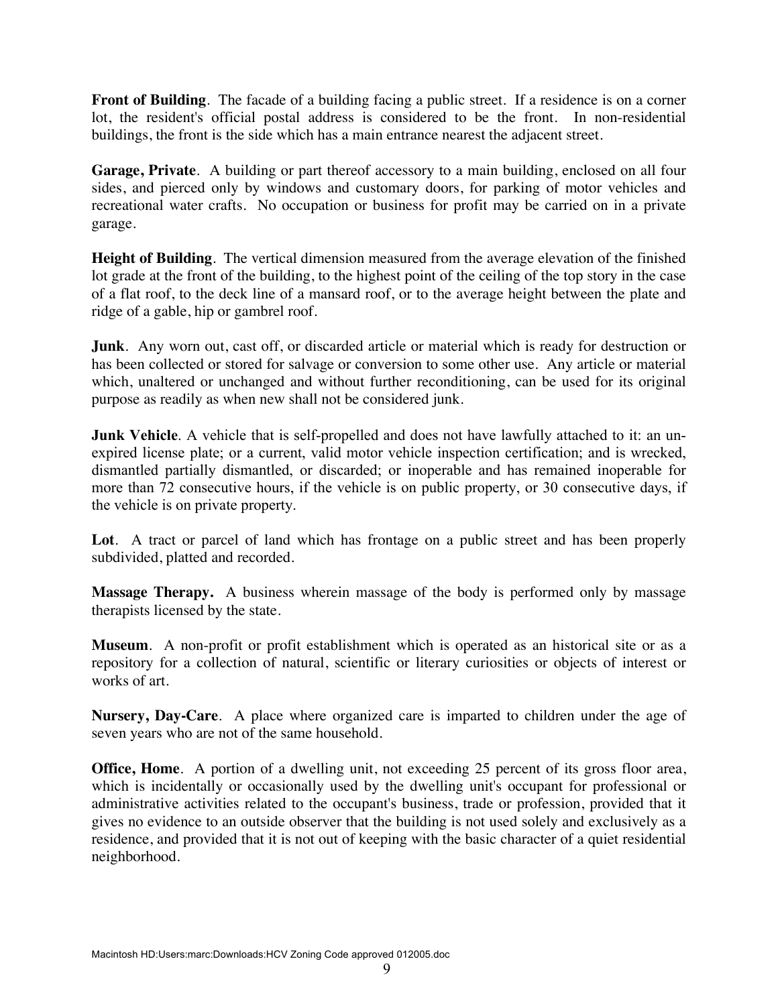**Front of Building.** The facade of a building facing a public street. If a residence is on a corner lot, the resident's official postal address is considered to be the front. In non-residential buildings, the front is the side which has a main entrance nearest the adjacent street.

**Garage, Private**. A building or part thereof accessory to a main building, enclosed on all four sides, and pierced only by windows and customary doors, for parking of motor vehicles and recreational water crafts. No occupation or business for profit may be carried on in a private garage.

**Height of Building**. The vertical dimension measured from the average elevation of the finished lot grade at the front of the building, to the highest point of the ceiling of the top story in the case of a flat roof, to the deck line of a mansard roof, or to the average height between the plate and ridge of a gable, hip or gambrel roof.

**Junk**. Any worn out, cast off, or discarded article or material which is ready for destruction or has been collected or stored for salvage or conversion to some other use. Any article or material which, unaltered or unchanged and without further reconditioning, can be used for its original purpose as readily as when new shall not be considered junk.

**Junk Vehicle**. A vehicle that is self-propelled and does not have lawfully attached to it: an unexpired license plate; or a current, valid motor vehicle inspection certification; and is wrecked, dismantled partially dismantled, or discarded; or inoperable and has remained inoperable for more than 72 consecutive hours, if the vehicle is on public property, or 30 consecutive days, if the vehicle is on private property.

**Lot**. A tract or parcel of land which has frontage on a public street and has been properly subdivided, platted and recorded.

**Massage Therapy.** A business wherein massage of the body is performed only by massage therapists licensed by the state.

**Museum**. A non-profit or profit establishment which is operated as an historical site or as a repository for a collection of natural, scientific or literary curiosities or objects of interest or works of art.

**Nursery, Day-Care**. A place where organized care is imparted to children under the age of seven years who are not of the same household.

**Office, Home.** A portion of a dwelling unit, not exceeding 25 percent of its gross floor area, which is incidentally or occasionally used by the dwelling unit's occupant for professional or administrative activities related to the occupant's business, trade or profession, provided that it gives no evidence to an outside observer that the building is not used solely and exclusively as a residence, and provided that it is not out of keeping with the basic character of a quiet residential neighborhood.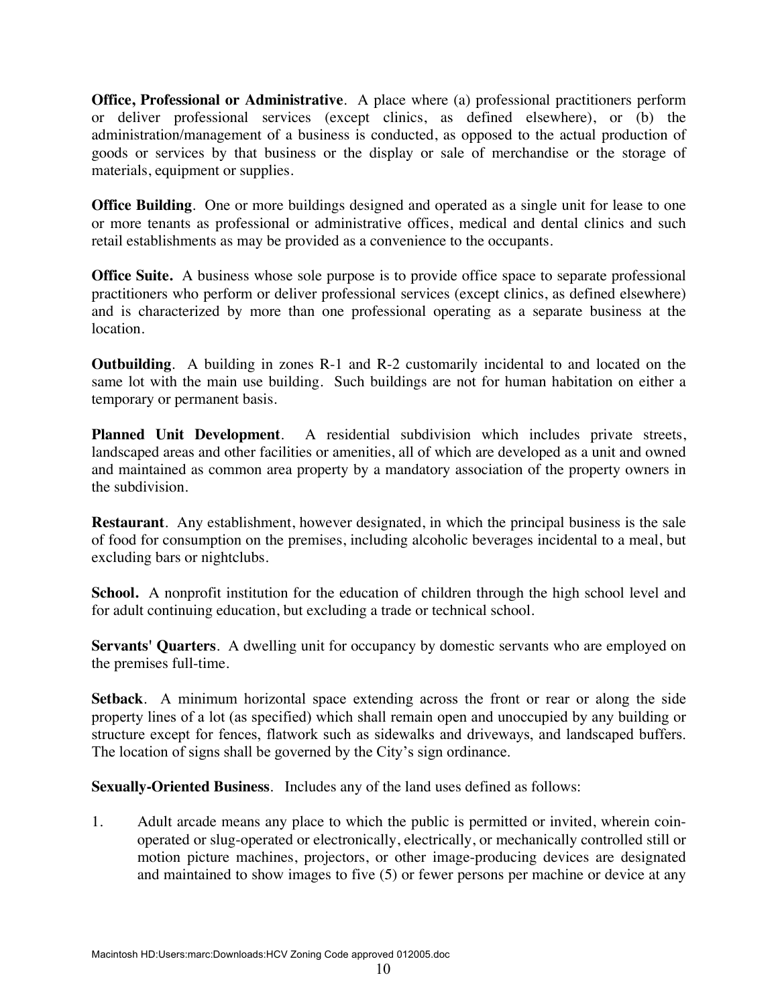**Office, Professional or Administrative**. A place where (a) professional practitioners perform or deliver professional services (except clinics, as defined elsewhere), or (b) the administration/management of a business is conducted, as opposed to the actual production of goods or services by that business or the display or sale of merchandise or the storage of materials, equipment or supplies.

**Office Building**. One or more buildings designed and operated as a single unit for lease to one or more tenants as professional or administrative offices, medical and dental clinics and such retail establishments as may be provided as a convenience to the occupants.

**Office Suite.** A business whose sole purpose is to provide office space to separate professional practitioners who perform or deliver professional services (except clinics, as defined elsewhere) and is characterized by more than one professional operating as a separate business at the location.

**Outbuilding**. A building in zones R-1 and R-2 customarily incidental to and located on the same lot with the main use building. Such buildings are not for human habitation on either a temporary or permanent basis.

**Planned Unit Development**. A residential subdivision which includes private streets, landscaped areas and other facilities or amenities, all of which are developed as a unit and owned and maintained as common area property by a mandatory association of the property owners in the subdivision.

**Restaurant**. Any establishment, however designated, in which the principal business is the sale of food for consumption on the premises, including alcoholic beverages incidental to a meal, but excluding bars or nightclubs.

School. A nonprofit institution for the education of children through the high school level and for adult continuing education, but excluding a trade or technical school.

**Servants' Quarters**. A dwelling unit for occupancy by domestic servants who are employed on the premises full-time.

**Setback**. A minimum horizontal space extending across the front or rear or along the side property lines of a lot (as specified) which shall remain open and unoccupied by any building or structure except for fences, flatwork such as sidewalks and driveways, and landscaped buffers. The location of signs shall be governed by the City's sign ordinance.

**Sexually-Oriented Business**. Includes any of the land uses defined as follows:

1. Adult arcade means any place to which the public is permitted or invited, wherein coinoperated or slug-operated or electronically, electrically, or mechanically controlled still or motion picture machines, projectors, or other image-producing devices are designated and maintained to show images to five (5) or fewer persons per machine or device at any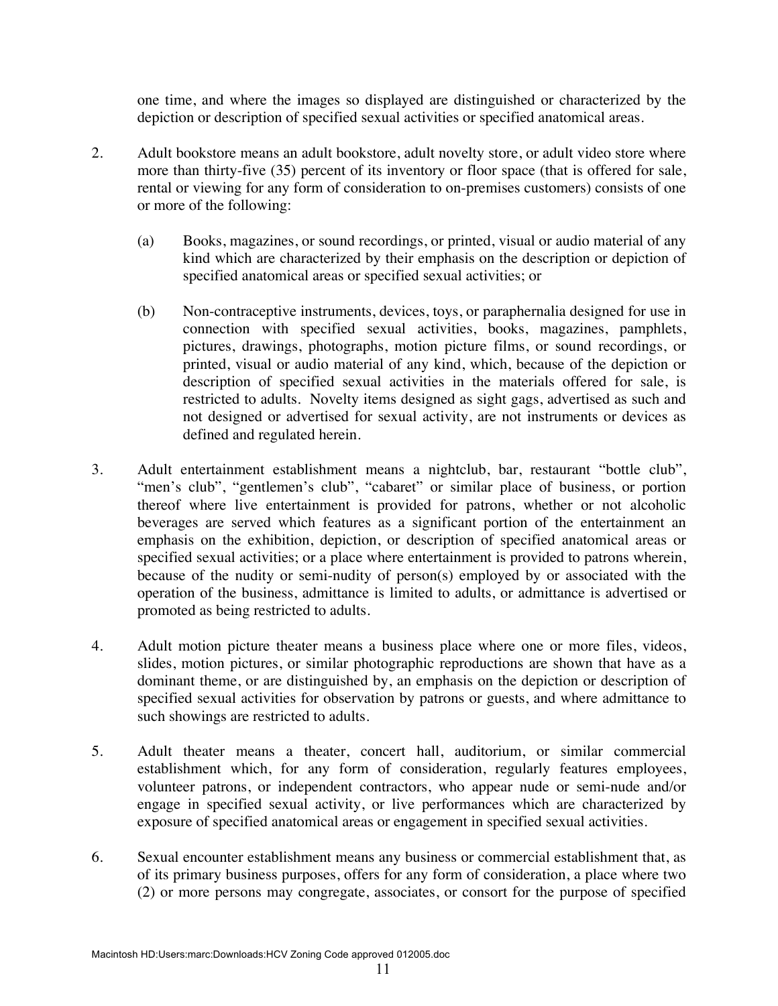one time, and where the images so displayed are distinguished or characterized by the depiction or description of specified sexual activities or specified anatomical areas.

- 2. Adult bookstore means an adult bookstore, adult novelty store, or adult video store where more than thirty-five (35) percent of its inventory or floor space (that is offered for sale, rental or viewing for any form of consideration to on-premises customers) consists of one or more of the following:
	- (a) Books, magazines, or sound recordings, or printed, visual or audio material of any kind which are characterized by their emphasis on the description or depiction of specified anatomical areas or specified sexual activities; or
	- (b) Non-contraceptive instruments, devices, toys, or paraphernalia designed for use in connection with specified sexual activities, books, magazines, pamphlets, pictures, drawings, photographs, motion picture films, or sound recordings, or printed, visual or audio material of any kind, which, because of the depiction or description of specified sexual activities in the materials offered for sale, is restricted to adults. Novelty items designed as sight gags, advertised as such and not designed or advertised for sexual activity, are not instruments or devices as defined and regulated herein.
- 3. Adult entertainment establishment means a nightclub, bar, restaurant "bottle club", "men's club", "gentlemen's club", "cabaret" or similar place of business, or portion thereof where live entertainment is provided for patrons, whether or not alcoholic beverages are served which features as a significant portion of the entertainment an emphasis on the exhibition, depiction, or description of specified anatomical areas or specified sexual activities; or a place where entertainment is provided to patrons wherein, because of the nudity or semi-nudity of person(s) employed by or associated with the operation of the business, admittance is limited to adults, or admittance is advertised or promoted as being restricted to adults.
- 4. Adult motion picture theater means a business place where one or more files, videos, slides, motion pictures, or similar photographic reproductions are shown that have as a dominant theme, or are distinguished by, an emphasis on the depiction or description of specified sexual activities for observation by patrons or guests, and where admittance to such showings are restricted to adults.
- 5. Adult theater means a theater, concert hall, auditorium, or similar commercial establishment which, for any form of consideration, regularly features employees, volunteer patrons, or independent contractors, who appear nude or semi-nude and/or engage in specified sexual activity, or live performances which are characterized by exposure of specified anatomical areas or engagement in specified sexual activities.
- 6. Sexual encounter establishment means any business or commercial establishment that, as of its primary business purposes, offers for any form of consideration, a place where two (2) or more persons may congregate, associates, or consort for the purpose of specified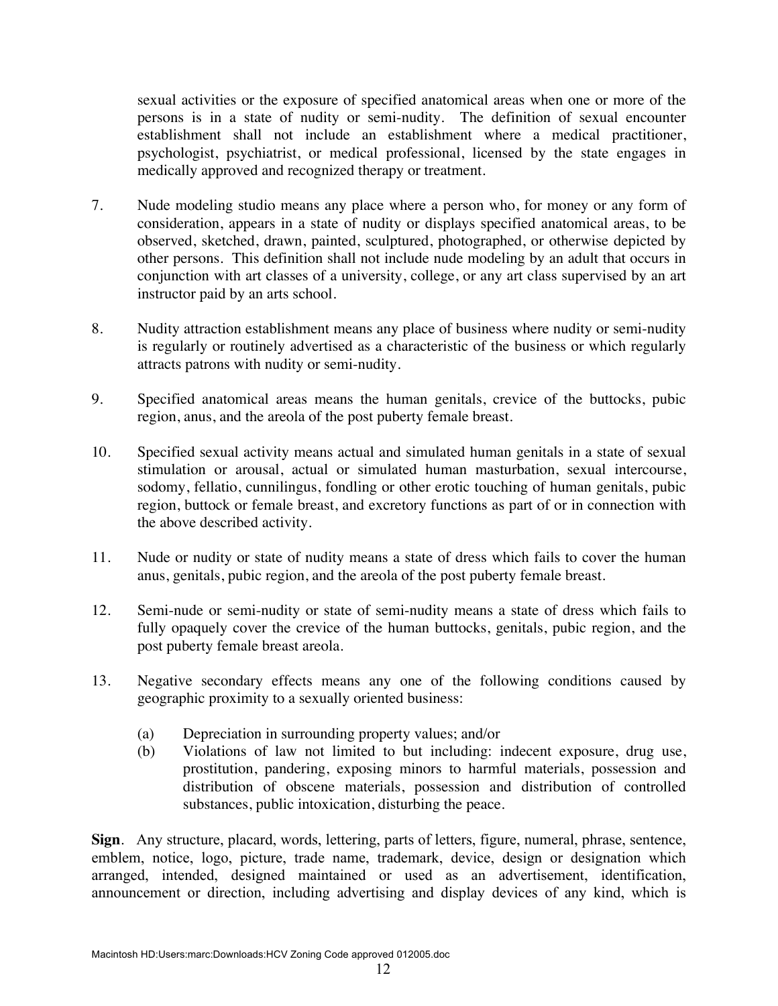sexual activities or the exposure of specified anatomical areas when one or more of the persons is in a state of nudity or semi-nudity. The definition of sexual encounter establishment shall not include an establishment where a medical practitioner, psychologist, psychiatrist, or medical professional, licensed by the state engages in medically approved and recognized therapy or treatment.

- 7. Nude modeling studio means any place where a person who, for money or any form of consideration, appears in a state of nudity or displays specified anatomical areas, to be observed, sketched, drawn, painted, sculptured, photographed, or otherwise depicted by other persons. This definition shall not include nude modeling by an adult that occurs in conjunction with art classes of a university, college, or any art class supervised by an art instructor paid by an arts school.
- 8. Nudity attraction establishment means any place of business where nudity or semi-nudity is regularly or routinely advertised as a characteristic of the business or which regularly attracts patrons with nudity or semi-nudity.
- 9. Specified anatomical areas means the human genitals, crevice of the buttocks, pubic region, anus, and the areola of the post puberty female breast.
- 10. Specified sexual activity means actual and simulated human genitals in a state of sexual stimulation or arousal, actual or simulated human masturbation, sexual intercourse, sodomy, fellatio, cunnilingus, fondling or other erotic touching of human genitals, pubic region, buttock or female breast, and excretory functions as part of or in connection with the above described activity.
- 11. Nude or nudity or state of nudity means a state of dress which fails to cover the human anus, genitals, pubic region, and the areola of the post puberty female breast.
- 12. Semi-nude or semi-nudity or state of semi-nudity means a state of dress which fails to fully opaquely cover the crevice of the human buttocks, genitals, pubic region, and the post puberty female breast areola.
- 13. Negative secondary effects means any one of the following conditions caused by geographic proximity to a sexually oriented business:
	- (a) Depreciation in surrounding property values; and/or
	- (b) Violations of law not limited to but including: indecent exposure, drug use, prostitution, pandering, exposing minors to harmful materials, possession and distribution of obscene materials, possession and distribution of controlled substances, public intoxication, disturbing the peace.

**Sign**. Any structure, placard, words, lettering, parts of letters, figure, numeral, phrase, sentence, emblem, notice, logo, picture, trade name, trademark, device, design or designation which arranged, intended, designed maintained or used as an advertisement, identification, announcement or direction, including advertising and display devices of any kind, which is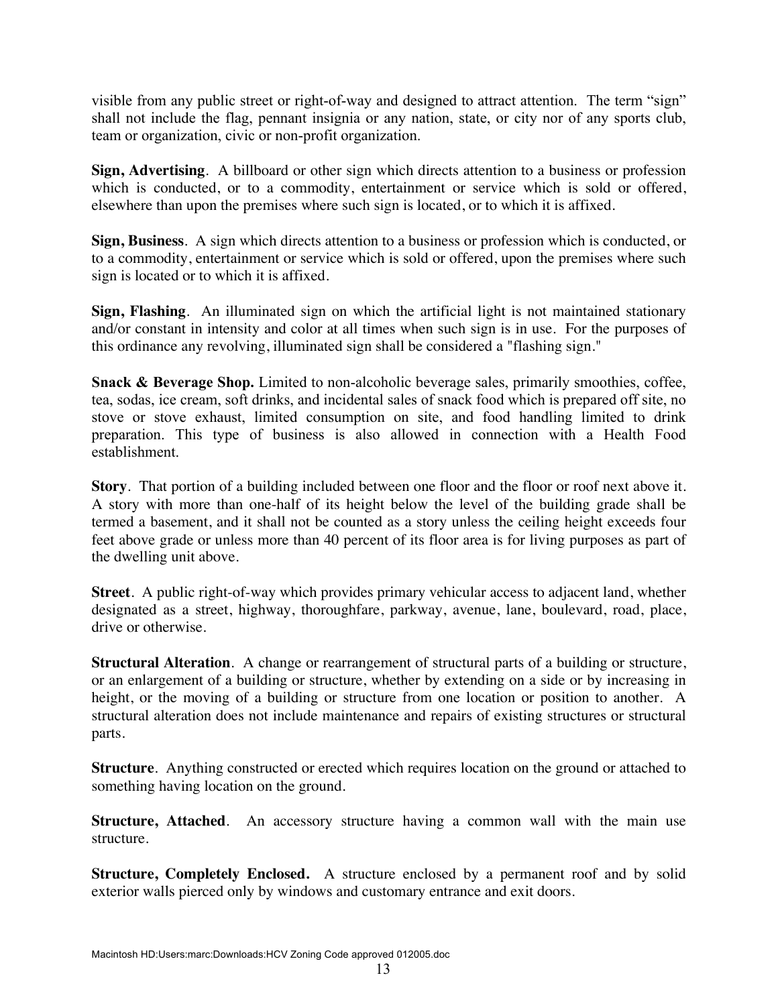visible from any public street or right-of-way and designed to attract attention. The term "sign" shall not include the flag, pennant insignia or any nation, state, or city nor of any sports club, team or organization, civic or non-profit organization.

**Sign, Advertising**. A billboard or other sign which directs attention to a business or profession which is conducted, or to a commodity, entertainment or service which is sold or offered, elsewhere than upon the premises where such sign is located, or to which it is affixed.

**Sign, Business**. A sign which directs attention to a business or profession which is conducted, or to a commodity, entertainment or service which is sold or offered, upon the premises where such sign is located or to which it is affixed.

**Sign, Flashing**. An illuminated sign on which the artificial light is not maintained stationary and/or constant in intensity and color at all times when such sign is in use. For the purposes of this ordinance any revolving, illuminated sign shall be considered a "flashing sign."

**Snack & Beverage Shop.** Limited to non-alcoholic beverage sales, primarily smoothies, coffee, tea, sodas, ice cream, soft drinks, and incidental sales of snack food which is prepared off site, no stove or stove exhaust, limited consumption on site, and food handling limited to drink preparation. This type of business is also allowed in connection with a Health Food establishment.

**Story**. That portion of a building included between one floor and the floor or roof next above it. A story with more than one-half of its height below the level of the building grade shall be termed a basement, and it shall not be counted as a story unless the ceiling height exceeds four feet above grade or unless more than 40 percent of its floor area is for living purposes as part of the dwelling unit above.

**Street**. A public right-of-way which provides primary vehicular access to adjacent land, whether designated as a street, highway, thoroughfare, parkway, avenue, lane, boulevard, road, place, drive or otherwise.

**Structural Alteration**. A change or rearrangement of structural parts of a building or structure, or an enlargement of a building or structure, whether by extending on a side or by increasing in height, or the moving of a building or structure from one location or position to another. A structural alteration does not include maintenance and repairs of existing structures or structural parts.

**Structure**. Anything constructed or erected which requires location on the ground or attached to something having location on the ground.

**Structure, Attached**. An accessory structure having a common wall with the main use structure.

**Structure, Completely Enclosed.** A structure enclosed by a permanent roof and by solid exterior walls pierced only by windows and customary entrance and exit doors.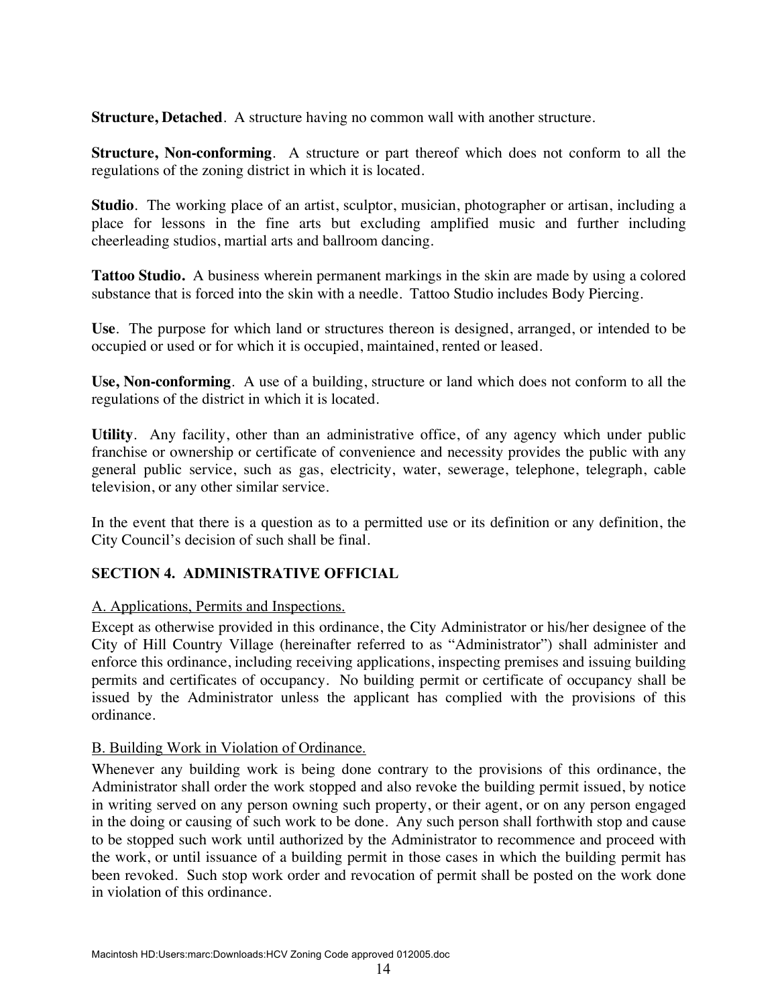**Structure, Detached**. A structure having no common wall with another structure.

**Structure, Non-conforming**. A structure or part thereof which does not conform to all the regulations of the zoning district in which it is located.

**Studio**. The working place of an artist, sculptor, musician, photographer or artisan, including a place for lessons in the fine arts but excluding amplified music and further including cheerleading studios, martial arts and ballroom dancing.

**Tattoo Studio.** A business wherein permanent markings in the skin are made by using a colored substance that is forced into the skin with a needle. Tattoo Studio includes Body Piercing.

**Use**. The purpose for which land or structures thereon is designed, arranged, or intended to be occupied or used or for which it is occupied, maintained, rented or leased.

**Use, Non-conforming**. A use of a building, structure or land which does not conform to all the regulations of the district in which it is located.

**Utility**. Any facility, other than an administrative office, of any agency which under public franchise or ownership or certificate of convenience and necessity provides the public with any general public service, such as gas, electricity, water, sewerage, telephone, telegraph, cable television, or any other similar service.

In the event that there is a question as to a permitted use or its definition or any definition, the City Council's decision of such shall be final.

### **SECTION 4. ADMINISTRATIVE OFFICIAL**

#### A. Applications, Permits and Inspections.

Except as otherwise provided in this ordinance, the City Administrator or his/her designee of the City of Hill Country Village (hereinafter referred to as "Administrator") shall administer and enforce this ordinance, including receiving applications, inspecting premises and issuing building permits and certificates of occupancy. No building permit or certificate of occupancy shall be issued by the Administrator unless the applicant has complied with the provisions of this ordinance.

#### B. Building Work in Violation of Ordinance.

Whenever any building work is being done contrary to the provisions of this ordinance, the Administrator shall order the work stopped and also revoke the building permit issued, by notice in writing served on any person owning such property, or their agent, or on any person engaged in the doing or causing of such work to be done. Any such person shall forthwith stop and cause to be stopped such work until authorized by the Administrator to recommence and proceed with the work, or until issuance of a building permit in those cases in which the building permit has been revoked. Such stop work order and revocation of permit shall be posted on the work done in violation of this ordinance.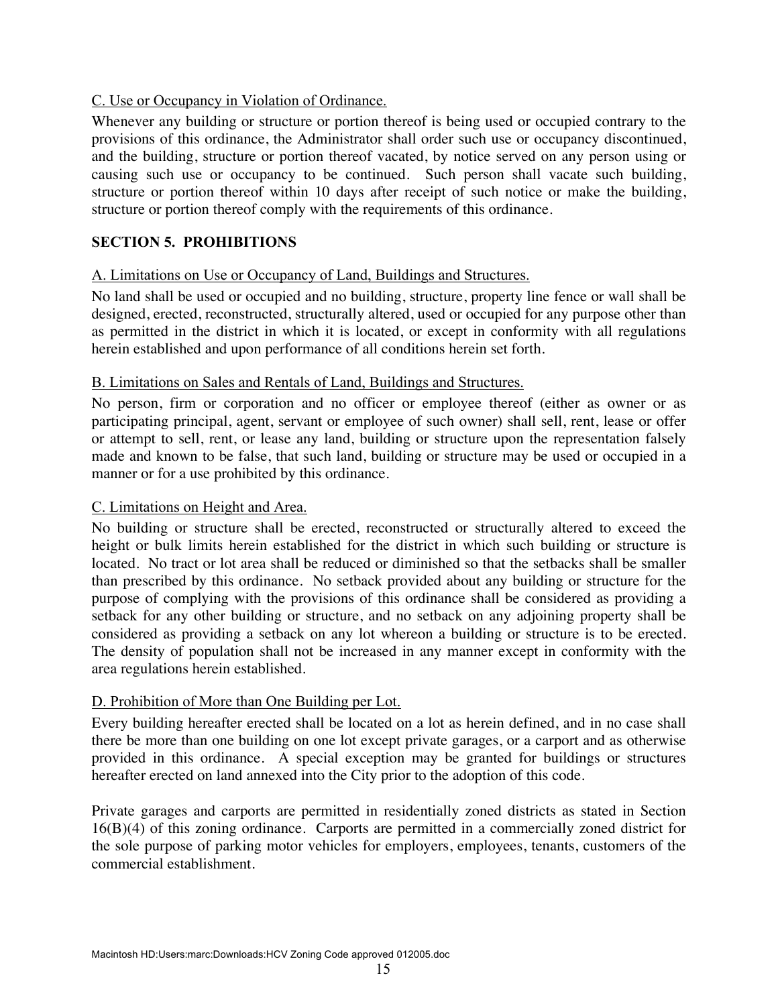### C. Use or Occupancy in Violation of Ordinance.

Whenever any building or structure or portion thereof is being used or occupied contrary to the provisions of this ordinance, the Administrator shall order such use or occupancy discontinued, and the building, structure or portion thereof vacated, by notice served on any person using or causing such use or occupancy to be continued. Such person shall vacate such building, structure or portion thereof within 10 days after receipt of such notice or make the building, structure or portion thereof comply with the requirements of this ordinance.

# **SECTION 5. PROHIBITIONS**

# A. Limitations on Use or Occupancy of Land, Buildings and Structures.

No land shall be used or occupied and no building, structure, property line fence or wall shall be designed, erected, reconstructed, structurally altered, used or occupied for any purpose other than as permitted in the district in which it is located, or except in conformity with all regulations herein established and upon performance of all conditions herein set forth.

### B. Limitations on Sales and Rentals of Land, Buildings and Structures.

No person, firm or corporation and no officer or employee thereof (either as owner or as participating principal, agent, servant or employee of such owner) shall sell, rent, lease or offer or attempt to sell, rent, or lease any land, building or structure upon the representation falsely made and known to be false, that such land, building or structure may be used or occupied in a manner or for a use prohibited by this ordinance.

# C. Limitations on Height and Area.

No building or structure shall be erected, reconstructed or structurally altered to exceed the height or bulk limits herein established for the district in which such building or structure is located. No tract or lot area shall be reduced or diminished so that the setbacks shall be smaller than prescribed by this ordinance. No setback provided about any building or structure for the purpose of complying with the provisions of this ordinance shall be considered as providing a setback for any other building or structure, and no setback on any adjoining property shall be considered as providing a setback on any lot whereon a building or structure is to be erected. The density of population shall not be increased in any manner except in conformity with the area regulations herein established.

# D. Prohibition of More than One Building per Lot.

Every building hereafter erected shall be located on a lot as herein defined, and in no case shall there be more than one building on one lot except private garages, or a carport and as otherwise provided in this ordinance. A special exception may be granted for buildings or structures hereafter erected on land annexed into the City prior to the adoption of this code.

Private garages and carports are permitted in residentially zoned districts as stated in Section 16(B)(4) of this zoning ordinance. Carports are permitted in a commercially zoned district for the sole purpose of parking motor vehicles for employers, employees, tenants, customers of the commercial establishment.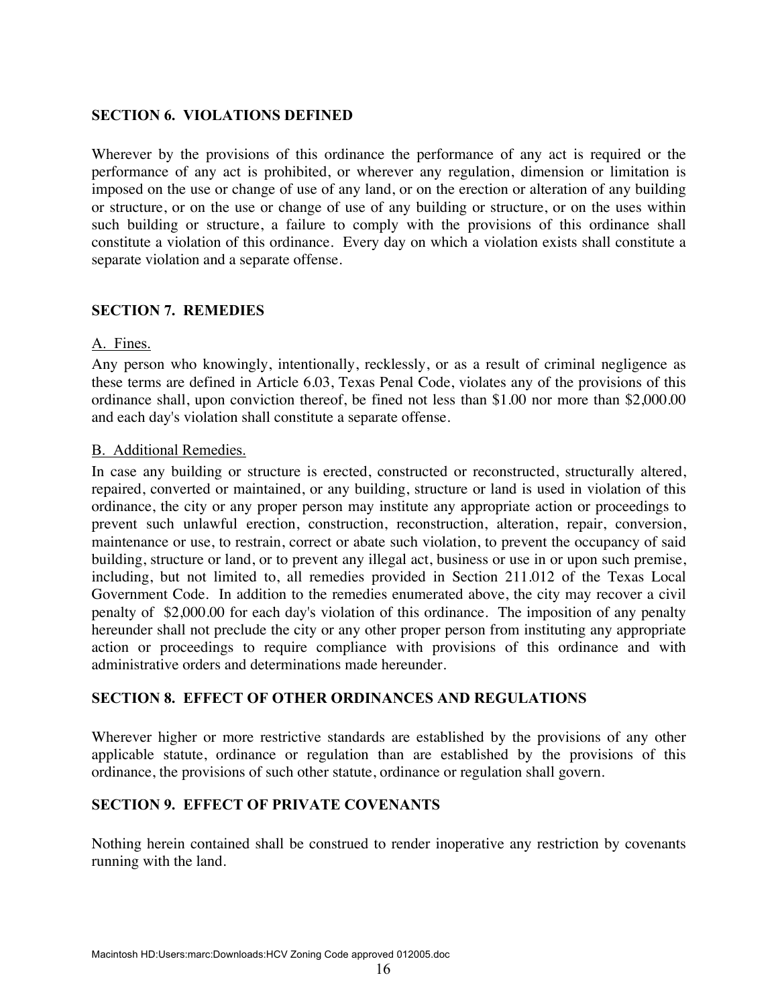### **SECTION 6. VIOLATIONS DEFINED**

Wherever by the provisions of this ordinance the performance of any act is required or the performance of any act is prohibited, or wherever any regulation, dimension or limitation is imposed on the use or change of use of any land, or on the erection or alteration of any building or structure, or on the use or change of use of any building or structure, or on the uses within such building or structure, a failure to comply with the provisions of this ordinance shall constitute a violation of this ordinance. Every day on which a violation exists shall constitute a separate violation and a separate offense.

### **SECTION 7. REMEDIES**

#### A. Fines.

Any person who knowingly, intentionally, recklessly, or as a result of criminal negligence as these terms are defined in Article 6.03, Texas Penal Code, violates any of the provisions of this ordinance shall, upon conviction thereof, be fined not less than \$1.00 nor more than \$2,000.00 and each day's violation shall constitute a separate offense.

#### B. Additional Remedies.

In case any building or structure is erected, constructed or reconstructed, structurally altered, repaired, converted or maintained, or any building, structure or land is used in violation of this ordinance, the city or any proper person may institute any appropriate action or proceedings to prevent such unlawful erection, construction, reconstruction, alteration, repair, conversion, maintenance or use, to restrain, correct or abate such violation, to prevent the occupancy of said building, structure or land, or to prevent any illegal act, business or use in or upon such premise, including, but not limited to, all remedies provided in Section 211.012 of the Texas Local Government Code. In addition to the remedies enumerated above, the city may recover a civil penalty of \$2,000.00 for each day's violation of this ordinance. The imposition of any penalty hereunder shall not preclude the city or any other proper person from instituting any appropriate action or proceedings to require compliance with provisions of this ordinance and with administrative orders and determinations made hereunder.

### **SECTION 8. EFFECT OF OTHER ORDINANCES AND REGULATIONS**

Wherever higher or more restrictive standards are established by the provisions of any other applicable statute, ordinance or regulation than are established by the provisions of this ordinance, the provisions of such other statute, ordinance or regulation shall govern.

### **SECTION 9. EFFECT OF PRIVATE COVENANTS**

Nothing herein contained shall be construed to render inoperative any restriction by covenants running with the land.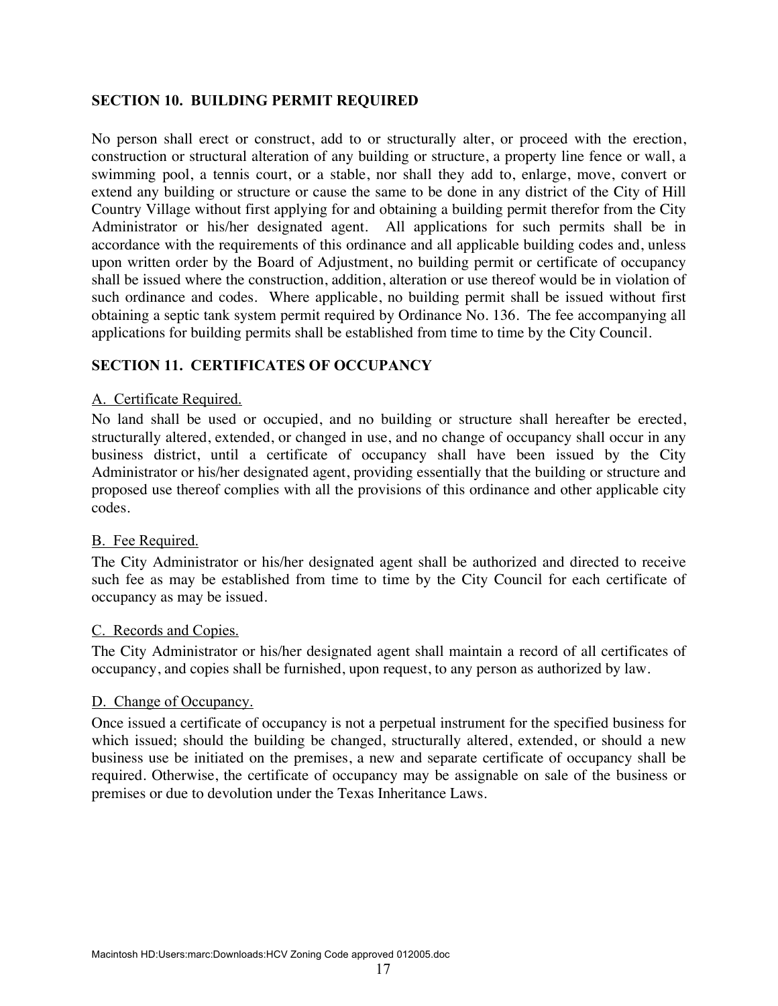### **SECTION 10. BUILDING PERMIT REQUIRED**

No person shall erect or construct, add to or structurally alter, or proceed with the erection, construction or structural alteration of any building or structure, a property line fence or wall, a swimming pool, a tennis court, or a stable, nor shall they add to, enlarge, move, convert or extend any building or structure or cause the same to be done in any district of the City of Hill Country Village without first applying for and obtaining a building permit therefor from the City Administrator or his/her designated agent. All applications for such permits shall be in accordance with the requirements of this ordinance and all applicable building codes and, unless upon written order by the Board of Adjustment, no building permit or certificate of occupancy shall be issued where the construction, addition, alteration or use thereof would be in violation of such ordinance and codes. Where applicable, no building permit shall be issued without first obtaining a septic tank system permit required by Ordinance No. 136. The fee accompanying all applications for building permits shall be established from time to time by the City Council.

### **SECTION 11. CERTIFICATES OF OCCUPANCY**

#### A. Certificate Required.

No land shall be used or occupied, and no building or structure shall hereafter be erected, structurally altered, extended, or changed in use, and no change of occupancy shall occur in any business district, until a certificate of occupancy shall have been issued by the City Administrator or his/her designated agent, providing essentially that the building or structure and proposed use thereof complies with all the provisions of this ordinance and other applicable city codes.

#### B. Fee Required.

The City Administrator or his/her designated agent shall be authorized and directed to receive such fee as may be established from time to time by the City Council for each certificate of occupancy as may be issued.

#### C. Records and Copies.

The City Administrator or his/her designated agent shall maintain a record of all certificates of occupancy, and copies shall be furnished, upon request, to any person as authorized by law.

#### D. Change of Occupancy.

Once issued a certificate of occupancy is not a perpetual instrument for the specified business for which issued; should the building be changed, structurally altered, extended, or should a new business use be initiated on the premises, a new and separate certificate of occupancy shall be required. Otherwise, the certificate of occupancy may be assignable on sale of the business or premises or due to devolution under the Texas Inheritance Laws.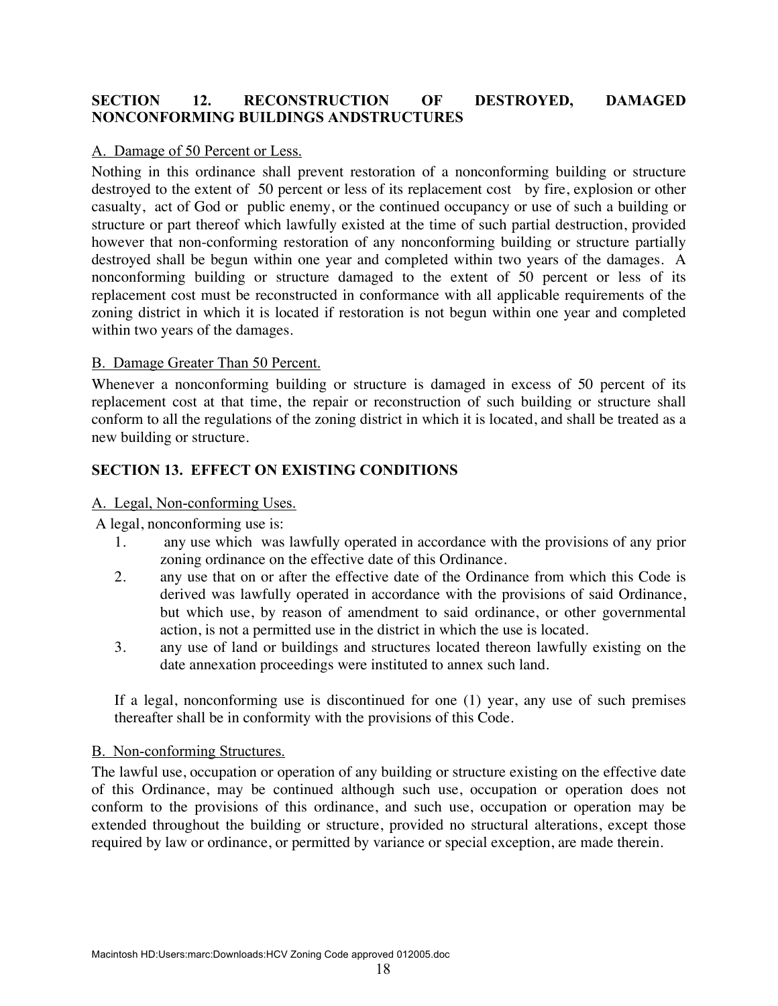### **SECTION 12. RECONSTRUCTION OF DESTROYED, DAMAGED NONCONFORMING BUILDINGS ANDSTRUCTURES**

### A. Damage of 50 Percent or Less.

Nothing in this ordinance shall prevent restoration of a nonconforming building or structure destroyed to the extent of 50 percent or less of its replacement cost by fire, explosion or other casualty, act of God or public enemy, or the continued occupancy or use of such a building or structure or part thereof which lawfully existed at the time of such partial destruction, provided however that non-conforming restoration of any nonconforming building or structure partially destroyed shall be begun within one year and completed within two years of the damages. A nonconforming building or structure damaged to the extent of 50 percent or less of its replacement cost must be reconstructed in conformance with all applicable requirements of the zoning district in which it is located if restoration is not begun within one year and completed within two years of the damages.

### B. Damage Greater Than 50 Percent.

Whenever a nonconforming building or structure is damaged in excess of 50 percent of its replacement cost at that time, the repair or reconstruction of such building or structure shall conform to all the regulations of the zoning district in which it is located, and shall be treated as a new building or structure.

### **SECTION 13. EFFECT ON EXISTING CONDITIONS**

#### A. Legal, Non-conforming Uses.

A legal, nonconforming use is:

- 1. any use which was lawfully operated in accordance with the provisions of any prior zoning ordinance on the effective date of this Ordinance.
- 2. any use that on or after the effective date of the Ordinance from which this Code is derived was lawfully operated in accordance with the provisions of said Ordinance, but which use, by reason of amendment to said ordinance, or other governmental action, is not a permitted use in the district in which the use is located.
- 3. any use of land or buildings and structures located thereon lawfully existing on the date annexation proceedings were instituted to annex such land.

If a legal, nonconforming use is discontinued for one (1) year, any use of such premises thereafter shall be in conformity with the provisions of this Code.

#### B. Non-conforming Structures.

The lawful use, occupation or operation of any building or structure existing on the effective date of this Ordinance, may be continued although such use, occupation or operation does not conform to the provisions of this ordinance, and such use, occupation or operation may be extended throughout the building or structure, provided no structural alterations, except those required by law or ordinance, or permitted by variance or special exception, are made therein.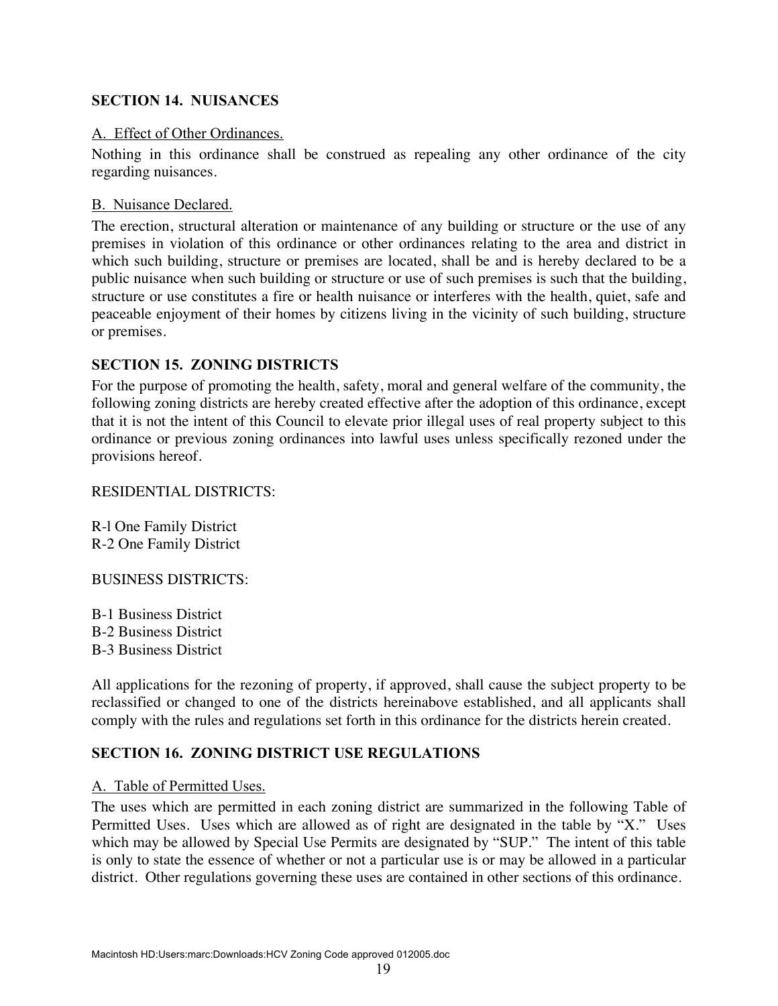### **SECTION 14. NUISANCES**

#### A. Effect of Other Ordinances.

Nothing in this ordinance shall be construed as repealing any other ordinance of the city regarding nuisances.

#### B. Nuisance Declared.

The erection, structural alteration or maintenance of any building or structure or the use of any premises in violation of this ordinance or other ordinances relating to the area and district in which such building, structure or premises are located, shall be and is hereby declared to be a public nuisance when such building or structure or use of such premises is such that the building, structure or use constitutes a fire or health nuisance or interferes with the health, quiet, safe and peaceable enjoyment of their homes by citizens living in the vicinity of such building, structure or premises.

### **SECTION 15. ZONING DISTRICTS**

For the purpose of promoting the health, safety, moral and general welfare of the community, the following zoning districts are hereby created effective after the adoption of this ordinance, except that it is not the intent of this Council to elevate prior illegal uses of real property subject to this ordinance or previous zoning ordinances into lawful uses unless specifically rezoned under the provisions hereof.

#### RESIDENTIAL DISTRICTS:

R-l One Family District R-2 One Family District

#### BUSINESS DISTRICTS:

B-1 Business District B-2 Business District B-3 Business District

All applications for the rezoning of property, if approved, shall cause the subject property to be reclassified or changed to one of the districts hereinabove established, and all applicants shall comply with the rules and regulations set forth in this ordinance for the districts herein created.

#### **SECTION 16. ZONING DISTRICT USE REGULATIONS**

#### A. Table of Permitted Uses.

The uses which are permitted in each zoning district are summarized in the following Table of Permitted Uses. Uses which are allowed as of right are designated in the table by "X." Uses which may be allowed by Special Use Permits are designated by "SUP." The intent of this table is only to state the essence of whether or not a particular use is or may be allowed in a particular district. Other regulations governing these uses are contained in other sections of this ordinance.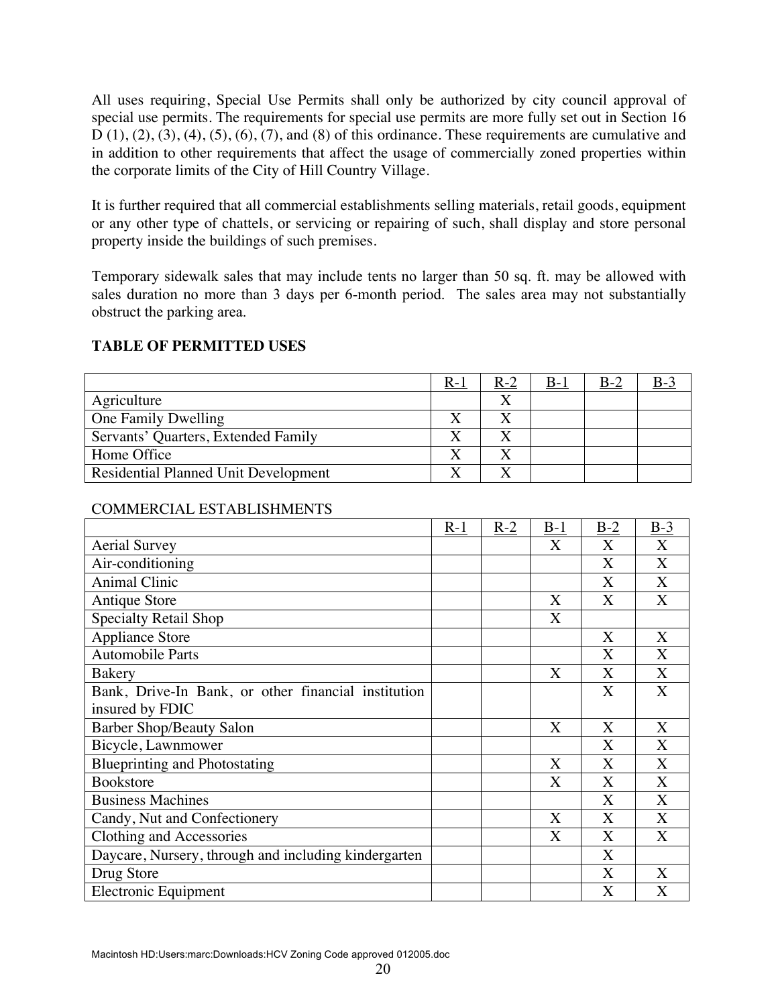All uses requiring, Special Use Permits shall only be authorized by city council approval of special use permits. The requirements for special use permits are more fully set out in Section 16  $D(1), (2), (3), (4), (5), (6), (7),$  and  $(8)$  of this ordinance. These requirements are cumulative and in addition to other requirements that affect the usage of commercially zoned properties within the corporate limits of the City of Hill Country Village.

It is further required that all commercial establishments selling materials, retail goods, equipment or any other type of chattels, or servicing or repairing of such, shall display and store personal property inside the buildings of such premises.

Temporary sidewalk sales that may include tents no larger than 50 sq. ft. may be allowed with sales duration no more than 3 days per 6-month period. The sales area may not substantially obstruct the parking area.

|                                             | $R-1$ | $R-2$ | $B_{-1}$ | $B-2$ |  |
|---------------------------------------------|-------|-------|----------|-------|--|
| Agriculture                                 |       |       |          |       |  |
| One Family Dwelling                         |       |       |          |       |  |
| Servants' Quarters, Extended Family         |       |       |          |       |  |
| Home Office                                 |       |       |          |       |  |
| <b>Residential Planned Unit Development</b> |       |       |          |       |  |

# **TABLE OF PERMITTED USES**

### COMMERCIAL ESTABLISHMENTS

|                                                      | $R-1$ | $R-2$ | $B-1$ | $B-2$       | $B-3$ |
|------------------------------------------------------|-------|-------|-------|-------------|-------|
| <b>Aerial Survey</b>                                 |       |       | X     | X           | X     |
| Air-conditioning                                     |       |       |       | X           | X     |
| <b>Animal Clinic</b>                                 |       |       |       | $\mathbf X$ | X     |
| <b>Antique Store</b>                                 |       |       | X     | X           | X     |
| Specialty Retail Shop                                |       |       | X     |             |       |
| <b>Appliance Store</b>                               |       |       |       | X           | X     |
| <b>Automobile Parts</b>                              |       |       |       | X           | X     |
| <b>Bakery</b>                                        |       |       | X     | X           | X     |
| Bank, Drive-In Bank, or other financial institution  |       |       |       | X           | X     |
| insured by FDIC                                      |       |       |       |             |       |
| <b>Barber Shop/Beauty Salon</b>                      |       |       | X     | X           | X     |
| Bicycle, Lawnmower                                   |       |       |       | X           | X     |
| <b>Blueprinting and Photostating</b>                 |       |       | X     | X           | X     |
| <b>Bookstore</b>                                     |       |       | X     | X           | X     |
| <b>Business Machines</b>                             |       |       |       | X           | X     |
| Candy, Nut and Confectionery                         |       |       | X     | X           | X     |
| Clothing and Accessories                             |       |       | X     | X           | X     |
| Daycare, Nursery, through and including kindergarten |       |       |       | X           |       |
| Drug Store                                           |       |       |       | X           | X     |
| Electronic Equipment                                 |       |       |       | X           | X     |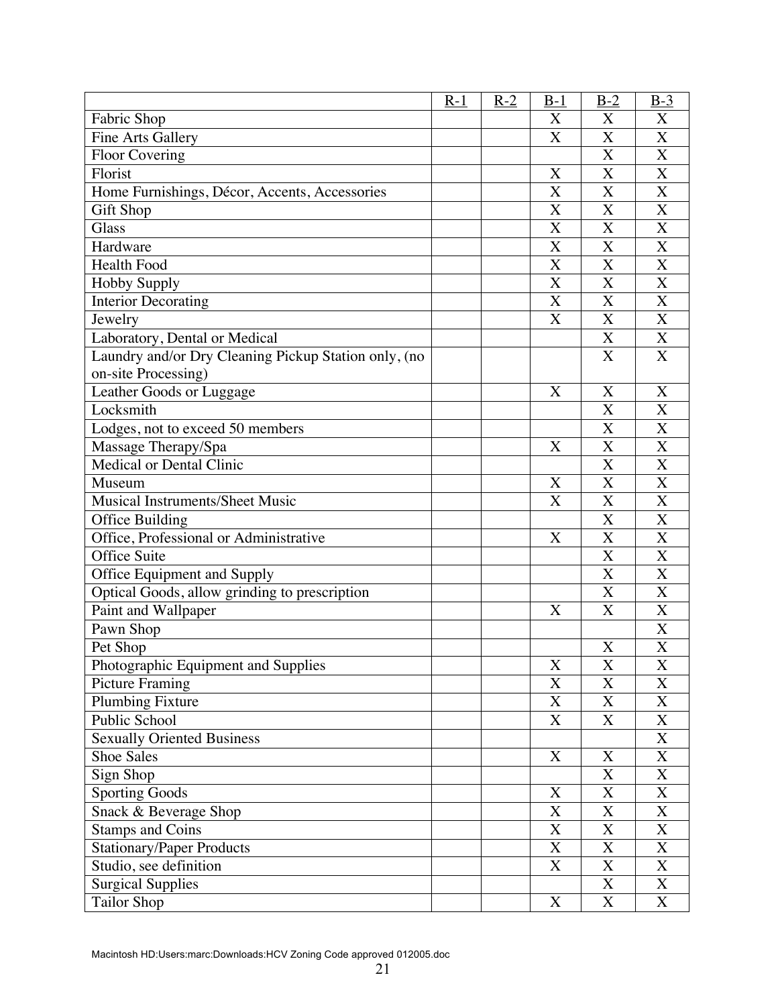|                                                      | $R-1$ | $R-2$ | $B-1$                 | $B-2$                     | $B-3$                     |
|------------------------------------------------------|-------|-------|-----------------------|---------------------------|---------------------------|
| Fabric Shop                                          |       |       | X                     | X                         | X                         |
| <b>Fine Arts Gallery</b>                             |       |       | X                     | X                         | $\overline{\text{X}}$     |
| <b>Floor Covering</b>                                |       |       |                       | X                         | X                         |
| Florist                                              |       |       | X                     | X                         | $\bf{X}$                  |
| Home Furnishings, Décor, Accents, Accessories        |       |       | X                     | X                         | $\overline{\text{X}}$     |
| <b>Gift Shop</b>                                     |       |       | X                     | X                         | X                         |
| Glass                                                |       |       | X                     | X                         | $\overline{\text{X}}$     |
| Hardware                                             |       |       | X                     | X                         | X                         |
| <b>Health Food</b>                                   |       |       | X                     | $\overline{\text{X}}$     | $\overline{X}$            |
| <b>Hobby Supply</b>                                  |       |       | X                     | X                         | $\overline{\text{X}}$     |
| <b>Interior Decorating</b>                           |       |       | X                     | X                         | X                         |
| Jewelry                                              |       |       | $\overline{\text{X}}$ | X                         | $\overline{\text{X}}$     |
| Laboratory, Dental or Medical                        |       |       |                       | X                         | X                         |
| Laundry and/or Dry Cleaning Pickup Station only, (no |       |       |                       | X                         | $\overline{X}$            |
| on-site Processing)                                  |       |       |                       |                           |                           |
| Leather Goods or Luggage                             |       |       | X                     | X                         | X                         |
| Locksmith                                            |       |       |                       | X                         | $\overline{\text{X}}$     |
| Lodges, not to exceed 50 members                     |       |       |                       | X                         | X                         |
| Massage Therapy/Spa                                  |       |       | X                     | X                         | X                         |
| Medical or Dental Clinic                             |       |       |                       | X                         | $\bf X$                   |
| Museum                                               |       |       | X                     | X                         | X                         |
| <b>Musical Instruments/Sheet Music</b>               |       |       | X                     | X                         | $\mathbf X$               |
| Office Building                                      |       |       |                       | X                         | $\overline{X}$            |
| Office, Professional or Administrative               |       |       | X                     | $\overline{\text{X}}$     | $\overline{\text{X}}$     |
| Office Suite                                         |       |       |                       | X                         | $\overline{\text{X}}$     |
| Office Equipment and Supply                          |       |       |                       | X                         | X                         |
| Optical Goods, allow grinding to prescription        |       |       |                       | X                         | X                         |
| Paint and Wallpaper                                  |       |       | X                     | X                         | $\overline{X}$            |
| Pawn Shop                                            |       |       |                       |                           | $\boldsymbol{X}$          |
| Pet Shop                                             |       |       |                       | X                         | $\overline{\text{X}}$     |
| Photographic Equipment and Supplies                  |       |       | $\mathbf X$           | $\overline{\textbf{X}}$   | $\overline{\text{X}}$     |
| Picture Framing                                      |       |       | X                     | X                         | X                         |
| <b>Plumbing Fixture</b>                              |       |       | X                     | X                         | X                         |
| Public School                                        |       |       | X                     | X                         | X                         |
| <b>Sexually Oriented Business</b>                    |       |       |                       |                           | $\overline{\text{X}}$     |
| <b>Shoe Sales</b>                                    |       |       | X                     | X                         | $\boldsymbol{\mathrm{X}}$ |
| Sign Shop                                            |       |       |                       | $\boldsymbol{\mathrm{X}}$ | $\boldsymbol{\mathrm{X}}$ |
| Sporting Goods                                       |       |       | $\boldsymbol{X}$      | X                         | $\overline{\text{X}}$     |
| Snack & Beverage Shop                                |       |       | X                     | X                         | X                         |
| <b>Stamps and Coins</b>                              |       |       | X                     | X                         | $\overline{\text{X}}$     |
| <b>Stationary/Paper Products</b>                     |       |       | X                     | X                         | $\boldsymbol{\mathrm{X}}$ |
| Studio, see definition                               |       |       | X                     | X                         | X                         |
| <b>Surgical Supplies</b>                             |       |       |                       | $\mathbf X$               | $\overline{\text{X}}$     |
| <b>Tailor Shop</b>                                   |       |       | X                     | X                         | X                         |

Macintosh HD:Users:marc:Downloads:HCV Zoning Code approved 012005.doc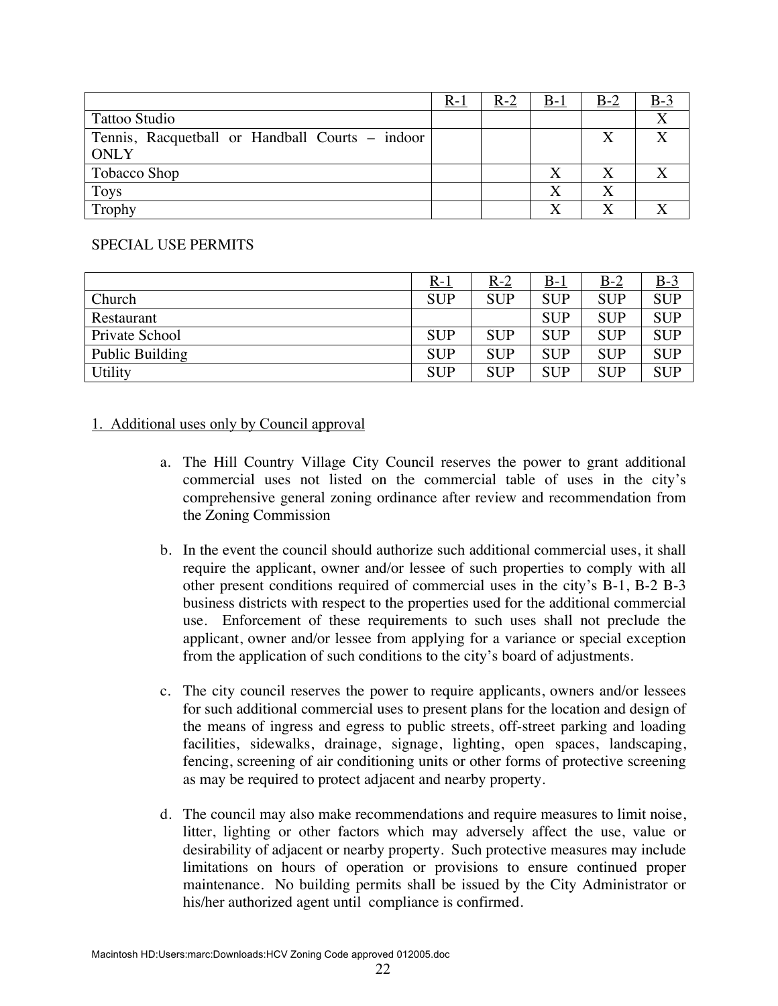|                                                 | $R-1$ | $R-2$ | $B-1$        | $B-2$ | $B-3$ |
|-------------------------------------------------|-------|-------|--------------|-------|-------|
| Tattoo Studio                                   |       |       |              |       |       |
| Tennis, Racquetball or Handball Courts – indoor |       |       |              |       |       |
| ONLY                                            |       |       |              |       |       |
| Tobacco Shop                                    |       |       |              |       |       |
| <b>Toys</b>                                     |       |       | X            |       |       |
| Trophy                                          |       |       | $\mathbf{v}$ |       |       |

### SPECIAL USE PERMITS

|                 | <u>R-1</u> | <u>R-2</u> | <u>B-1</u> | $B-2$      | <u>B-3</u> |
|-----------------|------------|------------|------------|------------|------------|
| Church          | <b>SUP</b> | <b>SUP</b> | <b>SUP</b> | <b>SUP</b> | <b>SUP</b> |
| Restaurant      |            |            | <b>SUP</b> | <b>SUP</b> | <b>SUP</b> |
| Private School  | <b>SUP</b> | <b>SUP</b> | <b>SUP</b> | <b>SUP</b> | <b>SUP</b> |
| Public Building | <b>SUP</b> | <b>SUP</b> | <b>SUP</b> | <b>SUP</b> | <b>SUP</b> |
| Utility         | <b>SUP</b> | <b>SUP</b> | <b>SUP</b> | <b>SUP</b> | <b>SUP</b> |

### 1. Additional uses only by Council approval

- a. The Hill Country Village City Council reserves the power to grant additional commercial uses not listed on the commercial table of uses in the city's comprehensive general zoning ordinance after review and recommendation from the Zoning Commission
- b. In the event the council should authorize such additional commercial uses, it shall require the applicant, owner and/or lessee of such properties to comply with all other present conditions required of commercial uses in the city's B-1, B-2 B-3 business districts with respect to the properties used for the additional commercial use. Enforcement of these requirements to such uses shall not preclude the applicant, owner and/or lessee from applying for a variance or special exception from the application of such conditions to the city's board of adjustments.
- c. The city council reserves the power to require applicants, owners and/or lessees for such additional commercial uses to present plans for the location and design of the means of ingress and egress to public streets, off-street parking and loading facilities, sidewalks, drainage, signage, lighting, open spaces, landscaping, fencing, screening of air conditioning units or other forms of protective screening as may be required to protect adjacent and nearby property.
- d. The council may also make recommendations and require measures to limit noise, litter, lighting or other factors which may adversely affect the use, value or desirability of adjacent or nearby property. Such protective measures may include limitations on hours of operation or provisions to ensure continued proper maintenance. No building permits shall be issued by the City Administrator or his/her authorized agent until compliance is confirmed.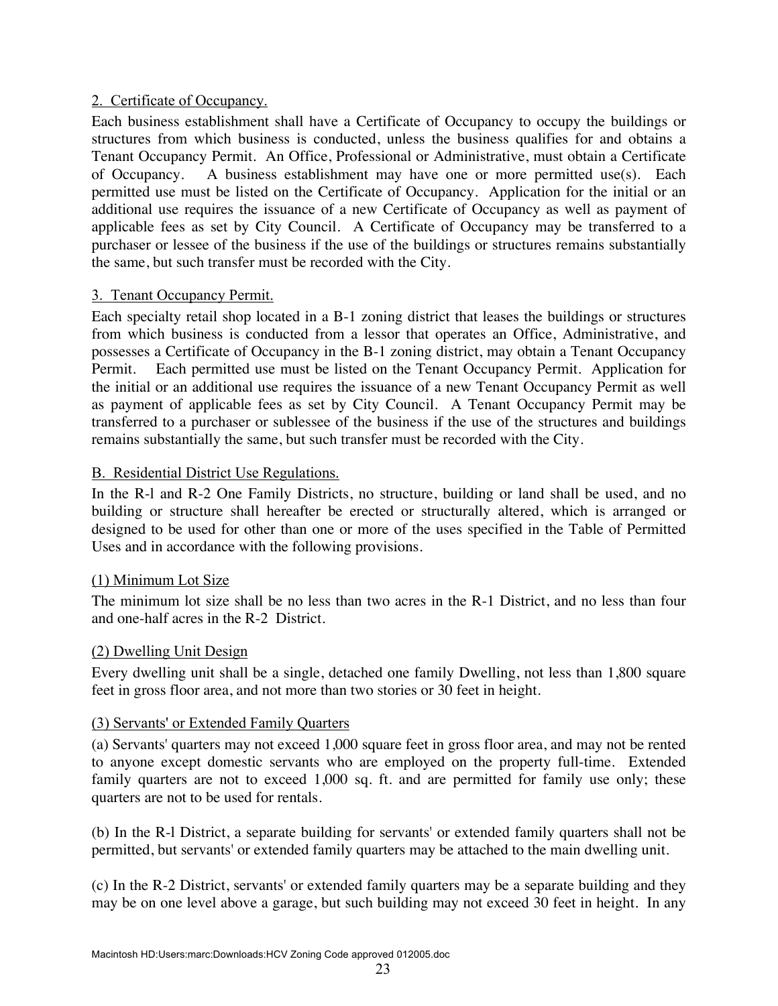### 2. Certificate of Occupancy.

Each business establishment shall have a Certificate of Occupancy to occupy the buildings or structures from which business is conducted, unless the business qualifies for and obtains a Tenant Occupancy Permit. An Office, Professional or Administrative, must obtain a Certificate of Occupancy. A business establishment may have one or more permitted use(s). Each permitted use must be listed on the Certificate of Occupancy. Application for the initial or an additional use requires the issuance of a new Certificate of Occupancy as well as payment of applicable fees as set by City Council. A Certificate of Occupancy may be transferred to a purchaser or lessee of the business if the use of the buildings or structures remains substantially the same, but such transfer must be recorded with the City.

### 3. Tenant Occupancy Permit.

Each specialty retail shop located in a B-1 zoning district that leases the buildings or structures from which business is conducted from a lessor that operates an Office, Administrative, and possesses a Certificate of Occupancy in the B-1 zoning district, may obtain a Tenant Occupancy Permit. Each permitted use must be listed on the Tenant Occupancy Permit. Application for the initial or an additional use requires the issuance of a new Tenant Occupancy Permit as well as payment of applicable fees as set by City Council. A Tenant Occupancy Permit may be transferred to a purchaser or sublessee of the business if the use of the structures and buildings remains substantially the same, but such transfer must be recorded with the City.

# B. Residential District Use Regulations.

In the R-l and R-2 One Family Districts, no structure, building or land shall be used, and no building or structure shall hereafter be erected or structurally altered, which is arranged or designed to be used for other than one or more of the uses specified in the Table of Permitted Uses and in accordance with the following provisions.

### (1) Minimum Lot Size

The minimum lot size shall be no less than two acres in the R-1 District, and no less than four and one-half acres in the R-2 District.

### (2) Dwelling Unit Design

Every dwelling unit shall be a single, detached one family Dwelling, not less than 1,800 square feet in gross floor area, and not more than two stories or 30 feet in height.

### (3) Servants' or Extended Family Quarters

(a) Servants' quarters may not exceed 1,000 square feet in gross floor area, and may not be rented to anyone except domestic servants who are employed on the property full-time. Extended family quarters are not to exceed 1,000 sq. ft. and are permitted for family use only; these quarters are not to be used for rentals.

(b) In the R-l District, a separate building for servants' or extended family quarters shall not be permitted, but servants' or extended family quarters may be attached to the main dwelling unit.

(c) In the R-2 District, servants' or extended family quarters may be a separate building and they may be on one level above a garage, but such building may not exceed 30 feet in height. In any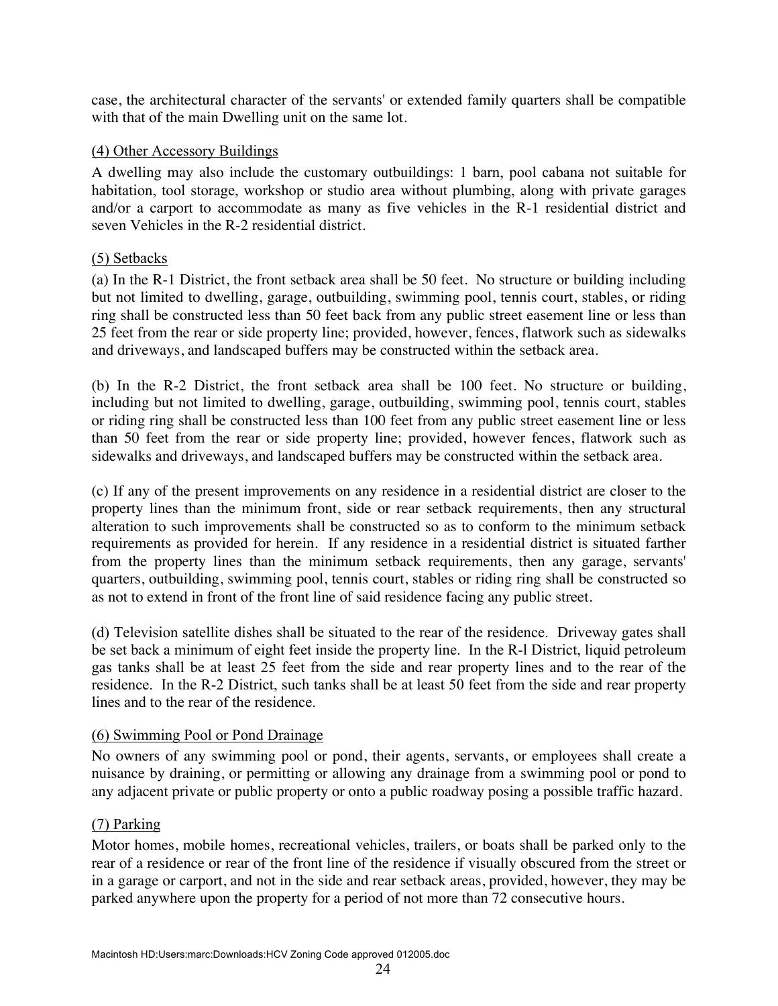case, the architectural character of the servants' or extended family quarters shall be compatible with that of the main Dwelling unit on the same lot.

### (4) Other Accessory Buildings

A dwelling may also include the customary outbuildings: 1 barn, pool cabana not suitable for habitation, tool storage, workshop or studio area without plumbing, along with private garages and/or a carport to accommodate as many as five vehicles in the R-1 residential district and seven Vehicles in the R-2 residential district.

### (5) Setbacks

(a) In the R-1 District, the front setback area shall be 50 feet. No structure or building including but not limited to dwelling, garage, outbuilding, swimming pool, tennis court, stables, or riding ring shall be constructed less than 50 feet back from any public street easement line or less than 25 feet from the rear or side property line; provided, however, fences, flatwork such as sidewalks and driveways, and landscaped buffers may be constructed within the setback area.

(b) In the R-2 District, the front setback area shall be 100 feet. No structure or building, including but not limited to dwelling, garage, outbuilding, swimming pool, tennis court, stables or riding ring shall be constructed less than 100 feet from any public street easement line or less than 50 feet from the rear or side property line; provided, however fences, flatwork such as sidewalks and driveways, and landscaped buffers may be constructed within the setback area.

(c) If any of the present improvements on any residence in a residential district are closer to the property lines than the minimum front, side or rear setback requirements, then any structural alteration to such improvements shall be constructed so as to conform to the minimum setback requirements as provided for herein. If any residence in a residential district is situated farther from the property lines than the minimum setback requirements, then any garage, servants' quarters, outbuilding, swimming pool, tennis court, stables or riding ring shall be constructed so as not to extend in front of the front line of said residence facing any public street.

(d) Television satellite dishes shall be situated to the rear of the residence. Driveway gates shall be set back a minimum of eight feet inside the property line. In the R-l District, liquid petroleum gas tanks shall be at least 25 feet from the side and rear property lines and to the rear of the residence. In the R-2 District, such tanks shall be at least 50 feet from the side and rear property lines and to the rear of the residence.

#### (6) Swimming Pool or Pond Drainage

No owners of any swimming pool or pond, their agents, servants, or employees shall create a nuisance by draining, or permitting or allowing any drainage from a swimming pool or pond to any adjacent private or public property or onto a public roadway posing a possible traffic hazard.

#### (7) Parking

Motor homes, mobile homes, recreational vehicles, trailers, or boats shall be parked only to the rear of a residence or rear of the front line of the residence if visually obscured from the street or in a garage or carport, and not in the side and rear setback areas, provided, however, they may be parked anywhere upon the property for a period of not more than 72 consecutive hours.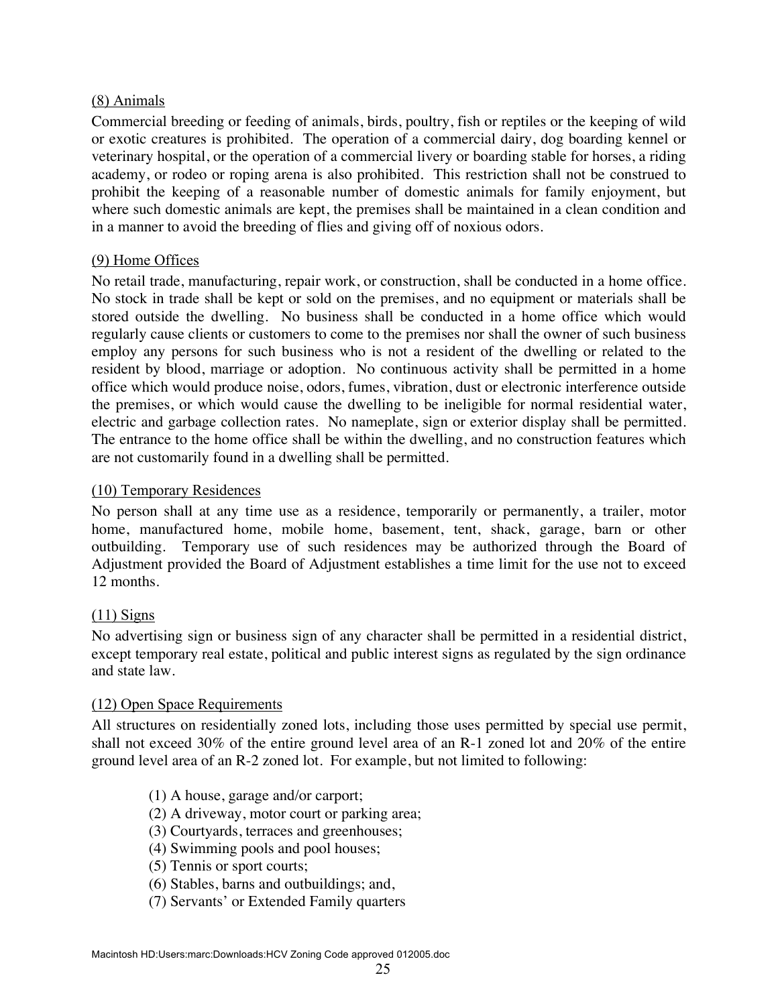### (8) Animals

Commercial breeding or feeding of animals, birds, poultry, fish or reptiles or the keeping of wild or exotic creatures is prohibited. The operation of a commercial dairy, dog boarding kennel or veterinary hospital, or the operation of a commercial livery or boarding stable for horses, a riding academy, or rodeo or roping arena is also prohibited. This restriction shall not be construed to prohibit the keeping of a reasonable number of domestic animals for family enjoyment, but where such domestic animals are kept, the premises shall be maintained in a clean condition and in a manner to avoid the breeding of flies and giving off of noxious odors.

### (9) Home Offices

No retail trade, manufacturing, repair work, or construction, shall be conducted in a home office. No stock in trade shall be kept or sold on the premises, and no equipment or materials shall be stored outside the dwelling. No business shall be conducted in a home office which would regularly cause clients or customers to come to the premises nor shall the owner of such business employ any persons for such business who is not a resident of the dwelling or related to the resident by blood, marriage or adoption. No continuous activity shall be permitted in a home office which would produce noise, odors, fumes, vibration, dust or electronic interference outside the premises, or which would cause the dwelling to be ineligible for normal residential water, electric and garbage collection rates. No nameplate, sign or exterior display shall be permitted. The entrance to the home office shall be within the dwelling, and no construction features which are not customarily found in a dwelling shall be permitted.

#### (10) Temporary Residences

No person shall at any time use as a residence, temporarily or permanently, a trailer, motor home, manufactured home, mobile home, basement, tent, shack, garage, barn or other outbuilding. Temporary use of such residences may be authorized through the Board of Adjustment provided the Board of Adjustment establishes a time limit for the use not to exceed 12 months.

#### $(11)$  Signs

No advertising sign or business sign of any character shall be permitted in a residential district, except temporary real estate, political and public interest signs as regulated by the sign ordinance and state law.

#### (12) Open Space Requirements

All structures on residentially zoned lots, including those uses permitted by special use permit, shall not exceed 30% of the entire ground level area of an R-1 zoned lot and 20% of the entire ground level area of an R-2 zoned lot. For example, but not limited to following:

- (1) A house, garage and/or carport;
- (2) A driveway, motor court or parking area;
- (3) Courtyards, terraces and greenhouses;
- (4) Swimming pools and pool houses;
- (5) Tennis or sport courts;
- (6) Stables, barns and outbuildings; and,
- (7) Servants' or Extended Family quarters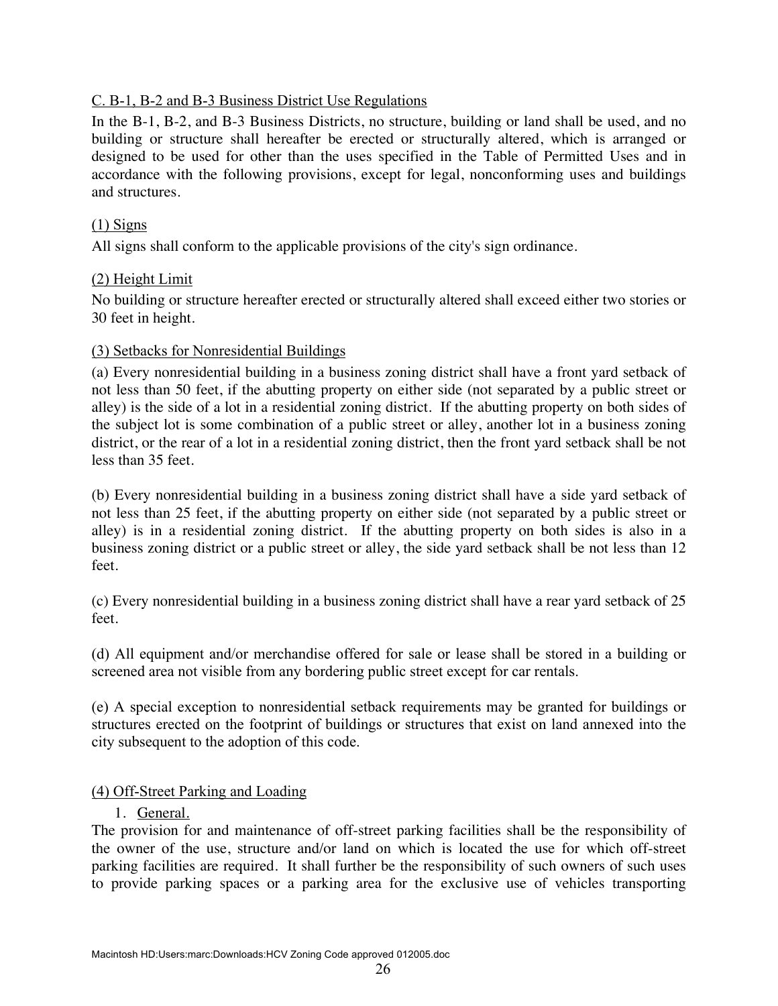### C. B-1, B-2 and B-3 Business District Use Regulations

In the B-1, B-2, and B-3 Business Districts, no structure, building or land shall be used, and no building or structure shall hereafter be erected or structurally altered, which is arranged or designed to be used for other than the uses specified in the Table of Permitted Uses and in accordance with the following provisions, except for legal, nonconforming uses and buildings and structures.

### (1) Signs

All signs shall conform to the applicable provisions of the city's sign ordinance.

### (2) Height Limit

No building or structure hereafter erected or structurally altered shall exceed either two stories or 30 feet in height.

### (3) Setbacks for Nonresidential Buildings

(a) Every nonresidential building in a business zoning district shall have a front yard setback of not less than 50 feet, if the abutting property on either side (not separated by a public street or alley) is the side of a lot in a residential zoning district. If the abutting property on both sides of the subject lot is some combination of a public street or alley, another lot in a business zoning district, or the rear of a lot in a residential zoning district, then the front yard setback shall be not less than 35 feet.

(b) Every nonresidential building in a business zoning district shall have a side yard setback of not less than 25 feet, if the abutting property on either side (not separated by a public street or alley) is in a residential zoning district. If the abutting property on both sides is also in a business zoning district or a public street or alley, the side yard setback shall be not less than 12 feet.

(c) Every nonresidential building in a business zoning district shall have a rear yard setback of 25 feet.

(d) All equipment and/or merchandise offered for sale or lease shall be stored in a building or screened area not visible from any bordering public street except for car rentals.

(e) A special exception to nonresidential setback requirements may be granted for buildings or structures erected on the footprint of buildings or structures that exist on land annexed into the city subsequent to the adoption of this code.

### (4) Off-Street Parking and Loading

#### 1. General.

The provision for and maintenance of off-street parking facilities shall be the responsibility of the owner of the use, structure and/or land on which is located the use for which off-street parking facilities are required. It shall further be the responsibility of such owners of such uses to provide parking spaces or a parking area for the exclusive use of vehicles transporting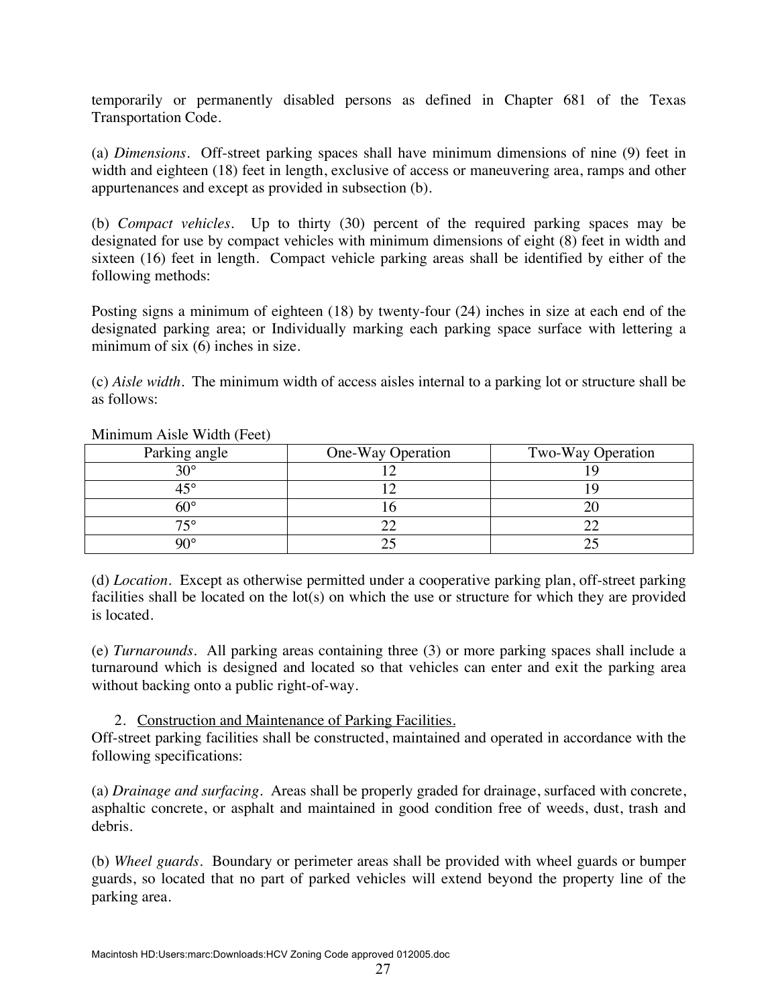temporarily or permanently disabled persons as defined in Chapter 681 of the Texas Transportation Code.

(a) *Dimensions*. Off-street parking spaces shall have minimum dimensions of nine (9) feet in width and eighteen (18) feet in length, exclusive of access or maneuvering area, ramps and other appurtenances and except as provided in subsection (b).

(b) *Compact vehicles*. Up to thirty (30) percent of the required parking spaces may be designated for use by compact vehicles with minimum dimensions of eight (8) feet in width and sixteen (16) feet in length. Compact vehicle parking areas shall be identified by either of the following methods:

Posting signs a minimum of eighteen (18) by twenty-four (24) inches in size at each end of the designated parking area; or Individually marking each parking space surface with lettering a minimum of six (6) inches in size.

(c) *Aisle width*. The minimum width of access aisles internal to a parking lot or structure shall be as follows:

| Parking angle | One-Way Operation | Two-Way Operation |
|---------------|-------------------|-------------------|
| ററ            |                   |                   |
| L O           |                   |                   |
|               |                   |                   |
| 750           |                   |                   |
| ∩∩∘           |                   |                   |

Minimum Aisle Width (Feet)

(d) *Location*. Except as otherwise permitted under a cooperative parking plan, off-street parking facilities shall be located on the lot(s) on which the use or structure for which they are provided is located.

(e) *Turnarounds*. All parking areas containing three (3) or more parking spaces shall include a turnaround which is designed and located so that vehicles can enter and exit the parking area without backing onto a public right-of-way.

### 2. Construction and Maintenance of Parking Facilities.

Off-street parking facilities shall be constructed, maintained and operated in accordance with the following specifications:

(a) *Drainage and surfacing*. Areas shall be properly graded for drainage, surfaced with concrete, asphaltic concrete, or asphalt and maintained in good condition free of weeds, dust, trash and debris.

(b) *Wheel guards*. Boundary or perimeter areas shall be provided with wheel guards or bumper guards, so located that no part of parked vehicles will extend beyond the property line of the parking area.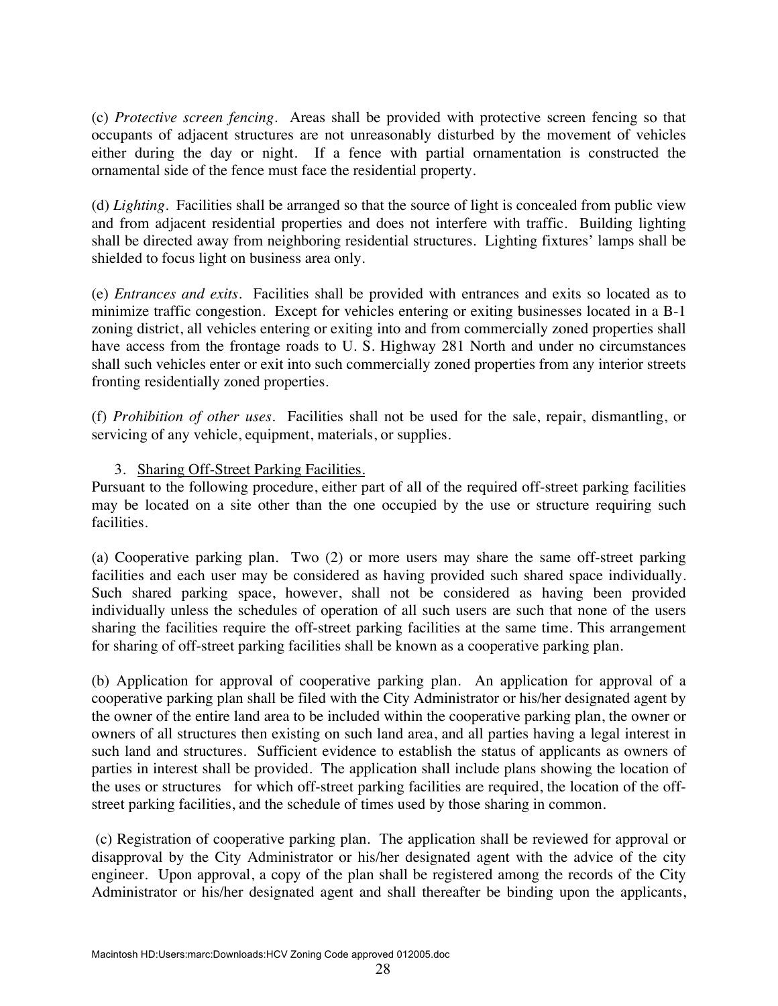(c) *Protective screen fencing*. Areas shall be provided with protective screen fencing so that occupants of adjacent structures are not unreasonably disturbed by the movement of vehicles either during the day or night. If a fence with partial ornamentation is constructed the ornamental side of the fence must face the residential property.

(d) *Lighting*. Facilities shall be arranged so that the source of light is concealed from public view and from adjacent residential properties and does not interfere with traffic. Building lighting shall be directed away from neighboring residential structures. Lighting fixtures' lamps shall be shielded to focus light on business area only.

(e) *Entrances and exits*. Facilities shall be provided with entrances and exits so located as to minimize traffic congestion. Except for vehicles entering or exiting businesses located in a B-1 zoning district, all vehicles entering or exiting into and from commercially zoned properties shall have access from the frontage roads to U. S. Highway 281 North and under no circumstances shall such vehicles enter or exit into such commercially zoned properties from any interior streets fronting residentially zoned properties.

(f) *Prohibition of other uses*. Facilities shall not be used for the sale, repair, dismantling, or servicing of any vehicle, equipment, materials, or supplies.

# 3. Sharing Off-Street Parking Facilities.

Pursuant to the following procedure, either part of all of the required off-street parking facilities may be located on a site other than the one occupied by the use or structure requiring such facilities.

(a) Cooperative parking plan. Two (2) or more users may share the same off-street parking facilities and each user may be considered as having provided such shared space individually. Such shared parking space, however, shall not be considered as having been provided individually unless the schedules of operation of all such users are such that none of the users sharing the facilities require the off-street parking facilities at the same time. This arrangement for sharing of off-street parking facilities shall be known as a cooperative parking plan.

(b) Application for approval of cooperative parking plan. An application for approval of a cooperative parking plan shall be filed with the City Administrator or his/her designated agent by the owner of the entire land area to be included within the cooperative parking plan, the owner or owners of all structures then existing on such land area, and all parties having a legal interest in such land and structures. Sufficient evidence to establish the status of applicants as owners of parties in interest shall be provided. The application shall include plans showing the location of the uses or structures for which off-street parking facilities are required, the location of the offstreet parking facilities, and the schedule of times used by those sharing in common.

 (c) Registration of cooperative parking plan. The application shall be reviewed for approval or disapproval by the City Administrator or his/her designated agent with the advice of the city engineer. Upon approval, a copy of the plan shall be registered among the records of the City Administrator or his/her designated agent and shall thereafter be binding upon the applicants,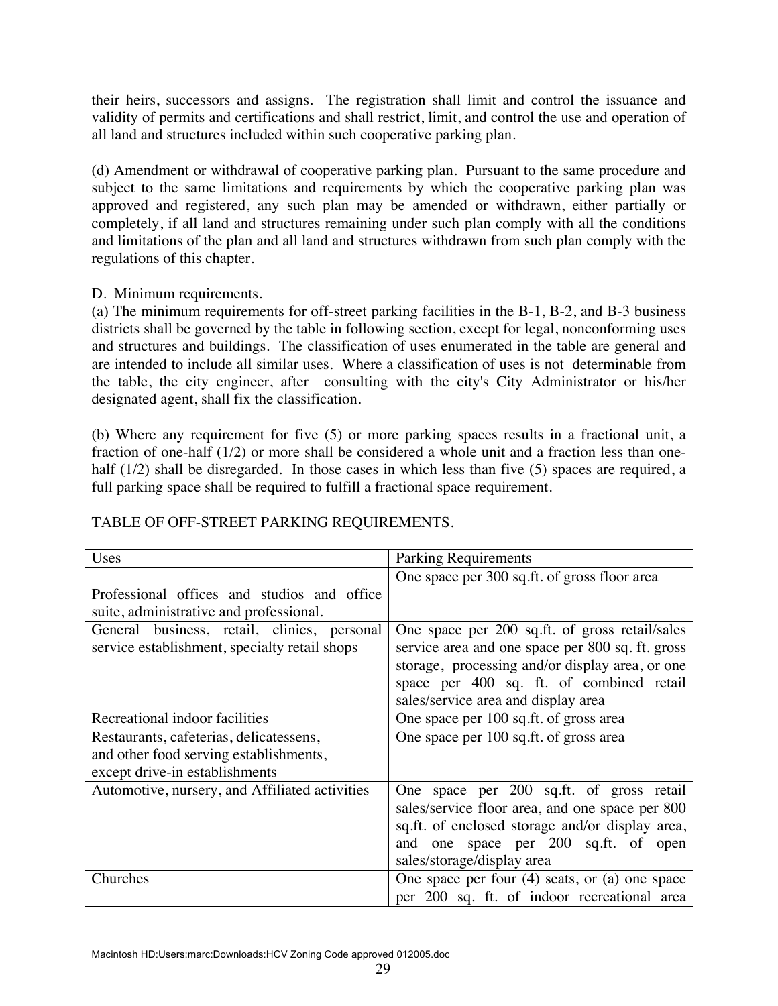their heirs, successors and assigns. The registration shall limit and control the issuance and validity of permits and certifications and shall restrict, limit, and control the use and operation of all land and structures included within such cooperative parking plan.

(d) Amendment or withdrawal of cooperative parking plan. Pursuant to the same procedure and subject to the same limitations and requirements by which the cooperative parking plan was approved and registered, any such plan may be amended or withdrawn, either partially or completely, if all land and structures remaining under such plan comply with all the conditions and limitations of the plan and all land and structures withdrawn from such plan comply with the regulations of this chapter.

# D. Minimum requirements.

(a) The minimum requirements for off-street parking facilities in the B-1, B-2, and B-3 business districts shall be governed by the table in following section, except for legal, nonconforming uses and structures and buildings. The classification of uses enumerated in the table are general and are intended to include all similar uses. Where a classification of uses is not determinable from the table, the city engineer, after consulting with the city's City Administrator or his/her designated agent, shall fix the classification.

(b) Where any requirement for five (5) or more parking spaces results in a fractional unit, a fraction of one-half (1/2) or more shall be considered a whole unit and a fraction less than onehalf (1/2) shall be disregarded. In those cases in which less than five (5) spaces are required, a full parking space shall be required to fulfill a fractional space requirement.

| Uses                                           | <b>Parking Requirements</b>                        |
|------------------------------------------------|----------------------------------------------------|
|                                                | One space per 300 sq.ft. of gross floor area       |
| Professional offices and studios and office    |                                                    |
| suite, administrative and professional.        |                                                    |
| General business, retail, clinics, personal    | One space per 200 sq.ft. of gross retail/sales     |
| service establishment, specialty retail shops  | service area and one space per 800 sq. ft. gross   |
|                                                | storage, processing and/or display area, or one    |
|                                                | space per 400 sq. ft. of combined retail           |
|                                                | sales/service area and display area                |
| Recreational indoor facilities                 | One space per 100 sq.ft. of gross area             |
| Restaurants, cafeterias, delicatessens,        | One space per 100 sq.ft. of gross area             |
| and other food serving establishments,         |                                                    |
| except drive-in establishments                 |                                                    |
| Automotive, nursery, and Affiliated activities | One space per 200 sq.ft. of gross retail           |
|                                                | sales/service floor area, and one space per 800    |
|                                                | sq.ft. of enclosed storage and/or display area,    |
|                                                | and one space per 200 sq.ft. of open               |
|                                                | sales/storage/display area                         |
| Churches                                       | One space per four $(4)$ seats, or $(a)$ one space |
|                                                | per 200 sq. ft. of indoor recreational area        |

# TABLE OF OFF-STREET PARKING REQUIREMENTS.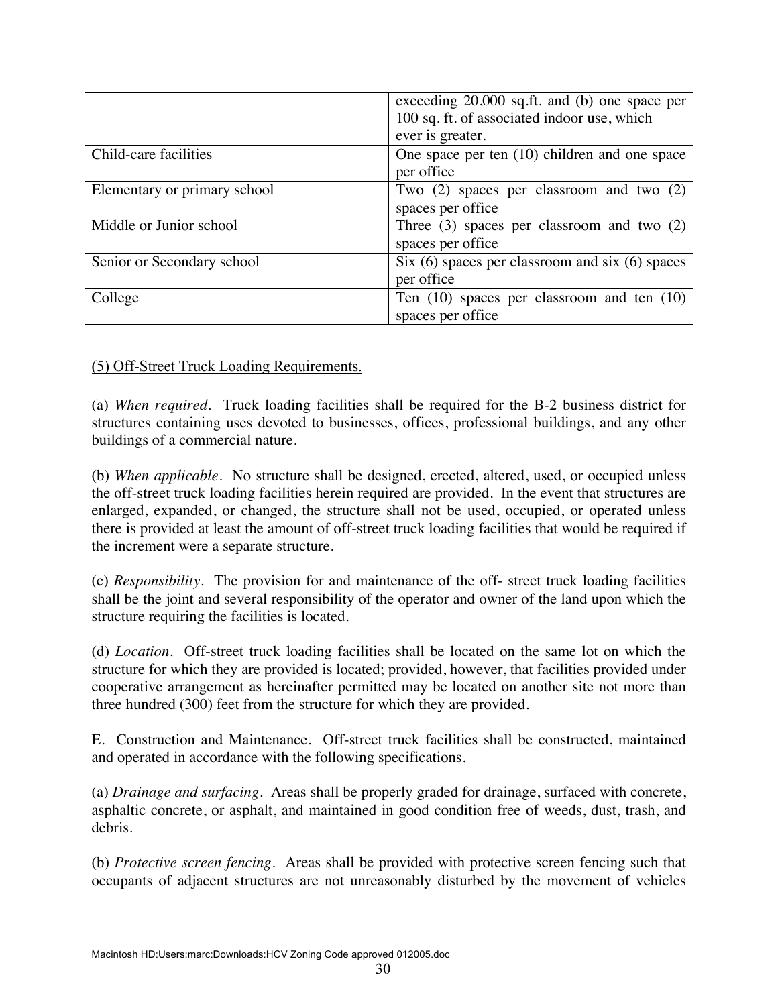|                              | exceeding $20,000$ sq.ft. and (b) one space per     |
|------------------------------|-----------------------------------------------------|
|                              | 100 sq. ft. of associated indoor use, which         |
|                              | ever is greater.                                    |
| Child-care facilities        | One space per ten $(10)$ children and one space     |
|                              | per office                                          |
| Elementary or primary school | Two $(2)$ spaces per classroom and two $(2)$        |
|                              | spaces per office                                   |
| Middle or Junior school      | Three $(3)$ spaces per classroom and two $(2)$      |
|                              | spaces per office                                   |
| Senior or Secondary school   | Six $(6)$ spaces per classroom and six $(6)$ spaces |
|                              | per office                                          |
| College                      | Ten $(10)$ spaces per classroom and ten $(10)$      |
|                              | spaces per office                                   |

### (5) Off-Street Truck Loading Requirements.

(a) *When required*. Truck loading facilities shall be required for the B-2 business district for structures containing uses devoted to businesses, offices, professional buildings, and any other buildings of a commercial nature.

(b) *When applicable*. No structure shall be designed, erected, altered, used, or occupied unless the off-street truck loading facilities herein required are provided. In the event that structures are enlarged, expanded, or changed, the structure shall not be used, occupied, or operated unless there is provided at least the amount of off-street truck loading facilities that would be required if the increment were a separate structure.

(c) *Responsibility*. The provision for and maintenance of the off- street truck loading facilities shall be the joint and several responsibility of the operator and owner of the land upon which the structure requiring the facilities is located.

(d) *Location*. Off-street truck loading facilities shall be located on the same lot on which the structure for which they are provided is located; provided, however, that facilities provided under cooperative arrangement as hereinafter permitted may be located on another site not more than three hundred (300) feet from the structure for which they are provided.

E. Construction and Maintenance. Off-street truck facilities shall be constructed, maintained and operated in accordance with the following specifications.

(a) *Drainage and surfacing*. Areas shall be properly graded for drainage, surfaced with concrete, asphaltic concrete, or asphalt, and maintained in good condition free of weeds, dust, trash, and debris.

(b) *Protective screen fencing*. Areas shall be provided with protective screen fencing such that occupants of adjacent structures are not unreasonably disturbed by the movement of vehicles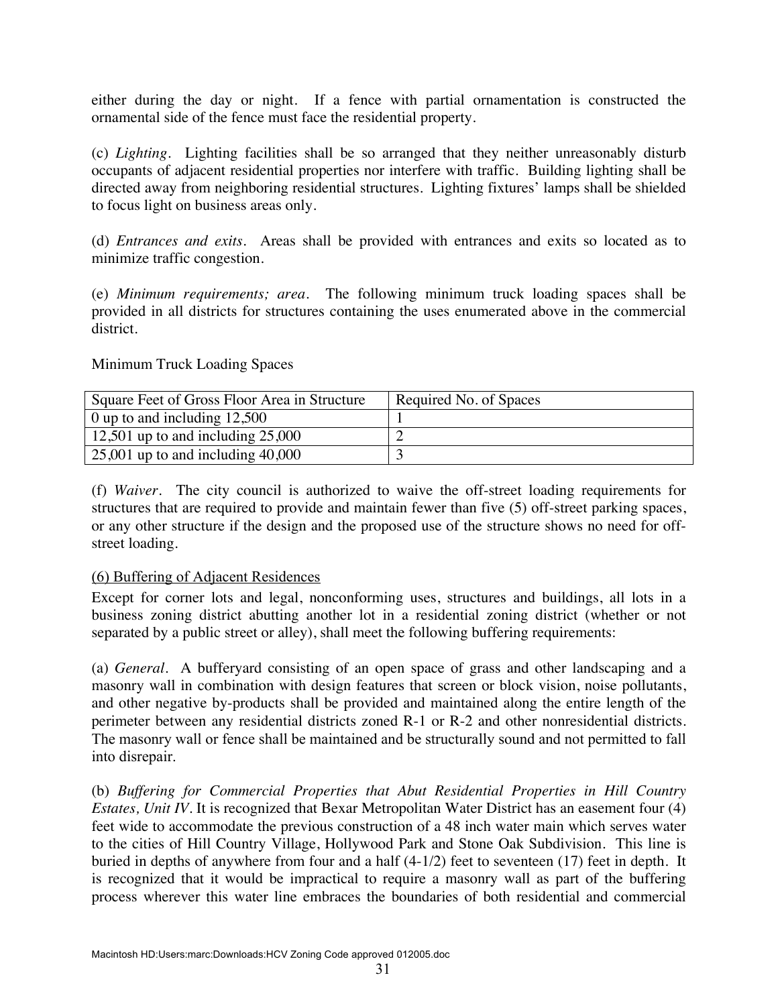either during the day or night. If a fence with partial ornamentation is constructed the ornamental side of the fence must face the residential property.

(c) *Lighting*. Lighting facilities shall be so arranged that they neither unreasonably disturb occupants of adjacent residential properties nor interfere with traffic. Building lighting shall be directed away from neighboring residential structures. Lighting fixtures' lamps shall be shielded to focus light on business areas only.

(d) *Entrances and exits.* Areas shall be provided with entrances and exits so located as to minimize traffic congestion.

(e) *Minimum requirements; area*. The following minimum truck loading spaces shall be provided in all districts for structures containing the uses enumerated above in the commercial district.

Minimum Truck Loading Spaces

| Square Feet of Gross Floor Area in Structure | Required No. of Spaces |
|----------------------------------------------|------------------------|
| $\vert$ 0 up to and including 12,500         |                        |
| 12,501 up to and including $25,000$          |                        |
| $\vert$ 25,001 up to and including 40,000    |                        |

(f) *Waiver*. The city council is authorized to waive the off-street loading requirements for structures that are required to provide and maintain fewer than five (5) off-street parking spaces, or any other structure if the design and the proposed use of the structure shows no need for offstreet loading.

### (6) Buffering of Adjacent Residences

Except for corner lots and legal, nonconforming uses, structures and buildings, all lots in a business zoning district abutting another lot in a residential zoning district (whether or not separated by a public street or alley), shall meet the following buffering requirements:

(a) *General*. A bufferyard consisting of an open space of grass and other landscaping and a masonry wall in combination with design features that screen or block vision, noise pollutants, and other negative by-products shall be provided and maintained along the entire length of the perimeter between any residential districts zoned R-1 or R-2 and other nonresidential districts. The masonry wall or fence shall be maintained and be structurally sound and not permitted to fall into disrepair.

(b) *Buffering for Commercial Properties that Abut Residential Properties in Hill Country Estates, Unit IV*. It is recognized that Bexar Metropolitan Water District has an easement four (4) feet wide to accommodate the previous construction of a 48 inch water main which serves water to the cities of Hill Country Village, Hollywood Park and Stone Oak Subdivision. This line is buried in depths of anywhere from four and a half (4-1/2) feet to seventeen (17) feet in depth. It is recognized that it would be impractical to require a masonry wall as part of the buffering process wherever this water line embraces the boundaries of both residential and commercial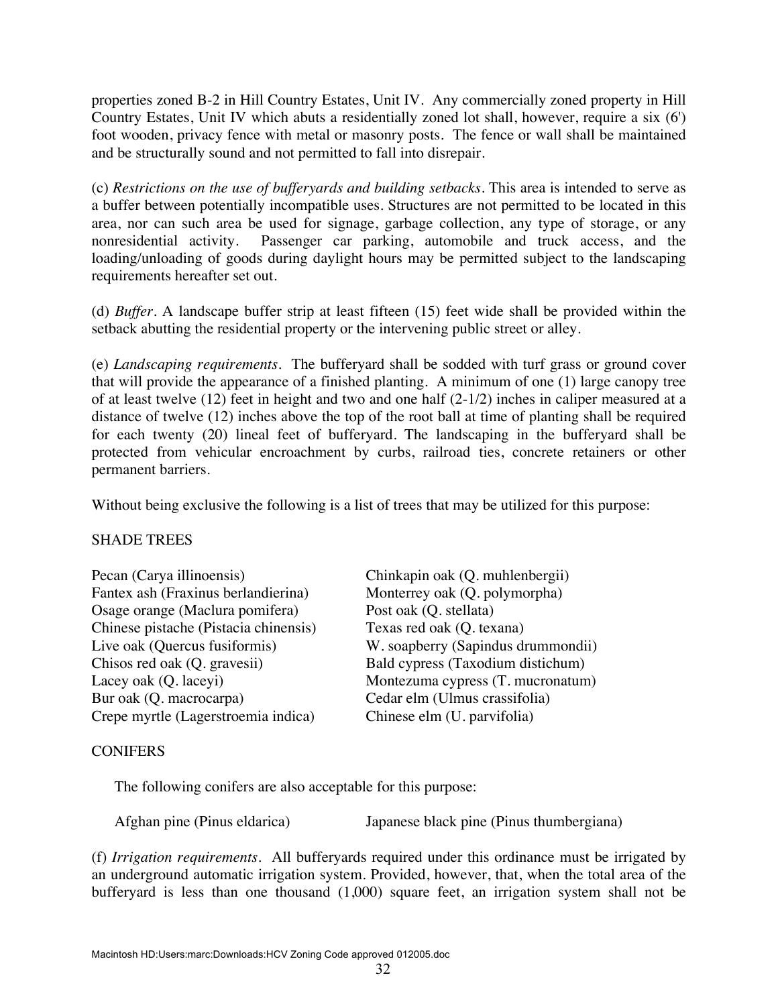properties zoned B-2 in Hill Country Estates, Unit IV. Any commercially zoned property in Hill Country Estates, Unit IV which abuts a residentially zoned lot shall, however, require a six (6') foot wooden, privacy fence with metal or masonry posts. The fence or wall shall be maintained and be structurally sound and not permitted to fall into disrepair.

(c) *Restrictions on the use of bufferyards and building setbacks.* This area is intended to serve as a buffer between potentially incompatible uses. Structures are not permitted to be located in this area, nor can such area be used for signage, garbage collection, any type of storage, or any nonresidential activity. Passenger car parking, automobile and truck access, and the loading/unloading of goods during daylight hours may be permitted subject to the landscaping requirements hereafter set out.

(d) *Buffer*. A landscape buffer strip at least fifteen (15) feet wide shall be provided within the setback abutting the residential property or the intervening public street or alley.

(e) *Landscaping requirements*. The bufferyard shall be sodded with turf grass or ground cover that will provide the appearance of a finished planting. A minimum of one (1) large canopy tree of at least twelve (12) feet in height and two and one half (2-1/2) inches in caliper measured at a distance of twelve (12) inches above the top of the root ball at time of planting shall be required for each twenty (20) lineal feet of bufferyard. The landscaping in the bufferyard shall be protected from vehicular encroachment by curbs, railroad ties, concrete retainers or other permanent barriers.

Without being exclusive the following is a list of trees that may be utilized for this purpose:

### SHADE TREES

| Pecan (Carya illinoensis)             | Chinkapin oak (Q. muhlenbergii)    |
|---------------------------------------|------------------------------------|
| Fantex ash (Fraxinus berlandierina)   | Monterrey oak (Q. polymorpha)      |
| Osage orange (Maclura pomifera)       | Post oak (Q. stellata)             |
| Chinese pistache (Pistacia chinensis) | Texas red oak (Q. texana)          |
| Live oak (Quercus fusiformis)         | W. soapberry (Sapindus drummondii) |
| Chisos red oak (Q. gravesii)          | Bald cypress (Taxodium distichum)  |
| Lacey oak (Q. laceyi)                 | Montezuma cypress (T. mucronatum)  |
| Bur oak (Q. macrocarpa)               | Cedar elm (Ulmus crassifolia)      |
| Crepe myrtle (Lagerstroemia indica)   | Chinese elm (U. parvifolia)        |

### **CONIFERS**

The following conifers are also acceptable for this purpose:

Afghan pine (Pinus eldarica) Japanese black pine (Pinus thumbergiana)

(f) *Irrigation requirements*. All bufferyards required under this ordinance must be irrigated by an underground automatic irrigation system. Provided, however, that, when the total area of the bufferyard is less than one thousand (1,000) square feet, an irrigation system shall not be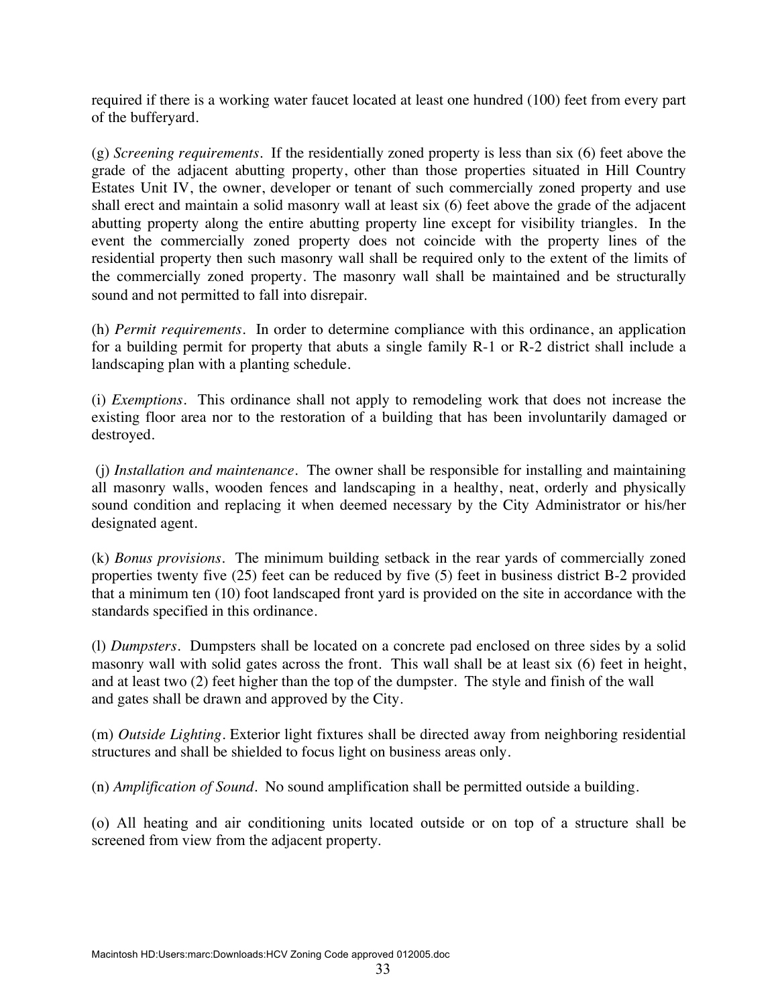required if there is a working water faucet located at least one hundred (100) feet from every part of the bufferyard.

(g) *Screening requirements*. If the residentially zoned property is less than six (6) feet above the grade of the adjacent abutting property, other than those properties situated in Hill Country Estates Unit IV, the owner, developer or tenant of such commercially zoned property and use shall erect and maintain a solid masonry wall at least six (6) feet above the grade of the adjacent abutting property along the entire abutting property line except for visibility triangles. In the event the commercially zoned property does not coincide with the property lines of the residential property then such masonry wall shall be required only to the extent of the limits of the commercially zoned property. The masonry wall shall be maintained and be structurally sound and not permitted to fall into disrepair.

(h) *Permit requirements*. In order to determine compliance with this ordinance, an application for a building permit for property that abuts a single family R-1 or R-2 district shall include a landscaping plan with a planting schedule.

(i) *Exemptions*. This ordinance shall not apply to remodeling work that does not increase the existing floor area nor to the restoration of a building that has been involuntarily damaged or destroyed.

 (j) *Installation and maintenance*. The owner shall be responsible for installing and maintaining all masonry walls, wooden fences and landscaping in a healthy, neat, orderly and physically sound condition and replacing it when deemed necessary by the City Administrator or his/her designated agent.

(k) *Bonus provisions*. The minimum building setback in the rear yards of commercially zoned properties twenty five (25) feet can be reduced by five (5) feet in business district B-2 provided that a minimum ten (10) foot landscaped front yard is provided on the site in accordance with the standards specified in this ordinance.

(l) *Dumpsters*. Dumpsters shall be located on a concrete pad enclosed on three sides by a solid masonry wall with solid gates across the front. This wall shall be at least six (6) feet in height, and at least two (2) feet higher than the top of the dumpster. The style and finish of the wall and gates shall be drawn and approved by the City.

(m) *Outside Lighting*. Exterior light fixtures shall be directed away from neighboring residential structures and shall be shielded to focus light on business areas only.

(n) *Amplification of Sound*. No sound amplification shall be permitted outside a building.

(o) All heating and air conditioning units located outside or on top of a structure shall be screened from view from the adjacent property.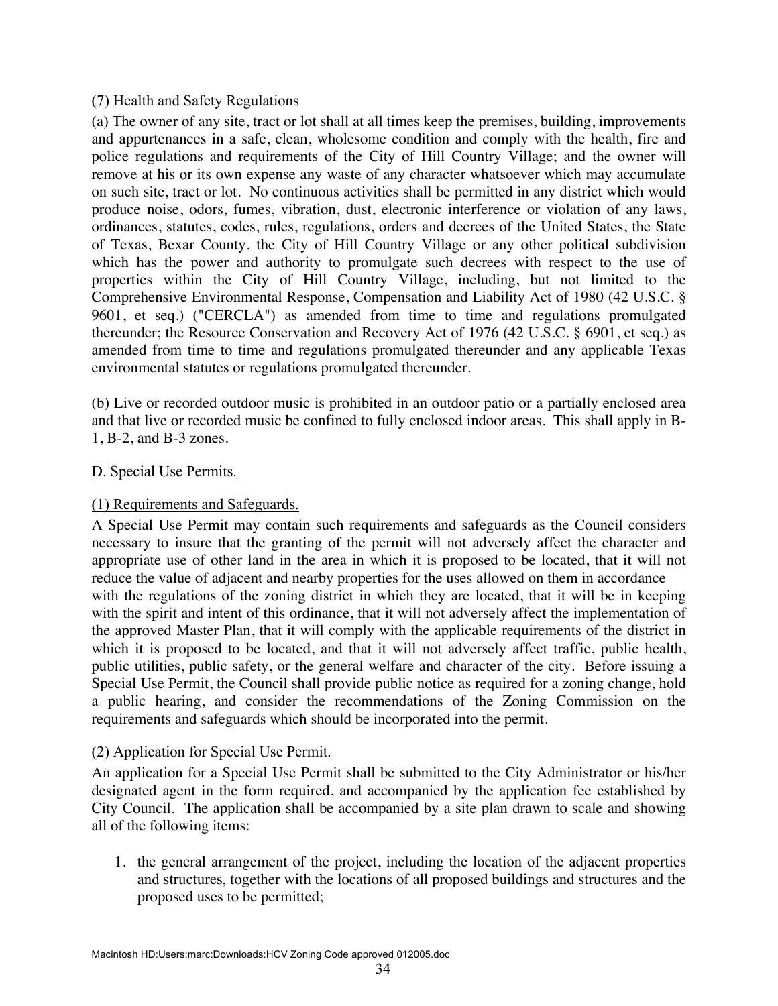## (7) Health and Safety Regulations

(a) The owner of any site, tract or lot shall at all times keep the premises, building, improvements and appurtenances in a safe, clean, wholesome condition and comply with the health, fire and police regulations and requirements of the City of Hill Country Village; and the owner will remove at his or its own expense any waste of any character whatsoever which may accumulate on such site, tract or lot. No continuous activities shall be permitted in any district which would produce noise, odors, fumes, vibration, dust, electronic interference or violation of any laws, ordinances, statutes, codes, rules, regulations, orders and decrees of the United States, the State of Texas, Bexar County, the City of Hill Country Village or any other political subdivision which has the power and authority to promulgate such decrees with respect to the use of properties within the City of Hill Country Village, including, but not limited to the Comprehensive Environmental Response, Compensation and Liability Act of 1980 (42 U.S.C. § 9601, et seq.) ("CERCLA") as amended from time to time and regulations promulgated thereunder; the Resource Conservation and Recovery Act of 1976 (42 U.S.C. § 6901, et seq.) as amended from time to time and regulations promulgated thereunder and any applicable Texas environmental statutes or regulations promulgated thereunder.

(b) Live or recorded outdoor music is prohibited in an outdoor patio or a partially enclosed area and that live or recorded music be confined to fully enclosed indoor areas. This shall apply in B-1, B-2, and B-3 zones.

### D. Special Use Permits.

### (1) Requirements and Safeguards.

A Special Use Permit may contain such requirements and safeguards as the Council considers necessary to insure that the granting of the permit will not adversely affect the character and appropriate use of other land in the area in which it is proposed to be located, that it will not reduce the value of adjacent and nearby properties for the uses allowed on them in accordance with the regulations of the zoning district in which they are located, that it will be in keeping with the spirit and intent of this ordinance, that it will not adversely affect the implementation of the approved Master Plan, that it will comply with the applicable requirements of the district in which it is proposed to be located, and that it will not adversely affect traffic, public health, public utilities, public safety, or the general welfare and character of the city. Before issuing a Special Use Permit, the Council shall provide public notice as required for a zoning change, hold a public hearing, and consider the recommendations of the Zoning Commission on the requirements and safeguards which should be incorporated into the permit.

# (2) Application for Special Use Permit.

An application for a Special Use Permit shall be submitted to the City Administrator or his/her designated agent in the form required, and accompanied by the application fee established by City Council. The application shall be accompanied by a site plan drawn to scale and showing all of the following items:

1. the general arrangement of the project, including the location of the adjacent properties and structures, together with the locations of all proposed buildings and structures and the proposed uses to be permitted;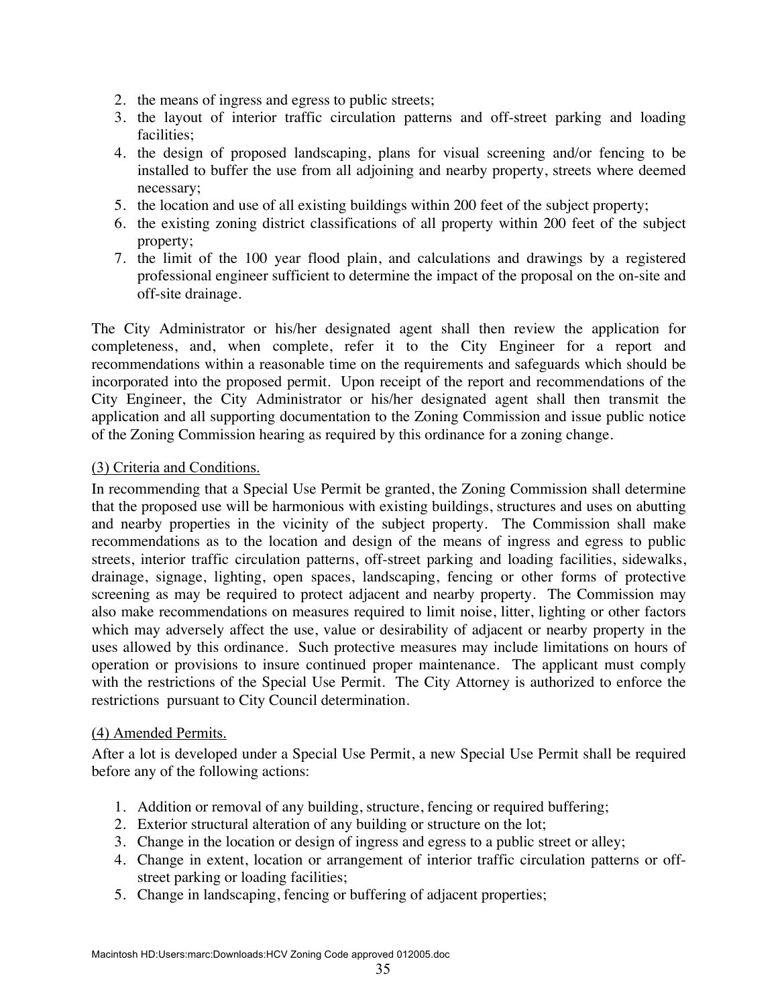- 2. the means of ingress and egress to public streets;
- 3. the layout of interior traffic circulation patterns and off-street parking and loading facilities;
- 4. the design of proposed landscaping, plans for visual screening and/or fencing to be installed to buffer the use from all adjoining and nearby property, streets where deemed necessary;
- 5. the location and use of all existing buildings within 200 feet of the subject property;
- 6. the existing zoning district classifications of all property within 200 feet of the subject property;
- 7. the limit of the 100 year flood plain, and calculations and drawings by a registered professional engineer sufficient to determine the impact of the proposal on the on-site and off-site drainage.

The City Administrator or his/her designated agent shall then review the application for completeness, and, when complete, refer it to the City Engineer for a report and recommendations within a reasonable time on the requirements and safeguards which should be incorporated into the proposed permit. Upon receipt of the report and recommendations of the City Engineer, the City Administrator or his/her designated agent shall then transmit the application and all supporting documentation to the Zoning Commission and issue public notice of the Zoning Commission hearing as required by this ordinance for a zoning change.

### (3) Criteria and Conditions.

In recommending that a Special Use Permit be granted, the Zoning Commission shall determine that the proposed use will be harmonious with existing buildings, structures and uses on abutting and nearby properties in the vicinity of the subject property. The Commission shall make recommendations as to the location and design of the means of ingress and egress to public streets, interior traffic circulation patterns, off-street parking and loading facilities, sidewalks, drainage, signage, lighting, open spaces, landscaping, fencing or other forms of protective screening as may be required to protect adjacent and nearby property. The Commission may also make recommendations on measures required to limit noise, litter, lighting or other factors which may adversely affect the use, value or desirability of adjacent or nearby property in the uses allowed by this ordinance. Such protective measures may include limitations on hours of operation or provisions to insure continued proper maintenance. The applicant must comply with the restrictions of the Special Use Permit. The City Attorney is authorized to enforce the restrictions pursuant to City Council determination.

#### (4) Amended Permits.

After a lot is developed under a Special Use Permit, a new Special Use Permit shall be required before any of the following actions:

- 1. Addition or removal of any building, structure, fencing or required buffering;
- 2. Exterior structural alteration of any building or structure on the lot;
- 3. Change in the location or design of ingress and egress to a public street or alley;
- 4. Change in extent, location or arrangement of interior traffic circulation patterns or offstreet parking or loading facilities;
- 5. Change in landscaping, fencing or buffering of adjacent properties;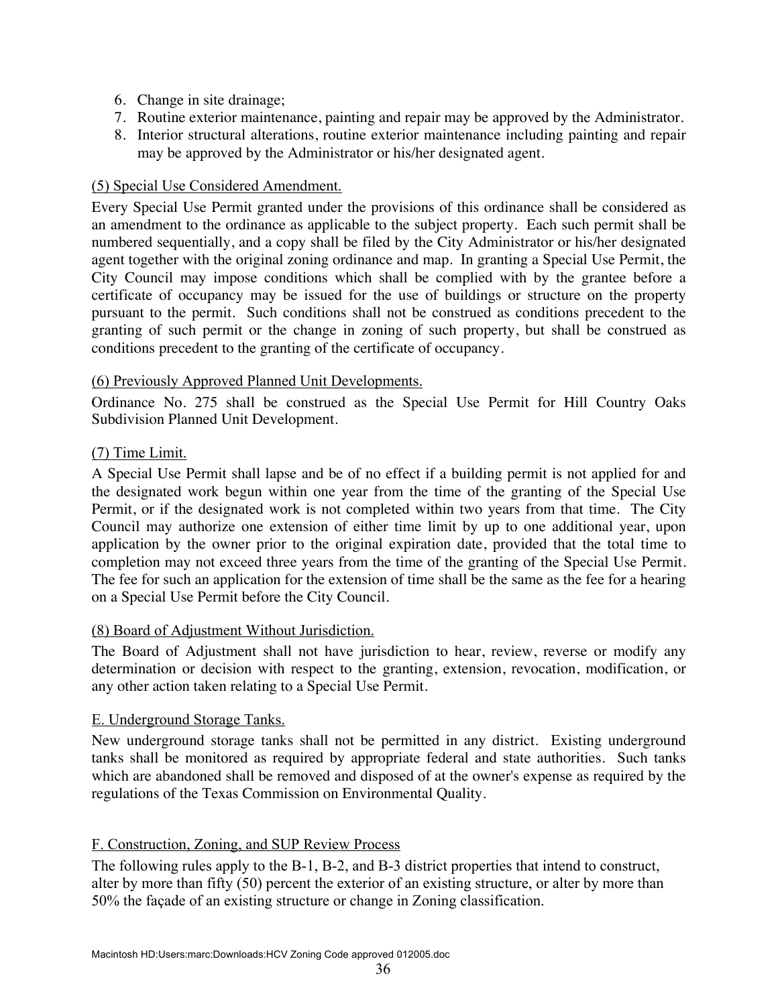- 6. Change in site drainage;
- 7. Routine exterior maintenance, painting and repair may be approved by the Administrator.
- 8. Interior structural alterations, routine exterior maintenance including painting and repair may be approved by the Administrator or his/her designated agent.

### (5) Special Use Considered Amendment.

Every Special Use Permit granted under the provisions of this ordinance shall be considered as an amendment to the ordinance as applicable to the subject property. Each such permit shall be numbered sequentially, and a copy shall be filed by the City Administrator or his/her designated agent together with the original zoning ordinance and map. In granting a Special Use Permit, the City Council may impose conditions which shall be complied with by the grantee before a certificate of occupancy may be issued for the use of buildings or structure on the property pursuant to the permit. Such conditions shall not be construed as conditions precedent to the granting of such permit or the change in zoning of such property, but shall be construed as conditions precedent to the granting of the certificate of occupancy.

#### (6) Previously Approved Planned Unit Developments.

Ordinance No. 275 shall be construed as the Special Use Permit for Hill Country Oaks Subdivision Planned Unit Development.

### (7) Time Limit.

A Special Use Permit shall lapse and be of no effect if a building permit is not applied for and the designated work begun within one year from the time of the granting of the Special Use Permit, or if the designated work is not completed within two years from that time. The City Council may authorize one extension of either time limit by up to one additional year, upon application by the owner prior to the original expiration date, provided that the total time to completion may not exceed three years from the time of the granting of the Special Use Permit. The fee for such an application for the extension of time shall be the same as the fee for a hearing on a Special Use Permit before the City Council.

#### (8) Board of Adjustment Without Jurisdiction.

The Board of Adjustment shall not have jurisdiction to hear, review, reverse or modify any determination or decision with respect to the granting, extension, revocation, modification, or any other action taken relating to a Special Use Permit.

#### E. Underground Storage Tanks.

New underground storage tanks shall not be permitted in any district. Existing underground tanks shall be monitored as required by appropriate federal and state authorities. Such tanks which are abandoned shall be removed and disposed of at the owner's expense as required by the regulations of the Texas Commission on Environmental Quality.

#### F. Construction, Zoning, and SUP Review Process

The following rules apply to the B-1, B-2, and B-3 district properties that intend to construct, alter by more than fifty (50) percent the exterior of an existing structure, or alter by more than 50% the façade of an existing structure or change in Zoning classification.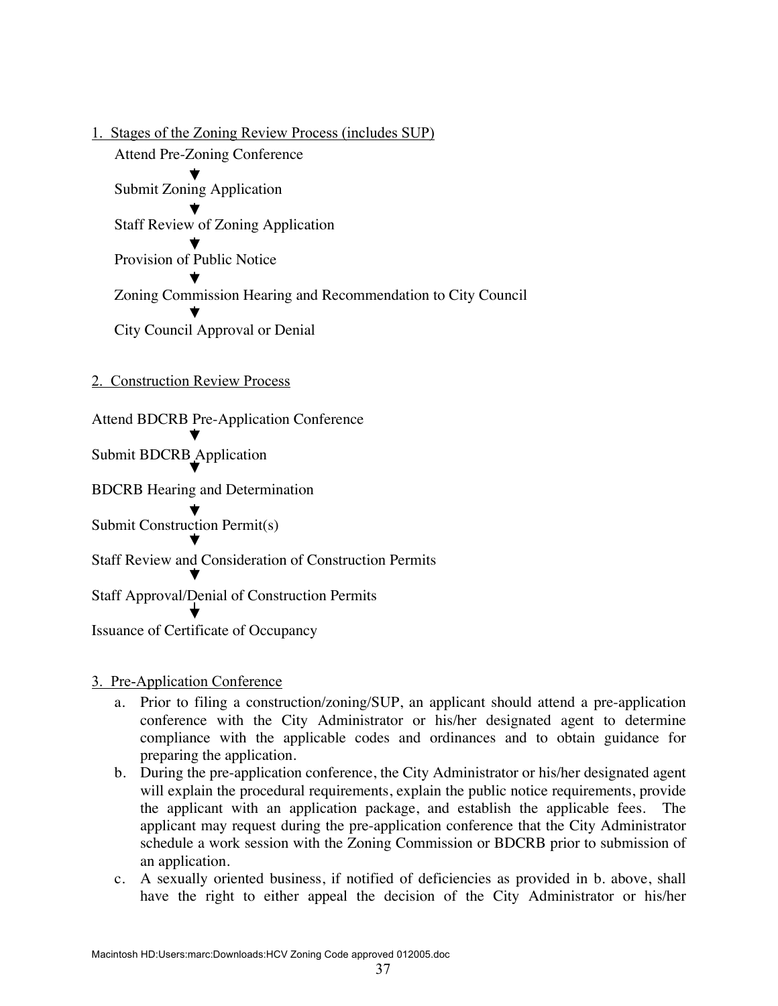1. Stages of the Zoning Review Process (includes SUP) Attend Pre-Zoning Conference Submit Zoning Application Staff Review of Zoning Application Provision of Public Notice Zoning Commission Hearing and Recommendation to City Council City Council Approval or Denial

#### 2. Construction Review Process

Attend BDCRB Pre-Application Conference

Submit BDCRB Application

BDCRB Hearing and Determination

Submit Construction Permit(s)

Staff Review and Consideration of Construction Permits

Staff Approval/Denial of Construction Permits

Issuance of Certificate of Occupancy

#### 3. Pre-Application Conference

- a. Prior to filing a construction/zoning/SUP, an applicant should attend a pre-application conference with the City Administrator or his/her designated agent to determine compliance with the applicable codes and ordinances and to obtain guidance for preparing the application.
- b. During the pre-application conference, the City Administrator or his/her designated agent will explain the procedural requirements, explain the public notice requirements, provide the applicant with an application package, and establish the applicable fees. The applicant may request during the pre-application conference that the City Administrator schedule a work session with the Zoning Commission or BDCRB prior to submission of an application.
- c. A sexually oriented business, if notified of deficiencies as provided in b. above, shall have the right to either appeal the decision of the City Administrator or his/her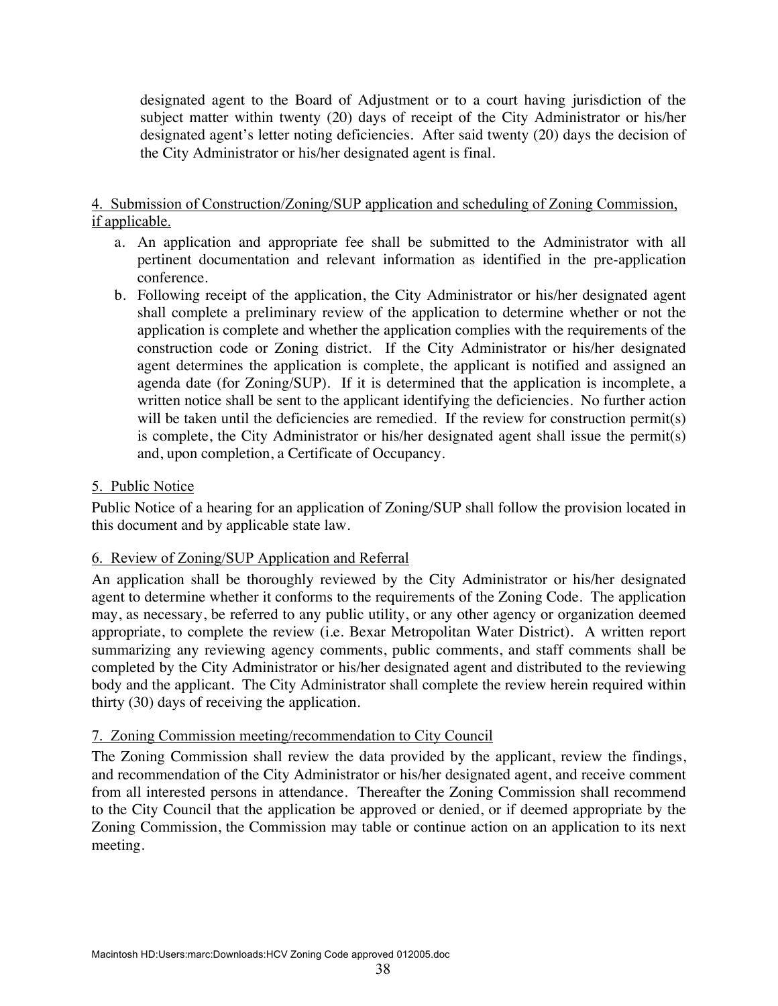designated agent to the Board of Adjustment or to a court having jurisdiction of the subject matter within twenty (20) days of receipt of the City Administrator or his/her designated agent's letter noting deficiencies. After said twenty (20) days the decision of the City Administrator or his/her designated agent is final.

### 4. Submission of Construction/Zoning/SUP application and scheduling of Zoning Commission, if applicable.

- a. An application and appropriate fee shall be submitted to the Administrator with all pertinent documentation and relevant information as identified in the pre-application conference.
- b. Following receipt of the application, the City Administrator or his/her designated agent shall complete a preliminary review of the application to determine whether or not the application is complete and whether the application complies with the requirements of the construction code or Zoning district. If the City Administrator or his/her designated agent determines the application is complete, the applicant is notified and assigned an agenda date (for Zoning/SUP). If it is determined that the application is incomplete, a written notice shall be sent to the applicant identifying the deficiencies. No further action will be taken until the deficiencies are remedied. If the review for construction permit(s) is complete, the City Administrator or his/her designated agent shall issue the permit(s) and, upon completion, a Certificate of Occupancy.

### 5. Public Notice

Public Notice of a hearing for an application of Zoning/SUP shall follow the provision located in this document and by applicable state law.

#### 6. Review of Zoning/SUP Application and Referral

An application shall be thoroughly reviewed by the City Administrator or his/her designated agent to determine whether it conforms to the requirements of the Zoning Code. The application may, as necessary, be referred to any public utility, or any other agency or organization deemed appropriate, to complete the review (i.e. Bexar Metropolitan Water District). A written report summarizing any reviewing agency comments, public comments, and staff comments shall be completed by the City Administrator or his/her designated agent and distributed to the reviewing body and the applicant. The City Administrator shall complete the review herein required within thirty (30) days of receiving the application.

### 7. Zoning Commission meeting/recommendation to City Council

The Zoning Commission shall review the data provided by the applicant, review the findings, and recommendation of the City Administrator or his/her designated agent, and receive comment from all interested persons in attendance. Thereafter the Zoning Commission shall recommend to the City Council that the application be approved or denied, or if deemed appropriate by the Zoning Commission, the Commission may table or continue action on an application to its next meeting.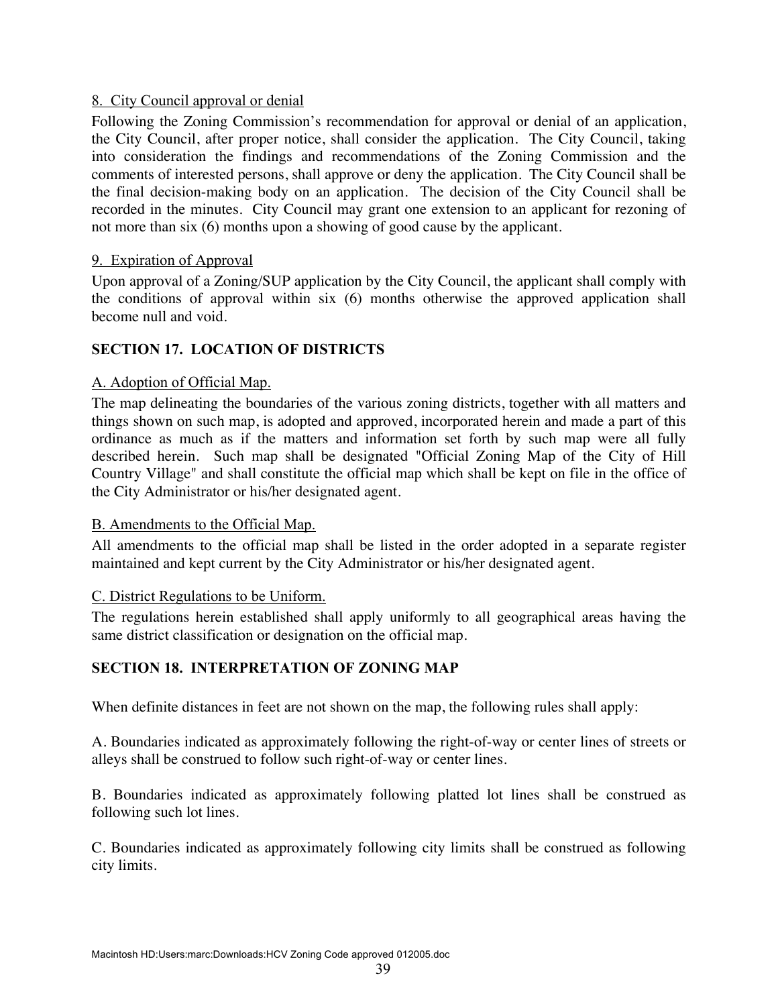### 8. City Council approval or denial

Following the Zoning Commission's recommendation for approval or denial of an application, the City Council, after proper notice, shall consider the application. The City Council, taking into consideration the findings and recommendations of the Zoning Commission and the comments of interested persons, shall approve or deny the application. The City Council shall be the final decision-making body on an application. The decision of the City Council shall be recorded in the minutes. City Council may grant one extension to an applicant for rezoning of not more than six (6) months upon a showing of good cause by the applicant.

### 9. Expiration of Approval

Upon approval of a Zoning/SUP application by the City Council, the applicant shall comply with the conditions of approval within six (6) months otherwise the approved application shall become null and void.

# **SECTION 17. LOCATION OF DISTRICTS**

### A. Adoption of Official Map.

The map delineating the boundaries of the various zoning districts, together with all matters and things shown on such map, is adopted and approved, incorporated herein and made a part of this ordinance as much as if the matters and information set forth by such map were all fully described herein. Such map shall be designated "Official Zoning Map of the City of Hill Country Village" and shall constitute the official map which shall be kept on file in the office of the City Administrator or his/her designated agent.

#### B. Amendments to the Official Map.

All amendments to the official map shall be listed in the order adopted in a separate register maintained and kept current by the City Administrator or his/her designated agent.

#### C. District Regulations to be Uniform.

The regulations herein established shall apply uniformly to all geographical areas having the same district classification or designation on the official map.

### **SECTION 18. INTERPRETATION OF ZONING MAP**

When definite distances in feet are not shown on the map, the following rules shall apply:

A. Boundaries indicated as approximately following the right-of-way or center lines of streets or alleys shall be construed to follow such right-of-way or center lines.

B. Boundaries indicated as approximately following platted lot lines shall be construed as following such lot lines.

C. Boundaries indicated as approximately following city limits shall be construed as following city limits.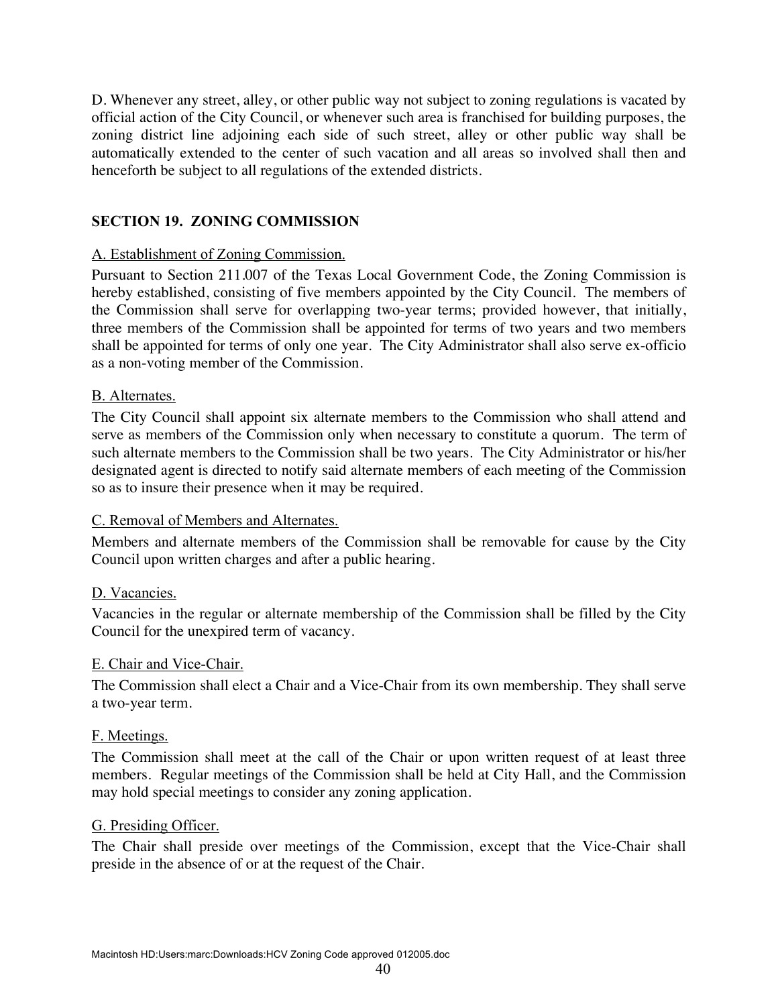D. Whenever any street, alley, or other public way not subject to zoning regulations is vacated by official action of the City Council, or whenever such area is franchised for building purposes, the zoning district line adjoining each side of such street, alley or other public way shall be automatically extended to the center of such vacation and all areas so involved shall then and henceforth be subject to all regulations of the extended districts.

### **SECTION 19. ZONING COMMISSION**

### A. Establishment of Zoning Commission.

Pursuant to Section 211.007 of the Texas Local Government Code, the Zoning Commission is hereby established, consisting of five members appointed by the City Council. The members of the Commission shall serve for overlapping two-year terms; provided however, that initially, three members of the Commission shall be appointed for terms of two years and two members shall be appointed for terms of only one year. The City Administrator shall also serve ex-officio as a non-voting member of the Commission.

### B. Alternates.

The City Council shall appoint six alternate members to the Commission who shall attend and serve as members of the Commission only when necessary to constitute a quorum. The term of such alternate members to the Commission shall be two years. The City Administrator or his/her designated agent is directed to notify said alternate members of each meeting of the Commission so as to insure their presence when it may be required.

### C. Removal of Members and Alternates.

Members and alternate members of the Commission shall be removable for cause by the City Council upon written charges and after a public hearing.

#### D. Vacancies.

Vacancies in the regular or alternate membership of the Commission shall be filled by the City Council for the unexpired term of vacancy.

#### E. Chair and Vice-Chair.

The Commission shall elect a Chair and a Vice-Chair from its own membership. They shall serve a two-year term.

#### F. Meetings.

The Commission shall meet at the call of the Chair or upon written request of at least three members. Regular meetings of the Commission shall be held at City Hall, and the Commission may hold special meetings to consider any zoning application.

#### G. Presiding Officer.

The Chair shall preside over meetings of the Commission, except that the Vice-Chair shall preside in the absence of or at the request of the Chair.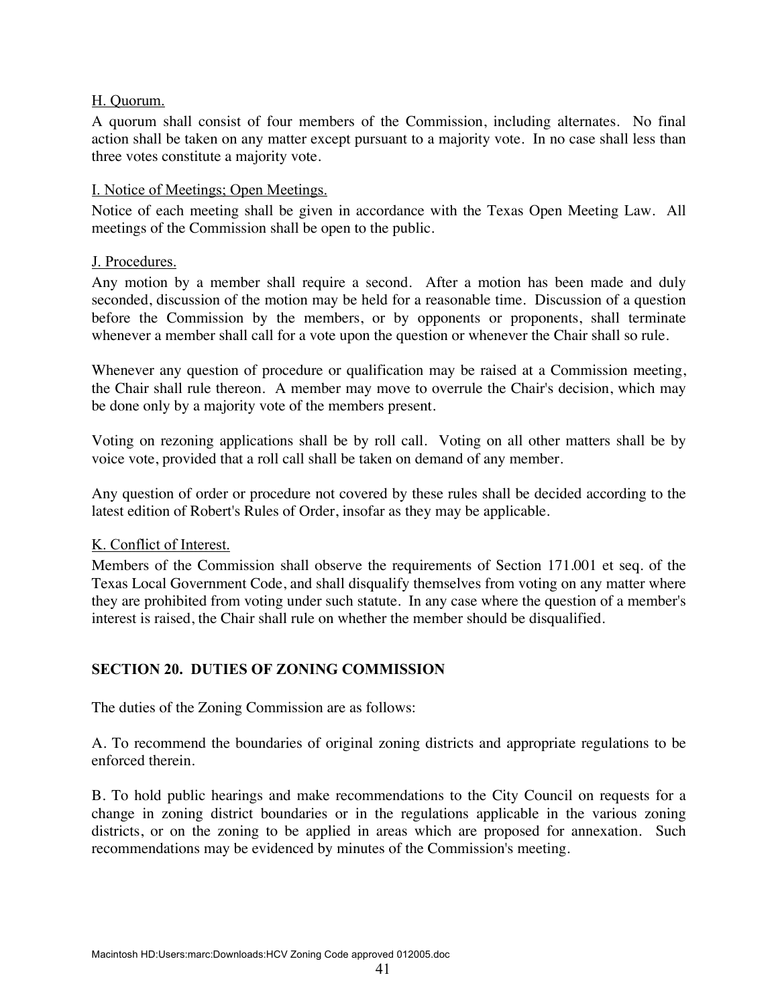### H. Quorum.

A quorum shall consist of four members of the Commission, including alternates. No final action shall be taken on any matter except pursuant to a majority vote. In no case shall less than three votes constitute a majority vote.

#### I. Notice of Meetings; Open Meetings.

Notice of each meeting shall be given in accordance with the Texas Open Meeting Law. All meetings of the Commission shall be open to the public.

#### J. Procedures.

Any motion by a member shall require a second. After a motion has been made and duly seconded, discussion of the motion may be held for a reasonable time. Discussion of a question before the Commission by the members, or by opponents or proponents, shall terminate whenever a member shall call for a vote upon the question or whenever the Chair shall so rule.

Whenever any question of procedure or qualification may be raised at a Commission meeting, the Chair shall rule thereon. A member may move to overrule the Chair's decision, which may be done only by a majority vote of the members present.

Voting on rezoning applications shall be by roll call. Voting on all other matters shall be by voice vote, provided that a roll call shall be taken on demand of any member.

Any question of order or procedure not covered by these rules shall be decided according to the latest edition of Robert's Rules of Order, insofar as they may be applicable.

#### K. Conflict of Interest.

Members of the Commission shall observe the requirements of Section 171.001 et seq. of the Texas Local Government Code, and shall disqualify themselves from voting on any matter where they are prohibited from voting under such statute. In any case where the question of a member's interest is raised, the Chair shall rule on whether the member should be disqualified.

#### **SECTION 20. DUTIES OF ZONING COMMISSION**

The duties of the Zoning Commission are as follows:

A. To recommend the boundaries of original zoning districts and appropriate regulations to be enforced therein.

B. To hold public hearings and make recommendations to the City Council on requests for a change in zoning district boundaries or in the regulations applicable in the various zoning districts, or on the zoning to be applied in areas which are proposed for annexation. Such recommendations may be evidenced by minutes of the Commission's meeting.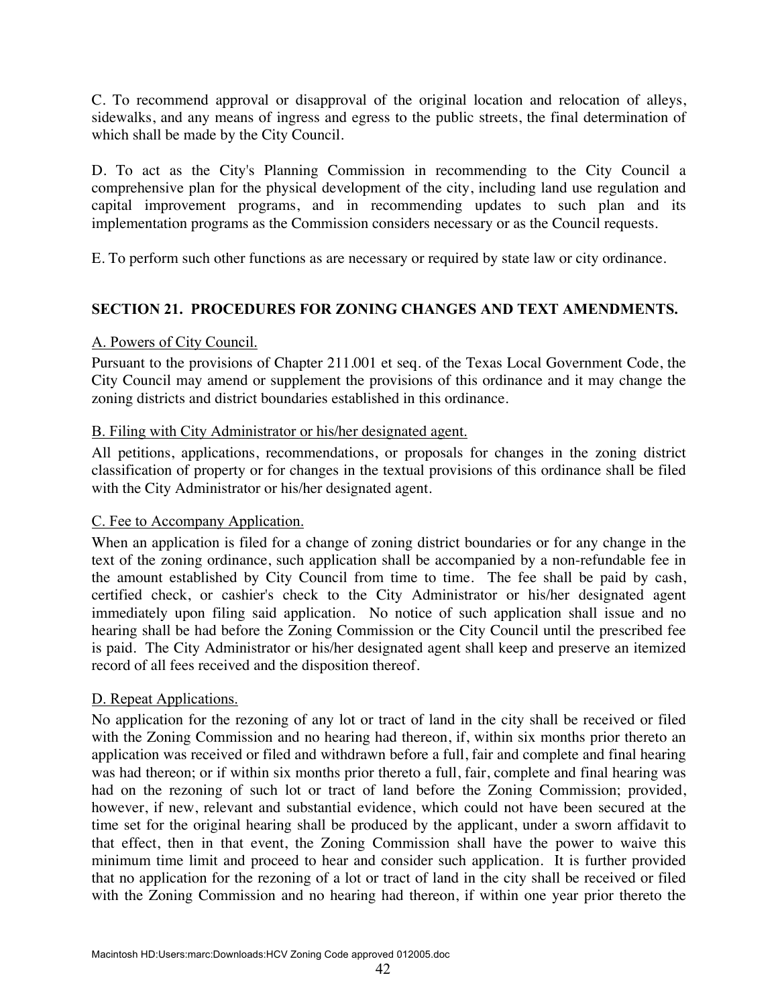C. To recommend approval or disapproval of the original location and relocation of alleys, sidewalks, and any means of ingress and egress to the public streets, the final determination of which shall be made by the City Council.

D. To act as the City's Planning Commission in recommending to the City Council a comprehensive plan for the physical development of the city, including land use regulation and capital improvement programs, and in recommending updates to such plan and its implementation programs as the Commission considers necessary or as the Council requests.

E. To perform such other functions as are necessary or required by state law or city ordinance.

# **SECTION 21. PROCEDURES FOR ZONING CHANGES AND TEXT AMENDMENTS.**

### A. Powers of City Council.

Pursuant to the provisions of Chapter 211.001 et seq. of the Texas Local Government Code, the City Council may amend or supplement the provisions of this ordinance and it may change the zoning districts and district boundaries established in this ordinance.

### B. Filing with City Administrator or his/her designated agent.

All petitions, applications, recommendations, or proposals for changes in the zoning district classification of property or for changes in the textual provisions of this ordinance shall be filed with the City Administrator or his/her designated agent.

### C. Fee to Accompany Application.

When an application is filed for a change of zoning district boundaries or for any change in the text of the zoning ordinance, such application shall be accompanied by a non-refundable fee in the amount established by City Council from time to time. The fee shall be paid by cash, certified check, or cashier's check to the City Administrator or his/her designated agent immediately upon filing said application. No notice of such application shall issue and no hearing shall be had before the Zoning Commission or the City Council until the prescribed fee is paid. The City Administrator or his/her designated agent shall keep and preserve an itemized record of all fees received and the disposition thereof.

### D. Repeat Applications.

No application for the rezoning of any lot or tract of land in the city shall be received or filed with the Zoning Commission and no hearing had thereon, if, within six months prior thereto an application was received or filed and withdrawn before a full, fair and complete and final hearing was had thereon; or if within six months prior thereto a full, fair, complete and final hearing was had on the rezoning of such lot or tract of land before the Zoning Commission; provided, however, if new, relevant and substantial evidence, which could not have been secured at the time set for the original hearing shall be produced by the applicant, under a sworn affidavit to that effect, then in that event, the Zoning Commission shall have the power to waive this minimum time limit and proceed to hear and consider such application. It is further provided that no application for the rezoning of a lot or tract of land in the city shall be received or filed with the Zoning Commission and no hearing had thereon, if within one year prior thereto the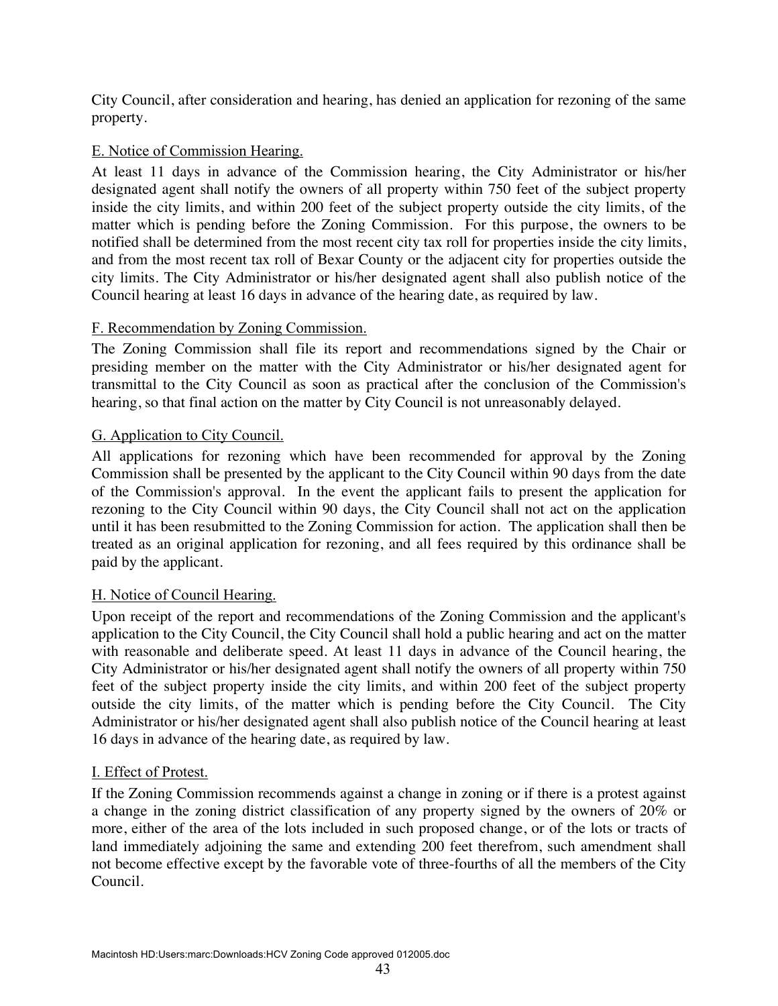City Council, after consideration and hearing, has denied an application for rezoning of the same property.

### E. Notice of Commission Hearing.

At least 11 days in advance of the Commission hearing, the City Administrator or his/her designated agent shall notify the owners of all property within 750 feet of the subject property inside the city limits, and within 200 feet of the subject property outside the city limits, of the matter which is pending before the Zoning Commission. For this purpose, the owners to be notified shall be determined from the most recent city tax roll for properties inside the city limits, and from the most recent tax roll of Bexar County or the adjacent city for properties outside the city limits. The City Administrator or his/her designated agent shall also publish notice of the Council hearing at least 16 days in advance of the hearing date, as required by law.

### F. Recommendation by Zoning Commission.

The Zoning Commission shall file its report and recommendations signed by the Chair or presiding member on the matter with the City Administrator or his/her designated agent for transmittal to the City Council as soon as practical after the conclusion of the Commission's hearing, so that final action on the matter by City Council is not unreasonably delayed.

### G. Application to City Council.

All applications for rezoning which have been recommended for approval by the Zoning Commission shall be presented by the applicant to the City Council within 90 days from the date of the Commission's approval. In the event the applicant fails to present the application for rezoning to the City Council within 90 days, the City Council shall not act on the application until it has been resubmitted to the Zoning Commission for action. The application shall then be treated as an original application for rezoning, and all fees required by this ordinance shall be paid by the applicant.

#### H. Notice of Council Hearing.

Upon receipt of the report and recommendations of the Zoning Commission and the applicant's application to the City Council, the City Council shall hold a public hearing and act on the matter with reasonable and deliberate speed. At least 11 days in advance of the Council hearing, the City Administrator or his/her designated agent shall notify the owners of all property within 750 feet of the subject property inside the city limits, and within 200 feet of the subject property outside the city limits, of the matter which is pending before the City Council. The City Administrator or his/her designated agent shall also publish notice of the Council hearing at least 16 days in advance of the hearing date, as required by law.

#### I. Effect of Protest.

If the Zoning Commission recommends against a change in zoning or if there is a protest against a change in the zoning district classification of any property signed by the owners of 20% or more, either of the area of the lots included in such proposed change, or of the lots or tracts of land immediately adjoining the same and extending 200 feet therefrom, such amendment shall not become effective except by the favorable vote of three-fourths of all the members of the City Council.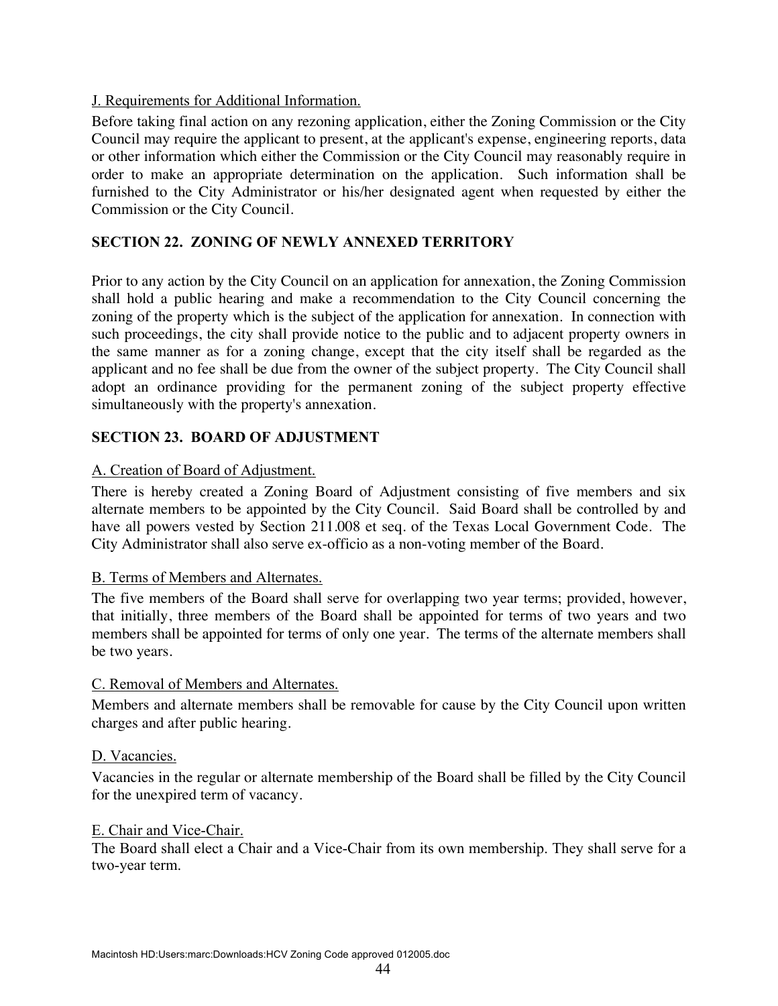### J. Requirements for Additional Information.

Before taking final action on any rezoning application, either the Zoning Commission or the City Council may require the applicant to present, at the applicant's expense, engineering reports, data or other information which either the Commission or the City Council may reasonably require in order to make an appropriate determination on the application. Such information shall be furnished to the City Administrator or his/her designated agent when requested by either the Commission or the City Council.

### **SECTION 22. ZONING OF NEWLY ANNEXED TERRITORY**

Prior to any action by the City Council on an application for annexation, the Zoning Commission shall hold a public hearing and make a recommendation to the City Council concerning the zoning of the property which is the subject of the application for annexation. In connection with such proceedings, the city shall provide notice to the public and to adjacent property owners in the same manner as for a zoning change, except that the city itself shall be regarded as the applicant and no fee shall be due from the owner of the subject property. The City Council shall adopt an ordinance providing for the permanent zoning of the subject property effective simultaneously with the property's annexation.

### **SECTION 23. BOARD OF ADJUSTMENT**

### A. Creation of Board of Adjustment.

There is hereby created a Zoning Board of Adjustment consisting of five members and six alternate members to be appointed by the City Council. Said Board shall be controlled by and have all powers vested by Section 211.008 et seq. of the Texas Local Government Code. The City Administrator shall also serve ex-officio as a non-voting member of the Board.

#### B. Terms of Members and Alternates.

The five members of the Board shall serve for overlapping two year terms; provided, however, that initially, three members of the Board shall be appointed for terms of two years and two members shall be appointed for terms of only one year. The terms of the alternate members shall be two years.

#### C. Removal of Members and Alternates.

Members and alternate members shall be removable for cause by the City Council upon written charges and after public hearing.

#### D. Vacancies.

Vacancies in the regular or alternate membership of the Board shall be filled by the City Council for the unexpired term of vacancy.

#### E. Chair and Vice-Chair.

The Board shall elect a Chair and a Vice-Chair from its own membership. They shall serve for a two-year term.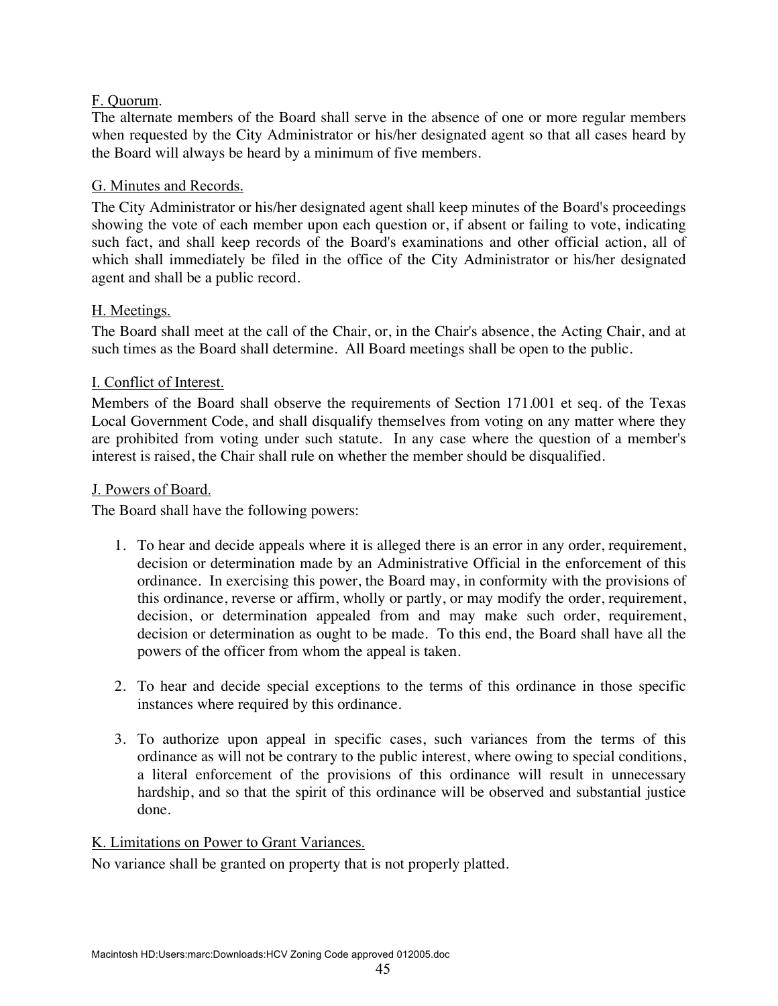### F. Quorum.

The alternate members of the Board shall serve in the absence of one or more regular members when requested by the City Administrator or his/her designated agent so that all cases heard by the Board will always be heard by a minimum of five members.

### G. Minutes and Records.

The City Administrator or his/her designated agent shall keep minutes of the Board's proceedings showing the vote of each member upon each question or, if absent or failing to vote, indicating such fact, and shall keep records of the Board's examinations and other official action, all of which shall immediately be filed in the office of the City Administrator or his/her designated agent and shall be a public record.

### H. Meetings.

The Board shall meet at the call of the Chair, or, in the Chair's absence, the Acting Chair, and at such times as the Board shall determine. All Board meetings shall be open to the public.

### I. Conflict of Interest.

Members of the Board shall observe the requirements of Section 171.001 et seq. of the Texas Local Government Code, and shall disqualify themselves from voting on any matter where they are prohibited from voting under such statute. In any case where the question of a member's interest is raised, the Chair shall rule on whether the member should be disqualified.

#### J. Powers of Board.

The Board shall have the following powers:

- 1. To hear and decide appeals where it is alleged there is an error in any order, requirement, decision or determination made by an Administrative Official in the enforcement of this ordinance. In exercising this power, the Board may, in conformity with the provisions of this ordinance, reverse or affirm, wholly or partly, or may modify the order, requirement, decision, or determination appealed from and may make such order, requirement, decision or determination as ought to be made. To this end, the Board shall have all the powers of the officer from whom the appeal is taken.
- 2. To hear and decide special exceptions to the terms of this ordinance in those specific instances where required by this ordinance.
- 3. To authorize upon appeal in specific cases, such variances from the terms of this ordinance as will not be contrary to the public interest, where owing to special conditions, a literal enforcement of the provisions of this ordinance will result in unnecessary hardship, and so that the spirit of this ordinance will be observed and substantial justice done.

#### K. Limitations on Power to Grant Variances.

No variance shall be granted on property that is not properly platted.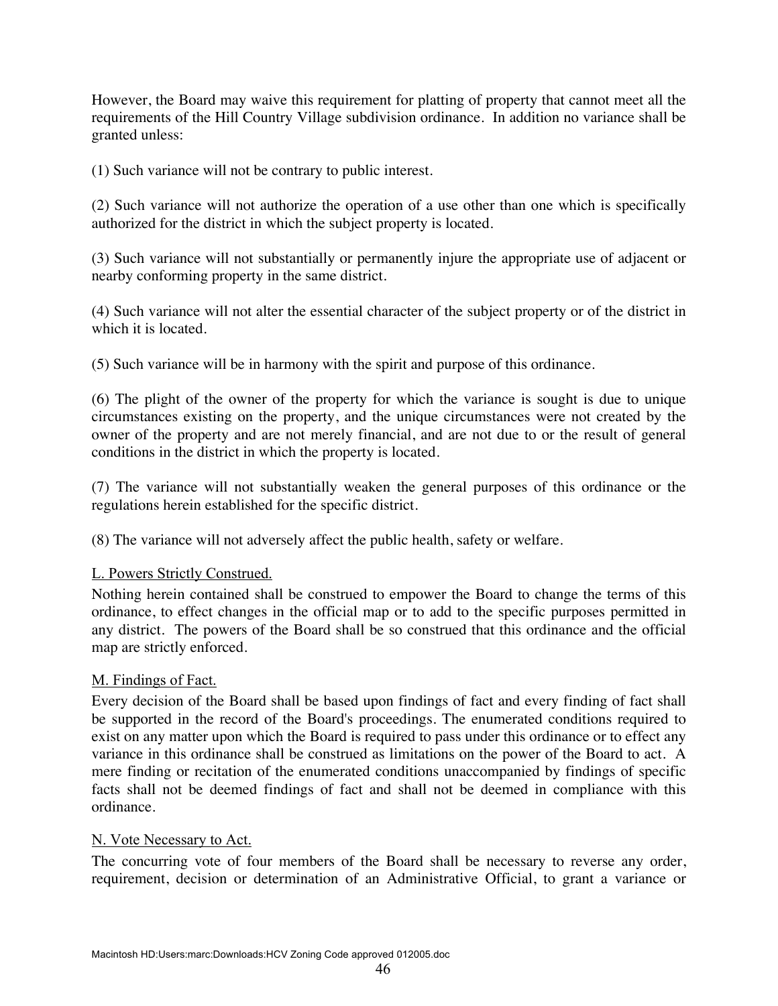However, the Board may waive this requirement for platting of property that cannot meet all the requirements of the Hill Country Village subdivision ordinance. In addition no variance shall be granted unless:

(1) Such variance will not be contrary to public interest.

(2) Such variance will not authorize the operation of a use other than one which is specifically authorized for the district in which the subject property is located.

(3) Such variance will not substantially or permanently injure the appropriate use of adjacent or nearby conforming property in the same district.

(4) Such variance will not alter the essential character of the subject property or of the district in which it is located.

(5) Such variance will be in harmony with the spirit and purpose of this ordinance.

(6) The plight of the owner of the property for which the variance is sought is due to unique circumstances existing on the property, and the unique circumstances were not created by the owner of the property and are not merely financial, and are not due to or the result of general conditions in the district in which the property is located.

(7) The variance will not substantially weaken the general purposes of this ordinance or the regulations herein established for the specific district.

(8) The variance will not adversely affect the public health, safety or welfare.

#### L. Powers Strictly Construed.

Nothing herein contained shall be construed to empower the Board to change the terms of this ordinance, to effect changes in the official map or to add to the specific purposes permitted in any district. The powers of the Board shall be so construed that this ordinance and the official map are strictly enforced.

#### M. Findings of Fact.

Every decision of the Board shall be based upon findings of fact and every finding of fact shall be supported in the record of the Board's proceedings. The enumerated conditions required to exist on any matter upon which the Board is required to pass under this ordinance or to effect any variance in this ordinance shall be construed as limitations on the power of the Board to act. A mere finding or recitation of the enumerated conditions unaccompanied by findings of specific facts shall not be deemed findings of fact and shall not be deemed in compliance with this ordinance.

#### N. Vote Necessary to Act.

The concurring vote of four members of the Board shall be necessary to reverse any order, requirement, decision or determination of an Administrative Official, to grant a variance or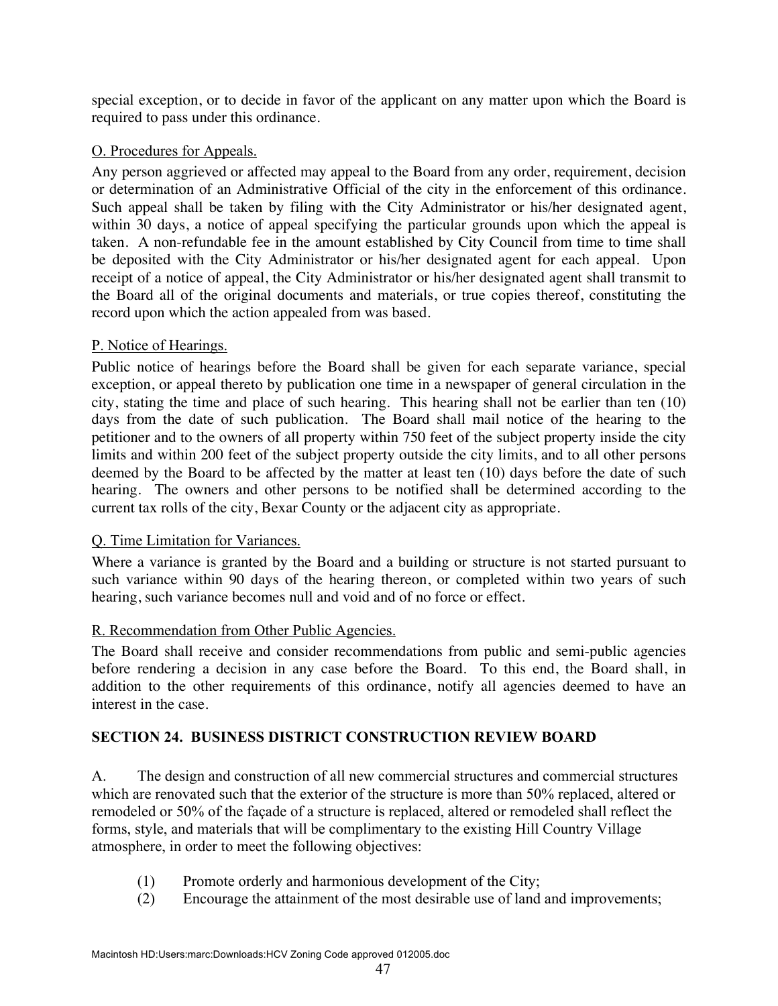special exception, or to decide in favor of the applicant on any matter upon which the Board is required to pass under this ordinance.

# O. Procedures for Appeals.

Any person aggrieved or affected may appeal to the Board from any order, requirement, decision or determination of an Administrative Official of the city in the enforcement of this ordinance. Such appeal shall be taken by filing with the City Administrator or his/her designated agent, within 30 days, a notice of appeal specifying the particular grounds upon which the appeal is taken. A non-refundable fee in the amount established by City Council from time to time shall be deposited with the City Administrator or his/her designated agent for each appeal. Upon receipt of a notice of appeal, the City Administrator or his/her designated agent shall transmit to the Board all of the original documents and materials, or true copies thereof, constituting the record upon which the action appealed from was based.

# P. Notice of Hearings.

Public notice of hearings before the Board shall be given for each separate variance, special exception, or appeal thereto by publication one time in a newspaper of general circulation in the city, stating the time and place of such hearing. This hearing shall not be earlier than ten (10) days from the date of such publication. The Board shall mail notice of the hearing to the petitioner and to the owners of all property within 750 feet of the subject property inside the city limits and within 200 feet of the subject property outside the city limits, and to all other persons deemed by the Board to be affected by the matter at least ten (10) days before the date of such hearing. The owners and other persons to be notified shall be determined according to the current tax rolls of the city, Bexar County or the adjacent city as appropriate.

### Q. Time Limitation for Variances.

Where a variance is granted by the Board and a building or structure is not started pursuant to such variance within 90 days of the hearing thereon, or completed within two years of such hearing, such variance becomes null and void and of no force or effect.

### R. Recommendation from Other Public Agencies.

The Board shall receive and consider recommendations from public and semi-public agencies before rendering a decision in any case before the Board. To this end, the Board shall, in addition to the other requirements of this ordinance, notify all agencies deemed to have an interest in the case.

# **SECTION 24. BUSINESS DISTRICT CONSTRUCTION REVIEW BOARD**

A. The design and construction of all new commercial structures and commercial structures which are renovated such that the exterior of the structure is more than 50% replaced, altered or remodeled or 50% of the façade of a structure is replaced, altered or remodeled shall reflect the forms, style, and materials that will be complimentary to the existing Hill Country Village atmosphere, in order to meet the following objectives:

- (1) Promote orderly and harmonious development of the City;
- (2) Encourage the attainment of the most desirable use of land and improvements;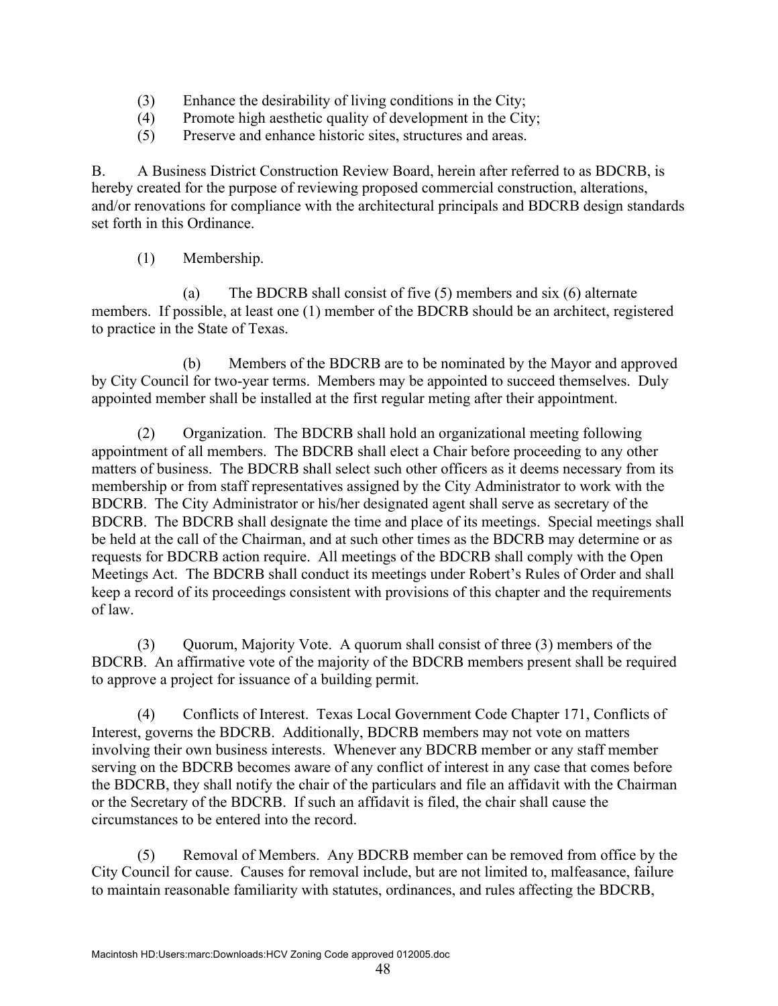- (3) Enhance the desirability of living conditions in the City;
- (4) Promote high aesthetic quality of development in the City;
- (5) Preserve and enhance historic sites, structures and areas.

B. A Business District Construction Review Board, herein after referred to as BDCRB, is hereby created for the purpose of reviewing proposed commercial construction, alterations, and/or renovations for compliance with the architectural principals and BDCRB design standards set forth in this Ordinance.

(1) Membership.

(a) The BDCRB shall consist of five (5) members and six (6) alternate members. If possible, at least one (1) member of the BDCRB should be an architect, registered to practice in the State of Texas.

(b) Members of the BDCRB are to be nominated by the Mayor and approved by City Council for two-year terms. Members may be appointed to succeed themselves. Duly appointed member shall be installed at the first regular meting after their appointment.

(2) Organization. The BDCRB shall hold an organizational meeting following appointment of all members. The BDCRB shall elect a Chair before proceeding to any other matters of business. The BDCRB shall select such other officers as it deems necessary from its membership or from staff representatives assigned by the City Administrator to work with the BDCRB. The City Administrator or his/her designated agent shall serve as secretary of the BDCRB. The BDCRB shall designate the time and place of its meetings. Special meetings shall be held at the call of the Chairman, and at such other times as the BDCRB may determine or as requests for BDCRB action require. All meetings of the BDCRB shall comply with the Open Meetings Act. The BDCRB shall conduct its meetings under Robert's Rules of Order and shall keep a record of its proceedings consistent with provisions of this chapter and the requirements of law.

(3) Quorum, Majority Vote. A quorum shall consist of three (3) members of the BDCRB. An affirmative vote of the majority of the BDCRB members present shall be required to approve a project for issuance of a building permit.

(4) Conflicts of Interest. Texas Local Government Code Chapter 171, Conflicts of Interest, governs the BDCRB. Additionally, BDCRB members may not vote on matters involving their own business interests. Whenever any BDCRB member or any staff member serving on the BDCRB becomes aware of any conflict of interest in any case that comes before the BDCRB, they shall notify the chair of the particulars and file an affidavit with the Chairman or the Secretary of the BDCRB. If such an affidavit is filed, the chair shall cause the circumstances to be entered into the record.

(5) Removal of Members. Any BDCRB member can be removed from office by the City Council for cause. Causes for removal include, but are not limited to, malfeasance, failure to maintain reasonable familiarity with statutes, ordinances, and rules affecting the BDCRB,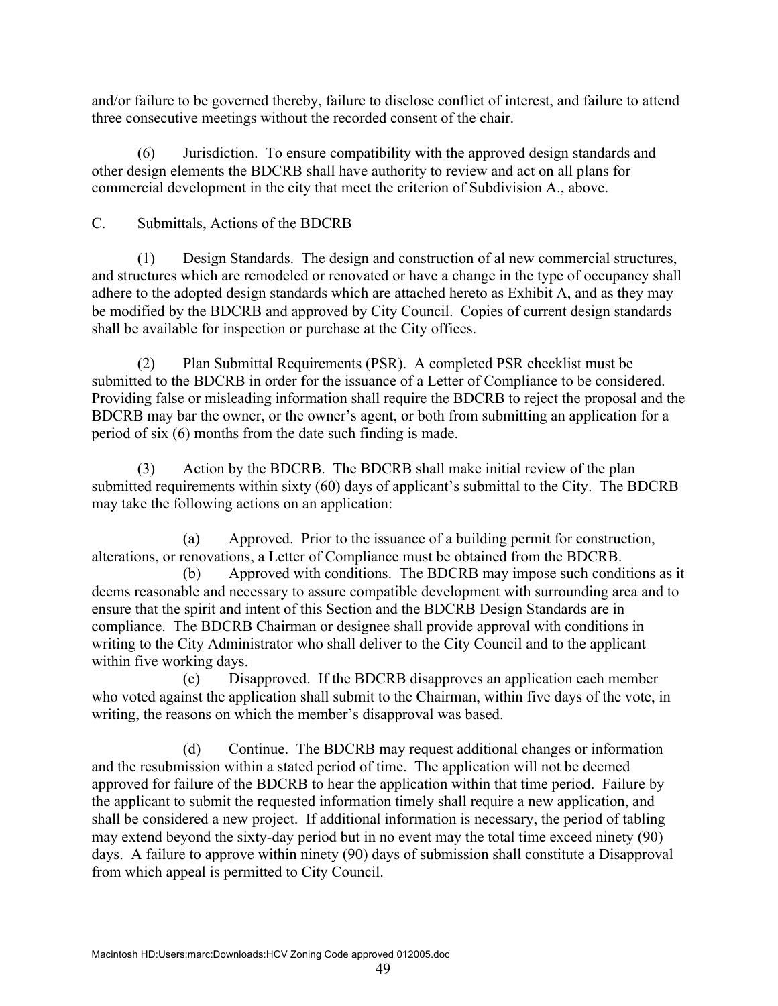and/or failure to be governed thereby, failure to disclose conflict of interest, and failure to attend three consecutive meetings without the recorded consent of the chair.

(6) Jurisdiction. To ensure compatibility with the approved design standards and other design elements the BDCRB shall have authority to review and act on all plans for commercial development in the city that meet the criterion of Subdivision A., above.

# C. Submittals, Actions of the BDCRB

(1) Design Standards. The design and construction of al new commercial structures, and structures which are remodeled or renovated or have a change in the type of occupancy shall adhere to the adopted design standards which are attached hereto as Exhibit A, and as they may be modified by the BDCRB and approved by City Council. Copies of current design standards shall be available for inspection or purchase at the City offices.

(2) Plan Submittal Requirements (PSR). A completed PSR checklist must be submitted to the BDCRB in order for the issuance of a Letter of Compliance to be considered. Providing false or misleading information shall require the BDCRB to reject the proposal and the BDCRB may bar the owner, or the owner's agent, or both from submitting an application for a period of six (6) months from the date such finding is made.

(3) Action by the BDCRB. The BDCRB shall make initial review of the plan submitted requirements within sixty (60) days of applicant's submittal to the City. The BDCRB may take the following actions on an application:

(a) Approved. Prior to the issuance of a building permit for construction, alterations, or renovations, a Letter of Compliance must be obtained from the BDCRB.

(b) Approved with conditions. The BDCRB may impose such conditions as it deems reasonable and necessary to assure compatible development with surrounding area and to ensure that the spirit and intent of this Section and the BDCRB Design Standards are in compliance. The BDCRB Chairman or designee shall provide approval with conditions in writing to the City Administrator who shall deliver to the City Council and to the applicant within five working days.

(c) Disapproved. If the BDCRB disapproves an application each member who voted against the application shall submit to the Chairman, within five days of the vote, in writing, the reasons on which the member's disapproval was based.

(d) Continue. The BDCRB may request additional changes or information and the resubmission within a stated period of time. The application will not be deemed approved for failure of the BDCRB to hear the application within that time period. Failure by the applicant to submit the requested information timely shall require a new application, and shall be considered a new project. If additional information is necessary, the period of tabling may extend beyond the sixty-day period but in no event may the total time exceed ninety (90) days. A failure to approve within ninety (90) days of submission shall constitute a Disapproval from which appeal is permitted to City Council.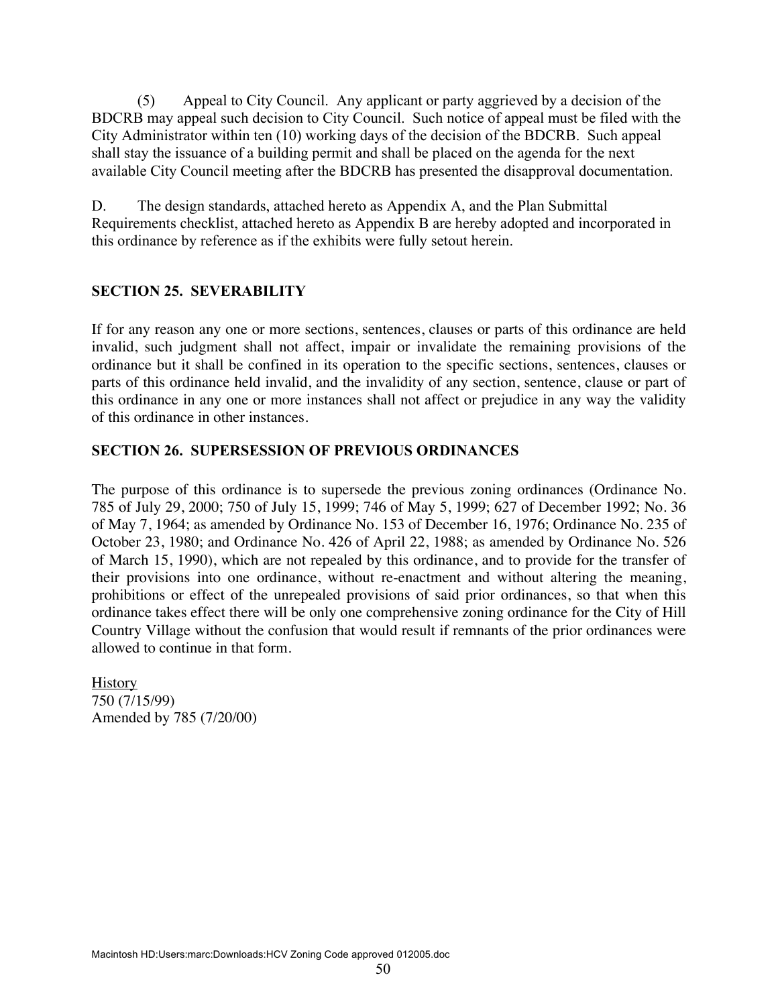(5) Appeal to City Council. Any applicant or party aggrieved by a decision of the BDCRB may appeal such decision to City Council. Such notice of appeal must be filed with the City Administrator within ten (10) working days of the decision of the BDCRB. Such appeal shall stay the issuance of a building permit and shall be placed on the agenda for the next available City Council meeting after the BDCRB has presented the disapproval documentation.

D. The design standards, attached hereto as Appendix A, and the Plan Submittal Requirements checklist, attached hereto as Appendix B are hereby adopted and incorporated in this ordinance by reference as if the exhibits were fully setout herein.

### **SECTION 25. SEVERABILITY**

If for any reason any one or more sections, sentences, clauses or parts of this ordinance are held invalid, such judgment shall not affect, impair or invalidate the remaining provisions of the ordinance but it shall be confined in its operation to the specific sections, sentences, clauses or parts of this ordinance held invalid, and the invalidity of any section, sentence, clause or part of this ordinance in any one or more instances shall not affect or prejudice in any way the validity of this ordinance in other instances.

#### **SECTION 26. SUPERSESSION OF PREVIOUS ORDINANCES**

The purpose of this ordinance is to supersede the previous zoning ordinances (Ordinance No. 785 of July 29, 2000; 750 of July 15, 1999; 746 of May 5, 1999; 627 of December 1992; No. 36 of May 7, 1964; as amended by Ordinance No. 153 of December 16, 1976; Ordinance No. 235 of October 23, 1980; and Ordinance No. 426 of April 22, 1988; as amended by Ordinance No. 526 of March 15, 1990), which are not repealed by this ordinance, and to provide for the transfer of their provisions into one ordinance, without re-enactment and without altering the meaning, prohibitions or effect of the unrepealed provisions of said prior ordinances, so that when this ordinance takes effect there will be only one comprehensive zoning ordinance for the City of Hill Country Village without the confusion that would result if remnants of the prior ordinances were allowed to continue in that form.

**History** 750 (7/15/99) Amended by 785 (7/20/00)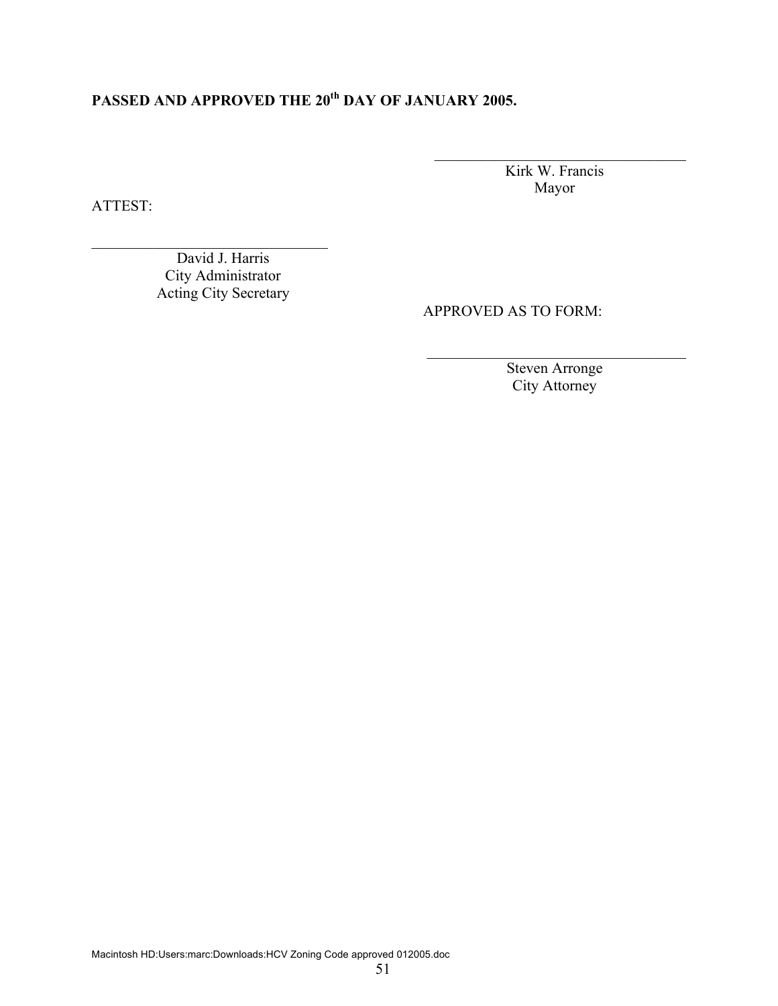# PASSED AND APPROVED THE 20<sup>th</sup> DAY OF JANUARY 2005.

Kirk W. Francis Mayor

\_\_\_\_\_\_\_\_\_\_\_\_\_\_\_\_\_\_\_\_\_\_\_\_\_\_\_\_\_\_\_\_\_

ATTEST:

David J. Harris City Administrator Acting City Secretary

 $\mathcal{L}_\text{max}$  , where  $\mathcal{L}_\text{max}$  and  $\mathcal{L}_\text{max}$  and  $\mathcal{L}_\text{max}$ 

APPROVED AS TO FORM:

Steven Arronge City Attorney

 $\mathcal{L}_\text{max}$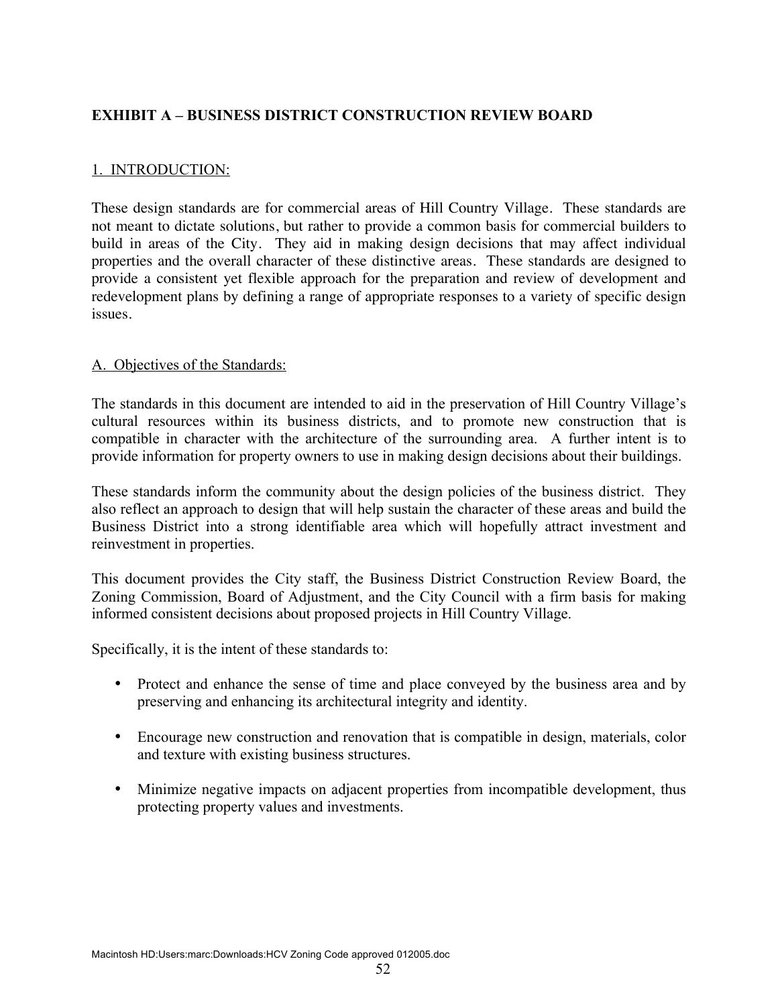# **EXHIBIT A – BUSINESS DISTRICT CONSTRUCTION REVIEW BOARD**

### 1. INTRODUCTION:

These design standards are for commercial areas of Hill Country Village. These standards are not meant to dictate solutions, but rather to provide a common basis for commercial builders to build in areas of the City. They aid in making design decisions that may affect individual properties and the overall character of these distinctive areas. These standards are designed to provide a consistent yet flexible approach for the preparation and review of development and redevelopment plans by defining a range of appropriate responses to a variety of specific design issues.

#### A. Objectives of the Standards:

The standards in this document are intended to aid in the preservation of Hill Country Village's cultural resources within its business districts, and to promote new construction that is compatible in character with the architecture of the surrounding area. A further intent is to provide information for property owners to use in making design decisions about their buildings.

These standards inform the community about the design policies of the business district. They also reflect an approach to design that will help sustain the character of these areas and build the Business District into a strong identifiable area which will hopefully attract investment and reinvestment in properties.

This document provides the City staff, the Business District Construction Review Board, the Zoning Commission, Board of Adjustment, and the City Council with a firm basis for making informed consistent decisions about proposed projects in Hill Country Village.

Specifically, it is the intent of these standards to:

- Protect and enhance the sense of time and place conveyed by the business area and by preserving and enhancing its architectural integrity and identity.
- Encourage new construction and renovation that is compatible in design, materials, color and texture with existing business structures.
- Minimize negative impacts on adjacent properties from incompatible development, thus protecting property values and investments.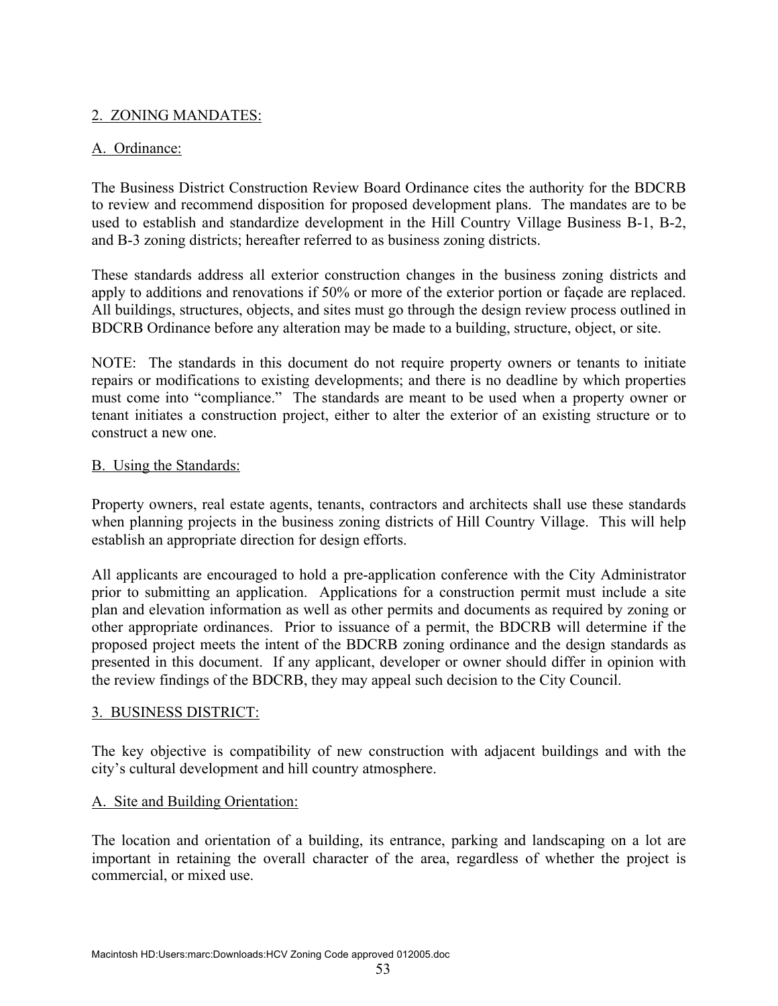# 2. ZONING MANDATES:

### A. Ordinance:

The Business District Construction Review Board Ordinance cites the authority for the BDCRB to review and recommend disposition for proposed development plans. The mandates are to be used to establish and standardize development in the Hill Country Village Business B-1, B-2, and B-3 zoning districts; hereafter referred to as business zoning districts.

These standards address all exterior construction changes in the business zoning districts and apply to additions and renovations if 50% or more of the exterior portion or façade are replaced. All buildings, structures, objects, and sites must go through the design review process outlined in BDCRB Ordinance before any alteration may be made to a building, structure, object, or site.

NOTE: The standards in this document do not require property owners or tenants to initiate repairs or modifications to existing developments; and there is no deadline by which properties must come into "compliance." The standards are meant to be used when a property owner or tenant initiates a construction project, either to alter the exterior of an existing structure or to construct a new one.

### **B.** Using the Standards:

Property owners, real estate agents, tenants, contractors and architects shall use these standards when planning projects in the business zoning districts of Hill Country Village. This will help establish an appropriate direction for design efforts.

All applicants are encouraged to hold a pre-application conference with the City Administrator prior to submitting an application. Applications for a construction permit must include a site plan and elevation information as well as other permits and documents as required by zoning or other appropriate ordinances. Prior to issuance of a permit, the BDCRB will determine if the proposed project meets the intent of the BDCRB zoning ordinance and the design standards as presented in this document. If any applicant, developer or owner should differ in opinion with the review findings of the BDCRB, they may appeal such decision to the City Council.

### 3. BUSINESS DISTRICT:

The key objective is compatibility of new construction with adjacent buildings and with the city's cultural development and hill country atmosphere.

### A. Site and Building Orientation:

The location and orientation of a building, its entrance, parking and landscaping on a lot are important in retaining the overall character of the area, regardless of whether the project is commercial, or mixed use.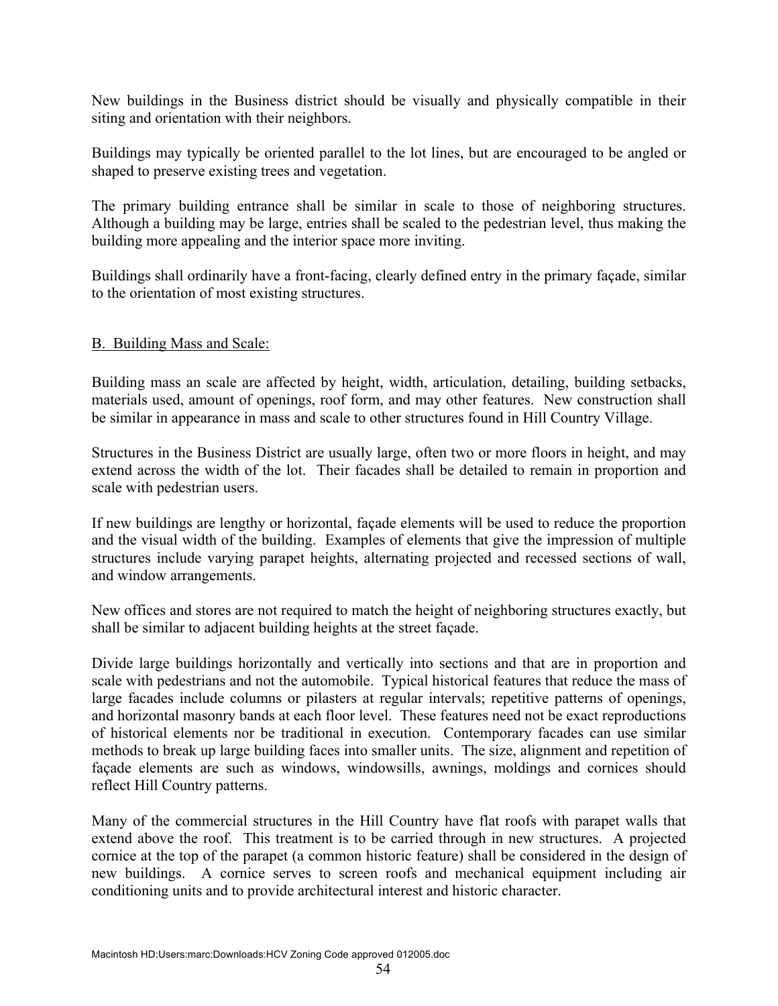New buildings in the Business district should be visually and physically compatible in their siting and orientation with their neighbors.

Buildings may typically be oriented parallel to the lot lines, but are encouraged to be angled or shaped to preserve existing trees and vegetation.

The primary building entrance shall be similar in scale to those of neighboring structures. Although a building may be large, entries shall be scaled to the pedestrian level, thus making the building more appealing and the interior space more inviting.

Buildings shall ordinarily have a front-facing, clearly defined entry in the primary façade, similar to the orientation of most existing structures.

### B. Building Mass and Scale:

Building mass an scale are affected by height, width, articulation, detailing, building setbacks, materials used, amount of openings, roof form, and may other features. New construction shall be similar in appearance in mass and scale to other structures found in Hill Country Village.

Structures in the Business District are usually large, often two or more floors in height, and may extend across the width of the lot. Their facades shall be detailed to remain in proportion and scale with pedestrian users.

If new buildings are lengthy or horizontal, façade elements will be used to reduce the proportion and the visual width of the building. Examples of elements that give the impression of multiple structures include varying parapet heights, alternating projected and recessed sections of wall, and window arrangements.

New offices and stores are not required to match the height of neighboring structures exactly, but shall be similar to adjacent building heights at the street façade.

Divide large buildings horizontally and vertically into sections and that are in proportion and scale with pedestrians and not the automobile. Typical historical features that reduce the mass of large facades include columns or pilasters at regular intervals; repetitive patterns of openings, and horizontal masonry bands at each floor level. These features need not be exact reproductions of historical elements nor be traditional in execution. Contemporary facades can use similar methods to break up large building faces into smaller units. The size, alignment and repetition of façade elements are such as windows, windowsills, awnings, moldings and cornices should reflect Hill Country patterns.

Many of the commercial structures in the Hill Country have flat roofs with parapet walls that extend above the roof. This treatment is to be carried through in new structures. A projected cornice at the top of the parapet (a common historic feature) shall be considered in the design of new buildings. A cornice serves to screen roofs and mechanical equipment including air conditioning units and to provide architectural interest and historic character.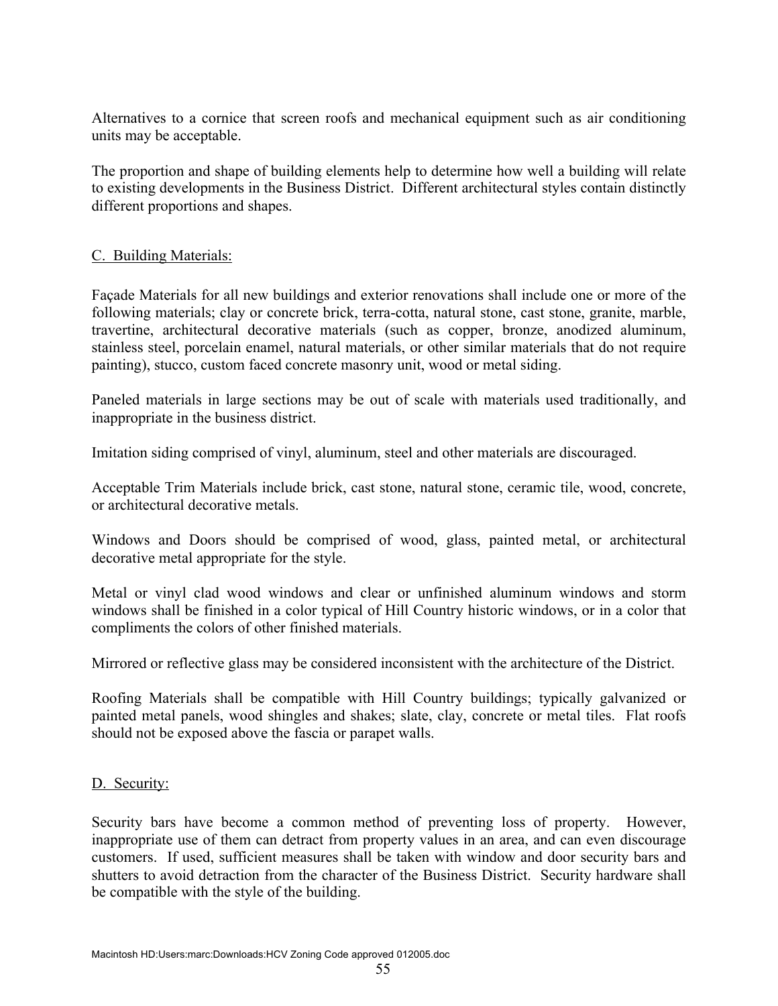Alternatives to a cornice that screen roofs and mechanical equipment such as air conditioning units may be acceptable.

The proportion and shape of building elements help to determine how well a building will relate to existing developments in the Business District. Different architectural styles contain distinctly different proportions and shapes.

### C. Building Materials:

Façade Materials for all new buildings and exterior renovations shall include one or more of the following materials; clay or concrete brick, terra-cotta, natural stone, cast stone, granite, marble, travertine, architectural decorative materials (such as copper, bronze, anodized aluminum, stainless steel, porcelain enamel, natural materials, or other similar materials that do not require painting), stucco, custom faced concrete masonry unit, wood or metal siding.

Paneled materials in large sections may be out of scale with materials used traditionally, and inappropriate in the business district.

Imitation siding comprised of vinyl, aluminum, steel and other materials are discouraged.

Acceptable Trim Materials include brick, cast stone, natural stone, ceramic tile, wood, concrete, or architectural decorative metals.

Windows and Doors should be comprised of wood, glass, painted metal, or architectural decorative metal appropriate for the style.

Metal or vinyl clad wood windows and clear or unfinished aluminum windows and storm windows shall be finished in a color typical of Hill Country historic windows, or in a color that compliments the colors of other finished materials.

Mirrored or reflective glass may be considered inconsistent with the architecture of the District.

Roofing Materials shall be compatible with Hill Country buildings; typically galvanized or painted metal panels, wood shingles and shakes; slate, clay, concrete or metal tiles. Flat roofs should not be exposed above the fascia or parapet walls.

### D. Security:

Security bars have become a common method of preventing loss of property. However, inappropriate use of them can detract from property values in an area, and can even discourage customers. If used, sufficient measures shall be taken with window and door security bars and shutters to avoid detraction from the character of the Business District. Security hardware shall be compatible with the style of the building.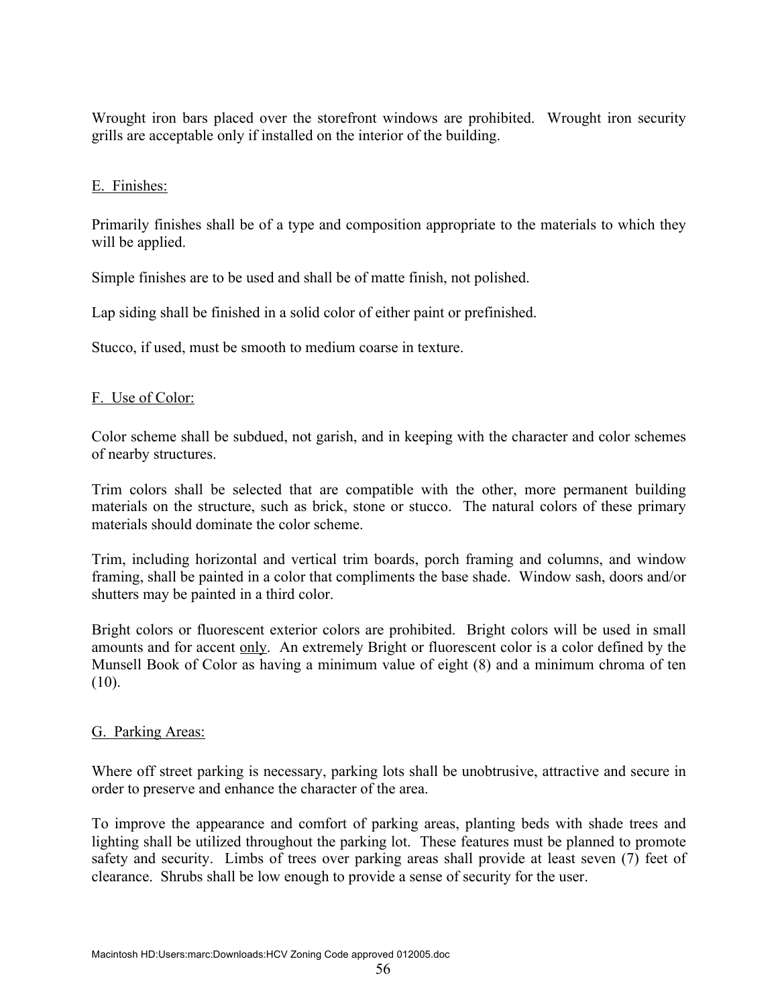Wrought iron bars placed over the storefront windows are prohibited. Wrought iron security grills are acceptable only if installed on the interior of the building.

### E. Finishes:

Primarily finishes shall be of a type and composition appropriate to the materials to which they will be applied.

Simple finishes are to be used and shall be of matte finish, not polished.

Lap siding shall be finished in a solid color of either paint or prefinished.

Stucco, if used, must be smooth to medium coarse in texture.

# F. Use of Color:

Color scheme shall be subdued, not garish, and in keeping with the character and color schemes of nearby structures.

Trim colors shall be selected that are compatible with the other, more permanent building materials on the structure, such as brick, stone or stucco. The natural colors of these primary materials should dominate the color scheme.

Trim, including horizontal and vertical trim boards, porch framing and columns, and window framing, shall be painted in a color that compliments the base shade. Window sash, doors and/or shutters may be painted in a third color.

Bright colors or fluorescent exterior colors are prohibited. Bright colors will be used in small amounts and for accent only. An extremely Bright or fluorescent color is a color defined by the Munsell Book of Color as having a minimum value of eight (8) and a minimum chroma of ten  $(10)$ .

### G. Parking Areas:

Where off street parking is necessary, parking lots shall be unobtrusive, attractive and secure in order to preserve and enhance the character of the area.

To improve the appearance and comfort of parking areas, planting beds with shade trees and lighting shall be utilized throughout the parking lot. These features must be planned to promote safety and security. Limbs of trees over parking areas shall provide at least seven (7) feet of clearance. Shrubs shall be low enough to provide a sense of security for the user.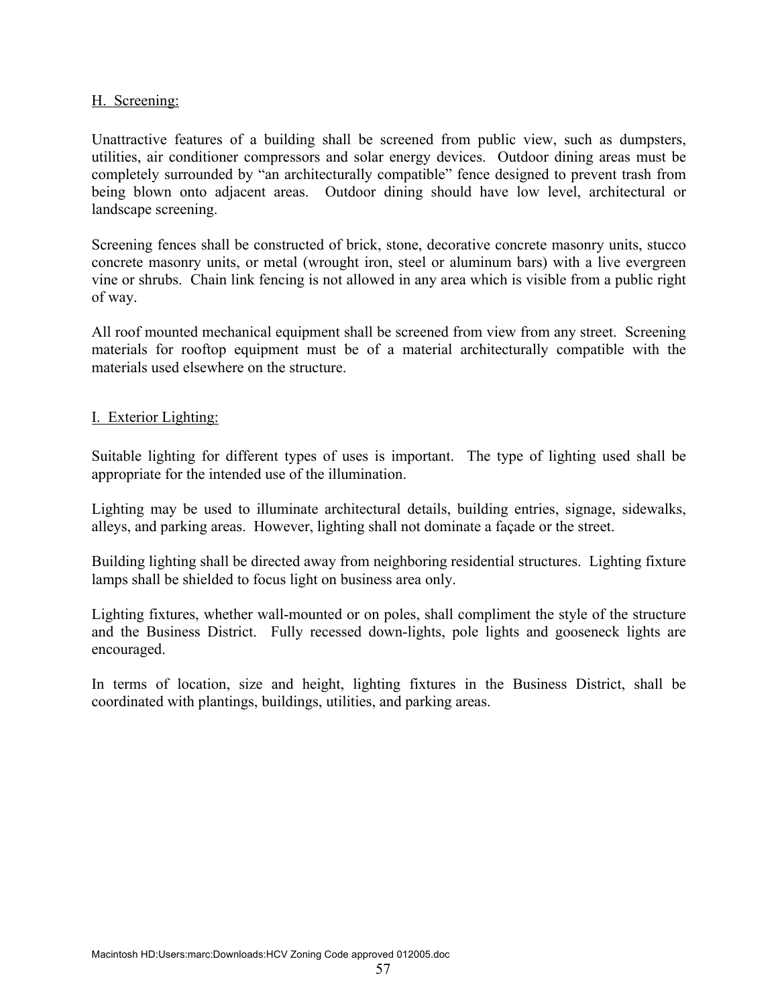#### H. Screening:

Unattractive features of a building shall be screened from public view, such as dumpsters, utilities, air conditioner compressors and solar energy devices. Outdoor dining areas must be completely surrounded by "an architecturally compatible" fence designed to prevent trash from being blown onto adjacent areas. Outdoor dining should have low level, architectural or landscape screening.

Screening fences shall be constructed of brick, stone, decorative concrete masonry units, stucco concrete masonry units, or metal (wrought iron, steel or aluminum bars) with a live evergreen vine or shrubs. Chain link fencing is not allowed in any area which is visible from a public right of way.

All roof mounted mechanical equipment shall be screened from view from any street. Screening materials for rooftop equipment must be of a material architecturally compatible with the materials used elsewhere on the structure.

### I. Exterior Lighting:

Suitable lighting for different types of uses is important. The type of lighting used shall be appropriate for the intended use of the illumination.

Lighting may be used to illuminate architectural details, building entries, signage, sidewalks, alleys, and parking areas. However, lighting shall not dominate a façade or the street.

Building lighting shall be directed away from neighboring residential structures. Lighting fixture lamps shall be shielded to focus light on business area only.

Lighting fixtures, whether wall-mounted or on poles, shall compliment the style of the structure and the Business District. Fully recessed down-lights, pole lights and gooseneck lights are encouraged.

In terms of location, size and height, lighting fixtures in the Business District, shall be coordinated with plantings, buildings, utilities, and parking areas.